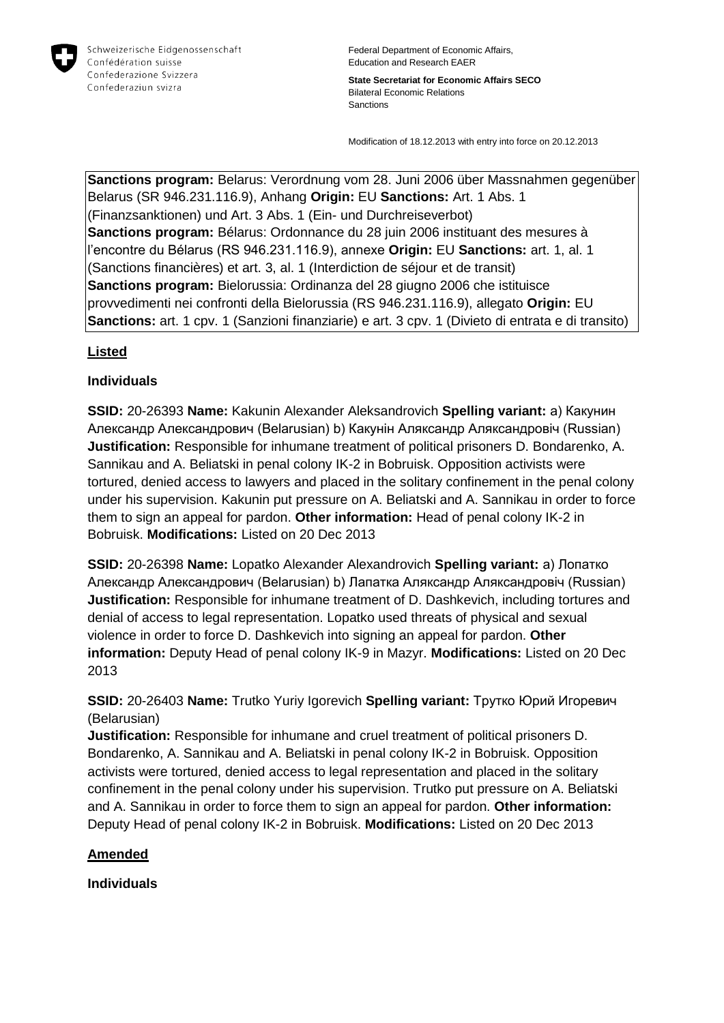

**State Secretariat for Economic Affairs SECO** Bilateral Economic Relations Sanctions

Modification of 18.12.2013 with entry into force on 20.12.2013

**Sanctions program:** Belarus: Verordnung vom 28. Juni 2006 über Massnahmen gegenüber Belarus (SR 946.231.116.9), Anhang **Origin:** EU **Sanctions:** Art. 1 Abs. 1 (Finanzsanktionen) und Art. 3 Abs. 1 (Ein- und Durchreiseverbot) **Sanctions program:** Bélarus: Ordonnance du 28 juin 2006 instituant des mesures à l'encontre du Bélarus (RS 946.231.116.9), annexe **Origin:** EU **Sanctions:** art. 1, al. 1 (Sanctions financières) et art. 3, al. 1 (Interdiction de séjour et de transit) **Sanctions program:** Bielorussia: Ordinanza del 28 giugno 2006 che istituisce provvedimenti nei confronti della Bielorussia (RS 946.231.116.9), allegato **Origin:** EU **Sanctions:** art. 1 cpv. 1 (Sanzioni finanziarie) e art. 3 cpv. 1 (Divieto di entrata e di transito)

### **Listed**

### **Individuals**

**SSID:** 20-26393 **Name:** Kakunin Alexander Aleksandrovich **Spelling variant:** a) Какунин Александр Александрович (Belarusian) b) Какунiн Аляксандр Аляксандровiч (Russian) **Justification:** Responsible for inhumane treatment of political prisoners D. Bondarenko, A. Sannikau and A. Beliatski in penal colony IK-2 in Bobruisk. Opposition activists were tortured, denied access to lawyers and placed in the solitary confinement in the penal colony under his supervision. Kakunin put pressure on A. Beliatski and A. Sannikau in order to force them to sign an appeal for pardon. **Other information:** Head of penal colony IK-2 in Bobruisk. **Modifications:** Listed on 20 Dec 2013

**SSID:** 20-26398 **Name:** Lopatko Alexander Alexandrovich **Spelling variant:** a) Лопатко Александр Александрович (Belarusian) b) Лапатка Аляксандр Аляксандровiч (Russian) **Justification:** Responsible for inhumane treatment of D. Dashkevich, including tortures and denial of access to legal representation. Lopatko used threats of physical and sexual violence in order to force D. Dashkevich into signing an appeal for pardon. **Other information:** Deputy Head of penal colony IK-9 in Mazyr. **Modifications:** Listed on 20 Dec 2013

**SSID:** 20-26403 **Name:** Trutko Yuriy Igorevich **Spelling variant:** Трутко Юрий Игоревич (Belarusian)

**Justification:** Responsible for inhumane and cruel treatment of political prisoners D. Bondarenko, A. Sannikau and A. Beliatski in penal colony IK-2 in Bobruisk. Opposition activists were tortured, denied access to legal representation and placed in the solitary confinement in the penal colony under his supervision. Trutko put pressure on A. Beliatski and A. Sannikau in order to force them to sign an appeal for pardon. **Other information:** Deputy Head of penal colony IK-2 in Bobruisk. **Modifications:** Listed on 20 Dec 2013

#### **Amended**

**Individuals**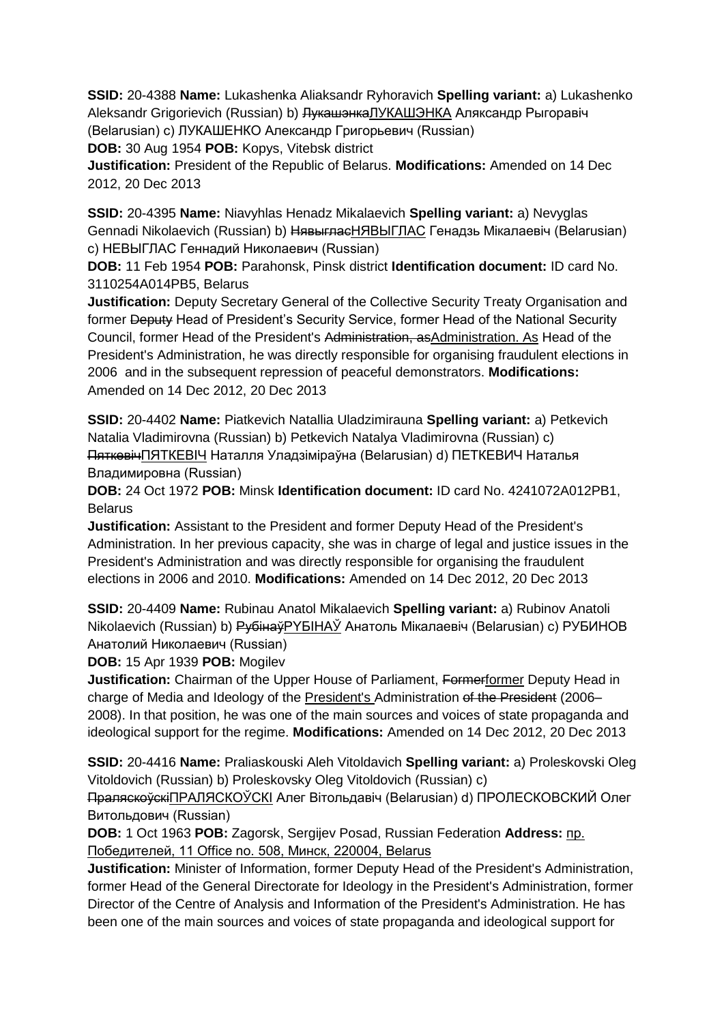**SSID:** 20-4388 **Name:** Lukashenka Aliaksandr Ryhoravich **Spelling variant:** a) Lukashenko Aleksandr Grigorievich (Russian) b) ЛукашэнкаЛУКАШЭНКА Аляксандр Рыгоравіч (Belarusian) c) ЛУКАШЕНКО Александр Григорьевич (Russian)

**DOB:** 30 Aug 1954 **POB:** Kopys, Vitebsk district

**Justification:** President of the Republic of Belarus. **Modifications:** Amended on 14 Dec 2012, 20 Dec 2013

**SSID:** 20-4395 **Name:** Niavyhlas Henadz Mikalaevich **Spelling variant:** a) Nevyglas Gennadi Nikolaevich (Russian) b) НявыгласНЯВЫГЛАС Генадзь Мікалаевіч (Belarusian) c) НЕВЫГЛАС Геннадий Николаевич (Russian)

**DOB:** 11 Feb 1954 **POB:** Parahonsk, Pinsk district **Identification document:** ID card No. 3110254A014PB5, Belarus

**Justification:** Deputy Secretary General of the Collective Security Treaty Organisation and former Deputy Head of President's Security Service, former Head of the National Security Council, former Head of the President's Administration, asAdministration. As Head of the President's Administration, he was directly responsible for organising fraudulent elections in 2006 and in the subsequent repression of peaceful demonstrators. **Modifications:**  Amended on 14 Dec 2012, 20 Dec 2013

**SSID:** 20-4402 **Name:** Piatkevich Natallia Uladzimirauna **Spelling variant:** a) Petkevich Natalia Vladimirovna (Russian) b) Petkevich Natalya Vladimirovna (Russian) c) ПяткевічПЯТКЕВIЧ Наталля Уладзіміраўна (Belarusian) d) ПЕТКЕВИЧ Наталья Владимировна (Russian)

**DOB:** 24 Oct 1972 **POB:** Minsk **Identification document:** ID card No. 4241072A012PB1, Belarus

**Justification:** Assistant to the President and former Deputy Head of the President's Administration. In her previous capacity, she was in charge of legal and justice issues in the President's Administration and was directly responsible for organising the fraudulent elections in 2006 and 2010. **Modifications:** Amended on 14 Dec 2012, 20 Dec 2013

**SSID:** 20-4409 **Name:** Rubinau Anatol Mikalaevich **Spelling variant:** a) Rubinov Anatoli Nikolaevich (Russian) b) РубінаўPYБIНAЎ Анатоль Мікалаевіч (Belarusian) c) РУБИНОВ Анатолий Николаевич (Russian)

**DOB:** 15 Apr 1939 **POB:** Mogilev

**Justification:** Chairman of the Upper House of Parliament, Formerformer Deputy Head in charge of Media and Ideology of the President's Administration of the President (2006– 2008). In that position, he was one of the main sources and voices of state propaganda and ideological support for the regime. **Modifications:** Amended on 14 Dec 2012, 20 Dec 2013

**SSID:** 20-4416 **Name:** Praliaskouski Aleh Vitoldavich **Spelling variant:** a) Proleskovski Oleg Vitoldovich (Russian) b) Proleskovsky Oleg Vitoldovich (Russian) c)

ПраляскоўскіПРАЛЯСКОЎСКI Алег Вітольдавіч (Belarusian) d) ПРОЛЕСКОВСКИЙ Олег Витольдович (Russian)

**DOB:** 1 Oct 1963 **POB:** Zagorsk, Sergijev Posad, Russian Federation **Address:** пр. Победителей, 11 Office no. 508, Минск, 220004, Belarus

**Justification:** Minister of Information, former Deputy Head of the President's Administration, former Head of the General Directorate for Ideology in the President's Administration, former Director of the Centre of Analysis and Information of the President's Administration. He has been one of the main sources and voices of state propaganda and ideological support for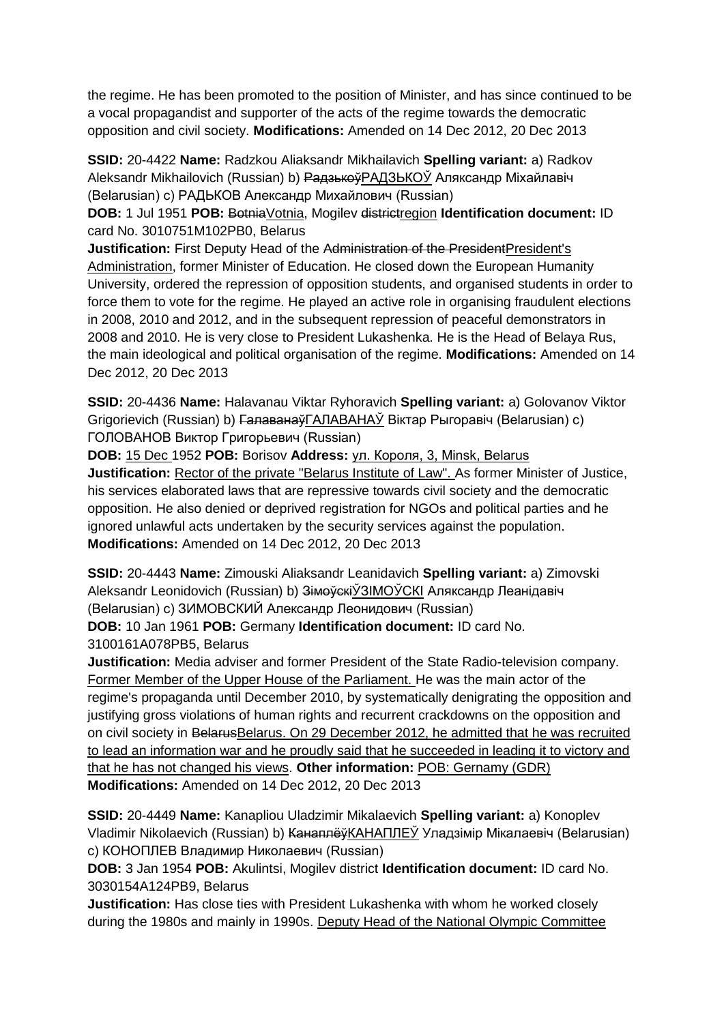the regime. He has been promoted to the position of Minister, and has since continued to be a vocal propagandist and supporter of the acts of the regime towards the democratic opposition and civil society. **Modifications:** Amended on 14 Dec 2012, 20 Dec 2013

**SSID:** 20-4422 **Name:** Radzkou Aliaksandr Mikhailavich **Spelling variant:** a) Radkov Aleksandr Mikhailovich (Russian) b) Радзькоў РАДЗЬКОЎ Аляксандр Міхайлавіч (Belarusian) c) РАДЬКОВ Александр Михайлович (Russian)

**DOB:** 1 Jul 1951 **POB:** BotniaVotnia, Mogilev districtregion **Identification document:** ID card No. 3010751M102PB0, Belarus

**Justification:** First Deputy Head of the Administration of the President President's Administration, former Minister of Education. He closed down the European Humanity University, ordered the repression of opposition students, and organised students in order to force them to vote for the regime. He played an active role in organising fraudulent elections in 2008, 2010 and 2012, and in the subsequent repression of peaceful demonstrators in 2008 and 2010. He is very close to President Lukashenka. He is the Head of Belaya Rus, the main ideological and political organisation of the regime. **Modifications:** Amended on 14 Dec 2012, 20 Dec 2013

**SSID:** 20-4436 **Name:** Halavanau Viktar Ryhoravich **Spelling variant:** a) Golovanov Viktor Grigorievich (Russian) b) ГалаванаўГАЛАВАНАЎ Віктар Рыгоравіч (Belarusian) c) ГОЛОВАНОВ Виктор Григорьевич (Russian)

**DOB:** 15 Dec 1952 **POB:** Borisov **Address:** ул. Короля, 3, Minsk, Belarus **Justification:** Rector of the private "Belarus Institute of Law". As former Minister of Justice, his services elaborated laws that are repressive towards civil society and the democratic opposition. He also denied or deprived registration for NGOs and political parties and he ignored unlawful acts undertaken by the security services against the population. **Modifications:** Amended on 14 Dec 2012, 20 Dec 2013

**SSID:** 20-4443 **Name:** Zimouski Aliaksandr Leanidavich **Spelling variant:** a) Zimovski Aleksandr Leonidovich (Russian) b) Зімоўскі ЎЗІМОЎСКІ Аляксандр Леанідавіч (Belarusian) c) ЗИМОВСКИЙ Александр Леонидович (Russian)

**DOB:** 10 Jan 1961 **POB:** Germany **Identification document:** ID card No. 3100161A078PB5, Belarus

**Justification:** Media adviser and former President of the State Radio-television company. Former Member of the Upper House of the Parliament. He was the main actor of the regime's propaganda until December 2010, by systematically denigrating the opposition and justifying gross violations of human rights and recurrent crackdowns on the opposition and on civil society in BelarusBelarus. On 29 December 2012, he admitted that he was recruited to lead an information war and he proudly said that he succeeded in leading it to victory and that he has not changed his views. **Other information:** POB: Gernamy (GDR) **Modifications:** Amended on 14 Dec 2012, 20 Dec 2013

**SSID:** 20-4449 **Name:** Kanapliou Uladzimir Mikalaevich **Spelling variant:** a) Konoplev Vladimir Nikolaevich (Russian) b) КанаплёўКАНАПЛЕЎ Уладзімір Мікалаевіч (Belarusian) c) КОНОПЛЕВ Владимир Николаевич (Russian)

**DOB:** 3 Jan 1954 **POB:** Akulintsi, Mogilev district **Identification document:** ID card No. 3030154A124PB9, Belarus

**Justification:** Has close ties with President Lukashenka with whom he worked closely during the 1980s and mainly in 1990s. Deputy Head of the National Olympic Committee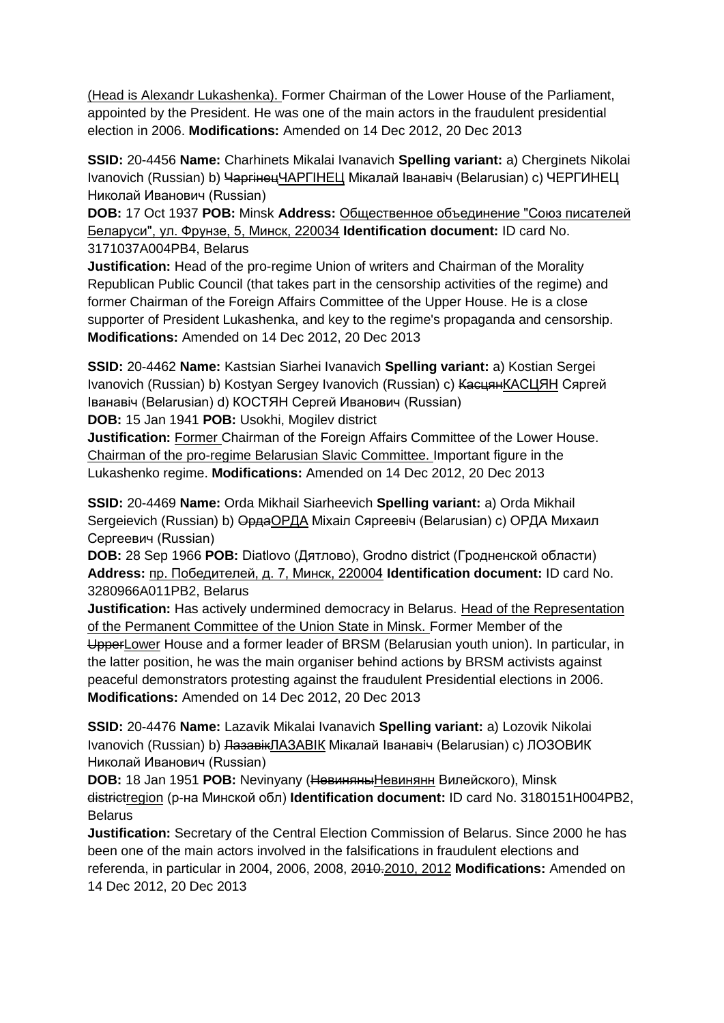(Head is Alexandr Lukashenka). Former Chairman of the Lower House of the Parliament, appointed by the President. He was one of the main actors in the fraudulent presidential election in 2006. **Modifications:** Amended on 14 Dec 2012, 20 Dec 2013

**SSID:** 20-4456 **Name:** Charhinets Mikalai Ivanavich **Spelling variant:** a) Cherginets Nikolai Ivanovich (Russian) b) ЧаргінецЧАРГІНЕЦ Мікалай Іванавіч (Belarusian) с) ЧЕРГИНЕЦ Николай Иванович (Russian)

**DOB:** 17 Oct 1937 **POB:** Minsk **Address:** Общественное объединение "Союз писателей Беларуси", ул. Фрунзе, 5, Минск, 220034 **Identification document:** ID card No. 3171037A004PB4, Belarus

**Justification:** Head of the pro-regime Union of writers and Chairman of the Morality Republican Public Council (that takes part in the censorship activities of the regime) and former Chairman of the Foreign Affairs Committee of the Upper House. He is a close supporter of President Lukashenka, and key to the regime's propaganda and censorship. **Modifications:** Amended on 14 Dec 2012, 20 Dec 2013

**SSID:** 20-4462 **Name:** Kastsian Siarhei Ivanavich **Spelling variant:** a) Kostian Sergei Ivanovich (Russian) b) Kostyan Sergey Ivanovich (Russian) c) <del>Касцян</del>КАСЦЯН Сяргей Іванавіч (Belarusian) d) КОСТЯН Сергей Иванович (Russian) **DOB:** 15 Jan 1941 **POB:** Usokhi, Mogilev district

**Justification:** Former Chairman of the Foreign Affairs Committee of the Lower House. Chairman of the pro-regime Belarusian Slavic Committee. Important figure in the Lukashenko regime. **Modifications:** Amended on 14 Dec 2012, 20 Dec 2013

**SSID:** 20-4469 **Name:** Orda Mikhail Siarheevich **Spelling variant:** a) Orda Mikhail Sergeievich (Russian) b) Орда ОРДА Міхаіл Сяргеевіч (Belarusian) с) ОРДА Михаил Сергеевич (Russian)

**DOB:** 28 Sep 1966 **POB:** Diatlovo (Дятлово), Grodno district (Гродненской области) **Address:** пр. Победителей, д. 7, Минск, 220004 **Identification document:** ID card No. 3280966A011PB2, Belarus

**Justification:** Has actively undermined democracy in Belarus. Head of the Representation of the Permanent Committee of the Union State in Minsk. Former Member of the UpperLower House and a former leader of BRSM (Belarusian youth union). In particular, in the latter position, he was the main organiser behind actions by BRSM activists against peaceful demonstrators protesting against the fraudulent Presidential elections in 2006. **Modifications:** Amended on 14 Dec 2012, 20 Dec 2013

**SSID:** 20-4476 **Name:** Lazavik Mikalai Ivanavich **Spelling variant:** a) Lozovik Nikolai Ivanovich (Russian) b) <del>Лазавік</del>ЛАЗАВІК Мікалай Іванавіч (Belarusian) с) ЛОЗОВИК Николай Иванович (Russian)

**DOB:** 18 Jan 1951 **POB:** Nevinyany (НевиняныНевинянн Вилейского), Minsk districtregion (р-на Минской обл) **Identification document:** ID card No. 3180151H004PB2, Belarus

**Justification:** Secretary of the Central Election Commission of Belarus. Since 2000 he has been one of the main actors involved in the falsifications in fraudulent elections and referenda, in particular in 2004, 2006, 2008, 2010.2010, 2012 **Modifications:** Amended on 14 Dec 2012, 20 Dec 2013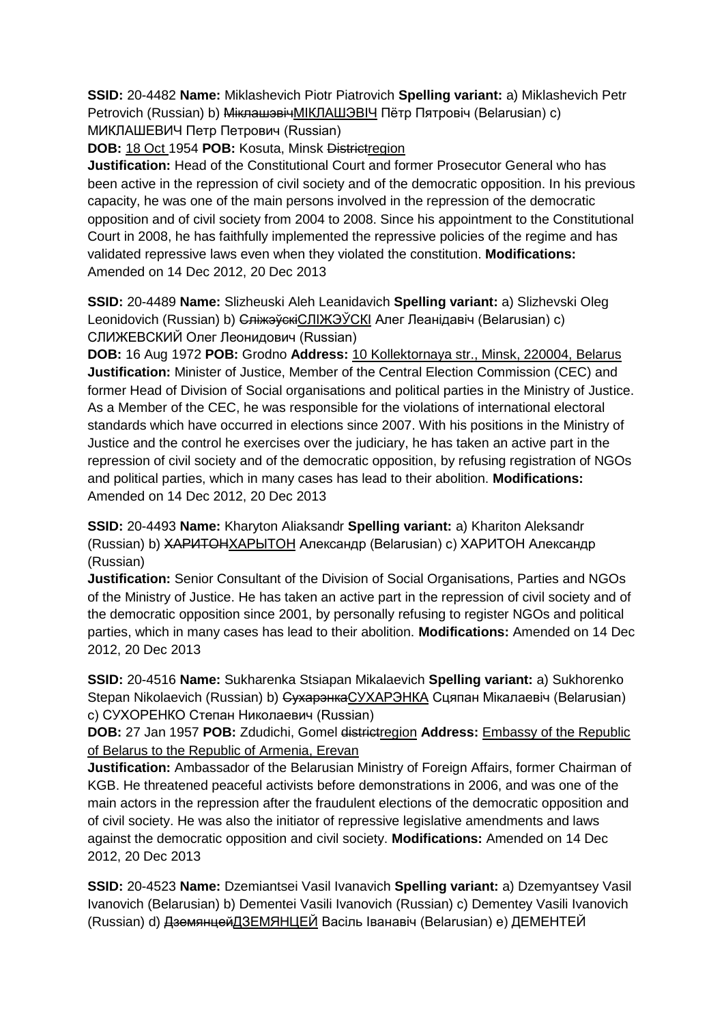**SSID:** 20-4482 **Name:** Miklashevich Piotr Piatrovich **Spelling variant:** a) Miklashevich Petr Petrovich (Russian) b) Міклашэвіч МІКЛАШЭВІЧ Пётр Пятровіч (Belarusian) c) МИКЛАШЕВИЧ Петр Петрович (Russian)

**DOB:** 18 Oct 1954 **POB:** Kosuta, Minsk Districtregion

**Justification:** Head of the Constitutional Court and former Prosecutor General who has been active in the repression of civil society and of the democratic opposition. In his previous capacity, he was one of the main persons involved in the repression of the democratic opposition and of civil society from 2004 to 2008. Since his appointment to the Constitutional Court in 2008, he has faithfully implemented the repressive policies of the regime and has validated repressive laws even when they violated the constitution. **Modifications:**  Amended on 14 Dec 2012, 20 Dec 2013

**SSID:** 20-4489 **Name:** Slizheuski Aleh Leanidavich **Spelling variant:** a) Slizhevski Oleg Leonidovich (Russian) b) <del>Сліжэўскі</del>СЛІЖЭЎСКІ Алег Леанідавіч (Belarusian) c) СЛИЖЕВСКИЙ Олег Леонидович (Russian)

**DOB:** 16 Aug 1972 **POB:** Grodno **Address:** 10 Kollektornaya str., Minsk, 220004, Belarus **Justification:** Minister of Justice, Member of the Central Election Commission (CEC) and former Head of Division of Social organisations and political parties in the Ministry of Justice. As a Member of the CEC, he was responsible for the violations of international electoral standards which have occurred in elections since 2007. With his positions in the Ministry of Justice and the control he exercises over the judiciary, he has taken an active part in the repression of civil society and of the democratic opposition, by refusing registration of NGOs and political parties, which in many cases has lead to their abolition. **Modifications:**  Amended on 14 Dec 2012, 20 Dec 2013

**SSID:** 20-4493 **Name:** Kharyton Aliaksandr **Spelling variant:** a) Khariton Aleksandr (Russian) b) ХАРИТОНХАРЫТОН Александр (Belarusian) c) ХАРИТОН Александр (Russian)

**Justification:** Senior Consultant of the Division of Social Organisations, Parties and NGOs of the Ministry of Justice. He has taken an active part in the repression of civil society and of the democratic opposition since 2001, by personally refusing to register NGOs and political parties, which in many cases has lead to their abolition. **Modifications:** Amended on 14 Dec 2012, 20 Dec 2013

**SSID:** 20-4516 **Name:** Sukharenka Stsiapan Mikalaevich **Spelling variant:** a) Sukhorenko Stepan Nikolaevich (Russian) b) СухарэнкаСУХАРЭНКА Сцяпан Мікалаевіч (Belarusian) c) СУХОРЕНКО Степан Николаевич (Russian)

**DOB:** 27 Jan 1957 **POB:** Zdudichi, Gomel districtregion **Address:** Embassy of the Republic of Belarus to the Republic of Armenia, Erevan

**Justification:** Ambassador of the Belarusian Ministry of Foreign Affairs, former Chairman of KGB. He threatened peaceful activists before demonstrations in 2006, and was one of the main actors in the repression after the fraudulent elections of the democratic opposition and of civil society. He was also the initiator of repressive legislative amendments and laws against the democratic opposition and civil society. **Modifications:** Amended on 14 Dec 2012, 20 Dec 2013

**SSID:** 20-4523 **Name:** Dzemiantsei Vasil Ivanavich **Spelling variant:** a) Dzemyantsey Vasil Ivanovich (Belarusian) b) Dementei Vasili Ivanovich (Russian) c) Dementey Vasili Ivanovich (Russian) d) ДземянцейДЗЕМЯНЦЕЙ Васіль Iванавіч (Belarusian) e) ДЕМЕНТЕЙ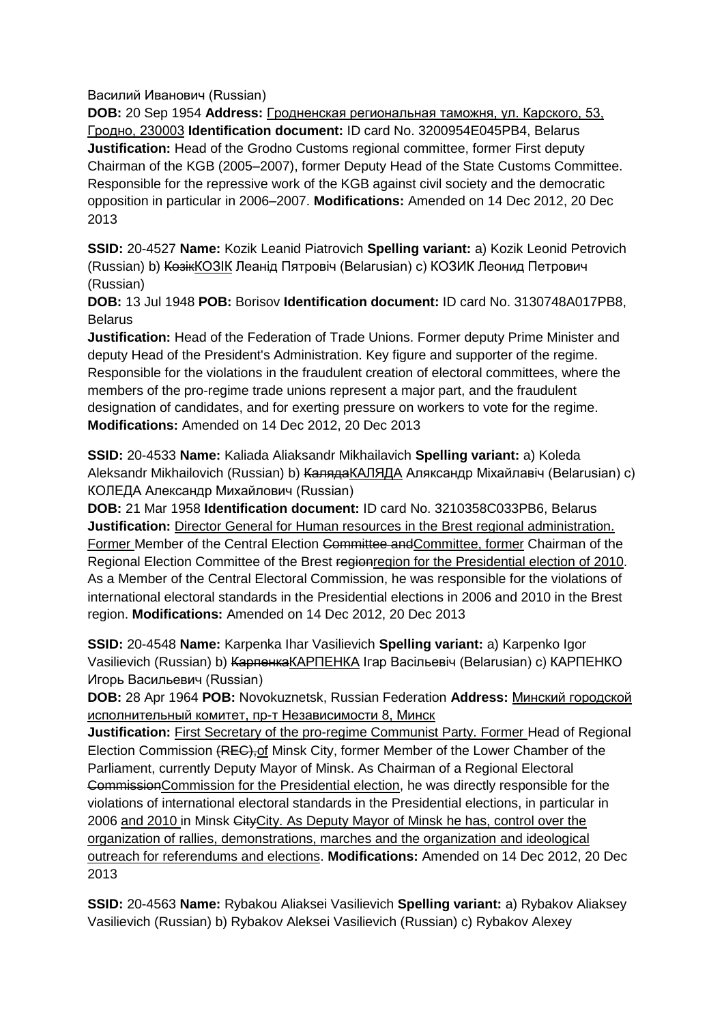Василий Иванович (Russian)

**DOB:** 20 Sep 1954 **Address:** Гродненская региональная таможня, ул. Карского, 53, Гродно, 230003 **Identification document:** ID card No. 3200954E045PB4, Belarus **Justification:** Head of the Grodno Customs regional committee, former First deputy Chairman of the KGB (2005–2007), former Deputy Head of the State Customs Committee. Responsible for the repressive work of the KGB against civil society and the democratic opposition in particular in 2006–2007. **Modifications:** Amended on 14 Dec 2012, 20 Dec 2013

**SSID:** 20-4527 **Name:** Kozik Leanid Piatrovich **Spelling variant:** a) Kozik Leonid Petrovich (Russian) b) КозікКОЗIК Леанід Пятровіч (Belarusian) c) КОЗИК Леонид Петрович (Russian)

**DOB:** 13 Jul 1948 **POB:** Borisov **Identification document:** ID card No. 3130748A017PB8, Belarus

**Justification:** Head of the Federation of Trade Unions. Former deputy Prime Minister and deputy Head of the President's Administration. Key figure and supporter of the regime. Responsible for the violations in the fraudulent creation of electoral committees, where the members of the pro-regime trade unions represent a major part, and the fraudulent designation of candidates, and for exerting pressure on workers to vote for the regime. **Modifications:** Amended on 14 Dec 2012, 20 Dec 2013

**SSID:** 20-4533 **Name:** Kaliada Aliaksandr Mikhailavich **Spelling variant:** a) Koleda Aleksandr Mikhailovich (Russian) b) КалядаКАЛЯДА Аляксандр Міхайлавіч (Belarusian) c) КОЛЕДА Александр Михайлович (Russian)

**DOB:** 21 Mar 1958 **Identification document:** ID card No. 3210358C033PB6, Belarus **Justification:** Director General for Human resources in the Brest regional administration. Former Member of the Central Election Committee andCommittee, former Chairman of the Regional Election Committee of the Brest regionregion for the Presidential election of 2010. As a Member of the Central Electoral Commission, he was responsible for the violations of international electoral standards in the Presidential elections in 2006 and 2010 in the Brest region. **Modifications:** Amended on 14 Dec 2012, 20 Dec 2013

**SSID:** 20-4548 **Name:** Karpenka Ihar Vasilievich **Spelling variant:** a) Karpenko Igor Vasilievich (Russian) b) КарпенкаКАРПЕНКА Ігар Васільевіч (Belarusian) c) КАРПЕНКО Игорь Васильевич (Russian)

**DOB:** 28 Apr 1964 **POB:** Novokuznetsk, Russian Federation **Address:** Минский городской исполнительный комитет, пр-т Независимости 8, Минск

**Justification:** First Secretary of the pro-regime Communist Party. Former Head of Regional Election Commission (REC),of Minsk City, former Member of the Lower Chamber of the Parliament, currently Deputy Mayor of Minsk. As Chairman of a Regional Electoral CommissionCommission for the Presidential election, he was directly responsible for the violations of international electoral standards in the Presidential elections, in particular in 2006 and 2010 in Minsk CityCity. As Deputy Mayor of Minsk he has, control over the organization of rallies, demonstrations, marches and the organization and ideological outreach for referendums and elections. **Modifications:** Amended on 14 Dec 2012, 20 Dec 2013

**SSID:** 20-4563 **Name:** Rybakou Aliaksei Vasilievich **Spelling variant:** a) Rybakov Aliaksey Vasilievich (Russian) b) Rybakov Aleksei Vasilievich (Russian) c) Rybakov Alexey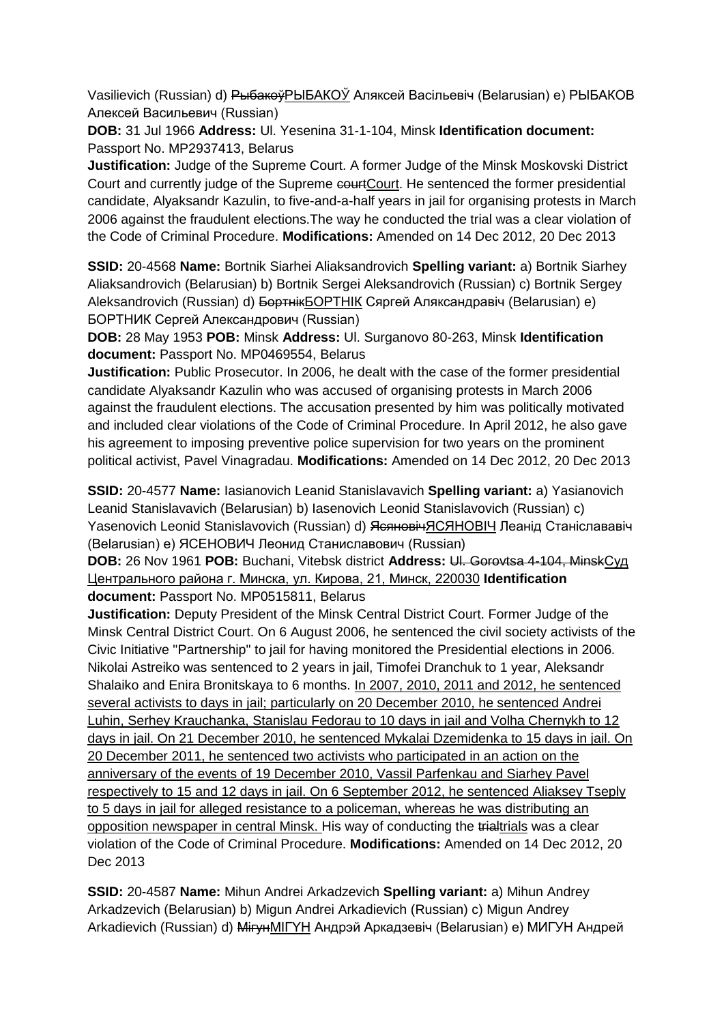Vasilievich (Russian) d) РыбакоўРЫБАКОЎ Аляксей Васiльевiч (Belarusian) e) РЫБАКОВ Алексей Васильевич (Russian)

**DOB:** 31 Jul 1966 **Address:** Ul. Yesenina 31-1-104, Minsk **Identification document:** Passport No. MP2937413, Belarus

**Justification:** Judge of the Supreme Court. A former Judge of the Minsk Moskovski District Court and currently judge of the Supreme courtCourt. He sentenced the former presidential candidate, Alyaksandr Kazulin, to five-and-a-half years in jail for organising protests in March 2006 against the fraudulent elections.The way he conducted the trial was a clear violation of the Code of Criminal Procedure. **Modifications:** Amended on 14 Dec 2012, 20 Dec 2013

**SSID:** 20-4568 **Name:** Bortnik Siarhei Aliaksandrovich **Spelling variant:** a) Bortnik Siarhey Aliaksandrovich (Belarusian) b) Bortnik Sergei Aleksandrovich (Russian) c) Bortnik Sergey Aleksandrovich (Russian) d) БортнікБОРТНIК Сяргей Аляксандравіч (Belarusian) e) БОРТНИК Сергей Александрович (Russian)

**DOB:** 28 May 1953 **POB:** Minsk **Address:** Ul. Surganovo 80-263, Minsk **Identification document:** Passport No. MP0469554, Belarus

**Justification:** Public Prosecutor. In 2006, he dealt with the case of the former presidential candidate Alyaksandr Kazulin who was accused of organising protests in March 2006 against the fraudulent elections. The accusation presented by him was politically motivated and included clear violations of the Code of Criminal Procedure. In April 2012, he also gave his agreement to imposing preventive police supervision for two years on the prominent political activist, Pavel Vinagradau. **Modifications:** Amended on 14 Dec 2012, 20 Dec 2013

**SSID:** 20-4577 **Name:** Iasianovich Leanid Stanislavavich **Spelling variant:** a) Yasianovich Leanid Stanislavavich (Belarusian) b) Iasenovich Leonid Stanislavovich (Russian) c) Yasenovich Leonid Stanislavovich (Russian) d) ЯсяновічЯСЯНОВІЧ Леанід Станіслававіч (Belarusian) e) ЯСЕНОВИЧ Леонид Станиславович (Russian)

**DOB:** 26 Nov 1961 **POB:** Buchani, Vitebsk district **Address:** Ul. Gorovtsa 4-104, MinskСуд Центрального района г. Минска, ул. Кирова, 21, Минск, 220030 **Identification document:** Passport No. MP0515811, Belarus

**Justification:** Deputy President of the Minsk Central District Court. Former Judge of the Minsk Central District Court. On 6 August 2006, he sentenced the civil society activists of the Civic Initiative "Partnership" to jail for having monitored the Presidential elections in 2006. Nikolai Astreiko was sentenced to 2 years in jail, Timofei Dranchuk to 1 year, Aleksandr Shalaiko and Enira Bronitskaya to 6 months. In 2007, 2010, 2011 and 2012, he sentenced several activists to days in jail; particularly on 20 December 2010, he sentenced Andrei Luhin, Serhey Krauchanka, Stanislau Fedorau to 10 days in jail and Volha Chernykh to 12 days in jail. On 21 December 2010, he sentenced Mykalai Dzemidenka to 15 days in jail. On 20 December 2011, he sentenced two activists who participated in an action on the anniversary of the events of 19 December 2010, Vassil Parfenkau and Siarhey Pavel respectively to 15 and 12 days in jail. On 6 September 2012, he sentenced Aliaksey Tseply to 5 days in jail for alleged resistance to a policeman, whereas he was distributing an opposition newspaper in central Minsk. His way of conducting the trialtrials was a clear violation of the Code of Criminal Procedure. **Modifications:** Amended on 14 Dec 2012, 20 Dec 2013

**SSID:** 20-4587 **Name:** Mihun Andrei Arkadzevich **Spelling variant:** a) Mihun Andrey Arkadzevich (Belarusian) b) Migun Andrei Arkadievich (Russian) c) Migun Andrey Arkadievich (Russian) d) МігунMIГYH Андрэй Аркадзевіч (Belarusian) e) МИГУН Андрей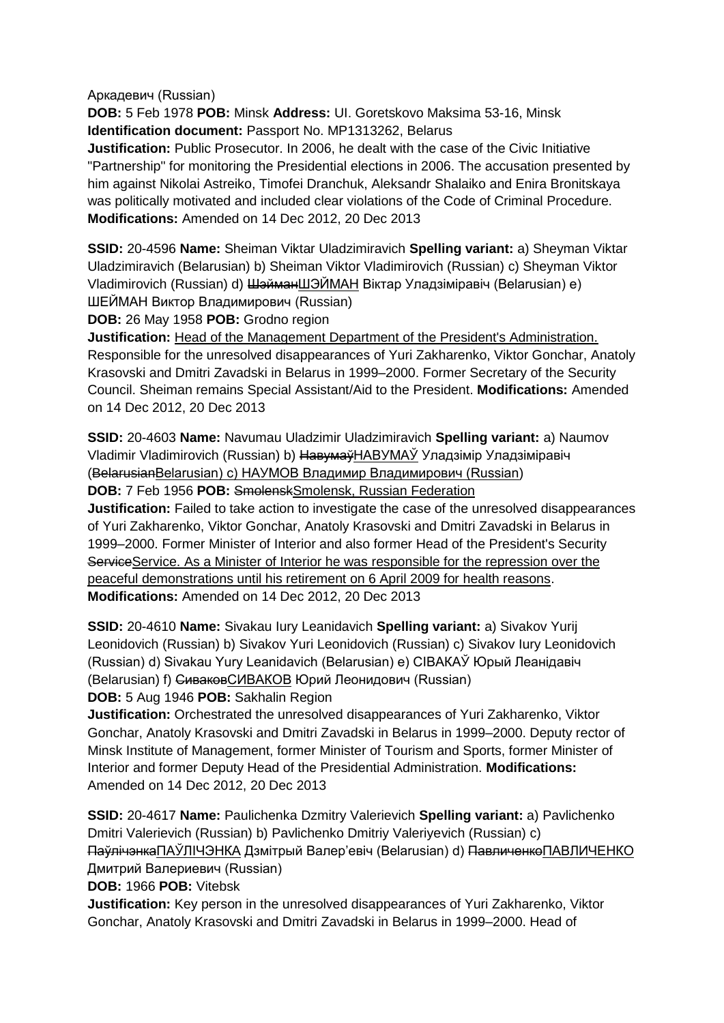Аркадевич (Russian)

**DOB:** 5 Feb 1978 **POB:** Minsk **Address:** UI. Goretskovo Maksima 53-16, Minsk **Identification document:** Passport No. MP1313262, Belarus

**Justification:** Public Prosecutor. In 2006, he dealt with the case of the Civic Initiative "Partnership" for monitoring the Presidential elections in 2006. The accusation presented by him against Nikolai Astreiko, Timofei Dranchuk, Aleksandr Shalaiko and Enira Bronitskaya was politically motivated and included clear violations of the Code of Criminal Procedure. **Modifications:** Amended on 14 Dec 2012, 20 Dec 2013

**SSID:** 20-4596 **Name:** Sheiman Viktar Uladzimiravich **Spelling variant:** a) Sheyman Viktar Uladzimiravich (Belarusian) b) Sheiman Viktor Vladimirovich (Russian) c) Sheyman Viktor Vladimirovich (Russian) d) ШэйманШЭЙМАН Віктар Уладзіміравіч (Belarusian) e) ШЕЙМАН Виктор Владимирович (Russian)

**DOB:** 26 May 1958 **POB:** Grodno region

**Justification:** Head of the Management Department of the President's Administration. Responsible for the unresolved disappearances of Yuri Zakharenko, Viktor Gonchar, Anatoly Krasovski and Dmitri Zavadski in Belarus in 1999–2000. Former Secretary of the Security Council. Sheiman remains Special Assistant/Aid to the President. **Modifications:** Amended on 14 Dec 2012, 20 Dec 2013

**SSID:** 20-4603 **Name:** Navumau Uladzimir Uladzimiravich **Spelling variant:** a) Naumov Vladimir Vladimirovich (Russian) b) НавумаўНАВУМАЎ Уладзімір Уладзіміравіч (BelarusianBelarusian) c) НАУМОВ Владимир Владимирович (Russian)

**DOB:** 7 Feb 1956 **POB:** SmolenskSmolensk, Russian Federation

**Justification:** Failed to take action to investigate the case of the unresolved disappearances of Yuri Zakharenko, Viktor Gonchar, Anatoly Krasovski and Dmitri Zavadski in Belarus in 1999–2000. Former Minister of Interior and also former Head of the President's Security ServiceService. As a Minister of Interior he was responsible for the repression over the peaceful demonstrations until his retirement on 6 April 2009 for health reasons. **Modifications:** Amended on 14 Dec 2012, 20 Dec 2013

**SSID:** 20-4610 **Name:** Sivakau Iury Leanidavich **Spelling variant:** a) Sivakov Yurij Leonidovich (Russian) b) Sivakov Yuri Leonidovich (Russian) c) Sivakov Iury Leonidovich (Russian) d) Sivakau Yury Leanidavich (Belarusian) e) СIВАКАЎ Юрый Леанiдавiч (Belarusian) f) СиваковСИВАКОВ Юрий Леонидович (Russian)

**DOB:** 5 Aug 1946 **POB:** Sakhalin Region

**Justification:** Orchestrated the unresolved disappearances of Yuri Zakharenko, Viktor Gonchar, Anatoly Krasovski and Dmitri Zavadski in Belarus in 1999–2000. Deputy rector of Minsk Institute of Management, former Minister of Tourism and Sports, former Minister of Interior and former Deputy Head of the Presidential Administration. **Modifications:**  Amended on 14 Dec 2012, 20 Dec 2013

**SSID:** 20-4617 **Name:** Paulichenka Dzmitry Valerievich **Spelling variant:** a) Pavlichenko Dmitri Valerievich (Russian) b) Pavlichenko Dmitriy Valeriyevich (Russian) c) ПаўлічэнкаПАЎЛIЧЭНКА Дзмiтрый Валер'евіч (Belarusian) d) ПавличенкоПАВЛИЧЕНКО Дмитрий Валериевич (Russian)

**DOB:** 1966 **POB:** Vitebsk

**Justification:** Key person in the unresolved disappearances of Yuri Zakharenko, Viktor Gonchar, Anatoly Krasovski and Dmitri Zavadski in Belarus in 1999–2000. Head of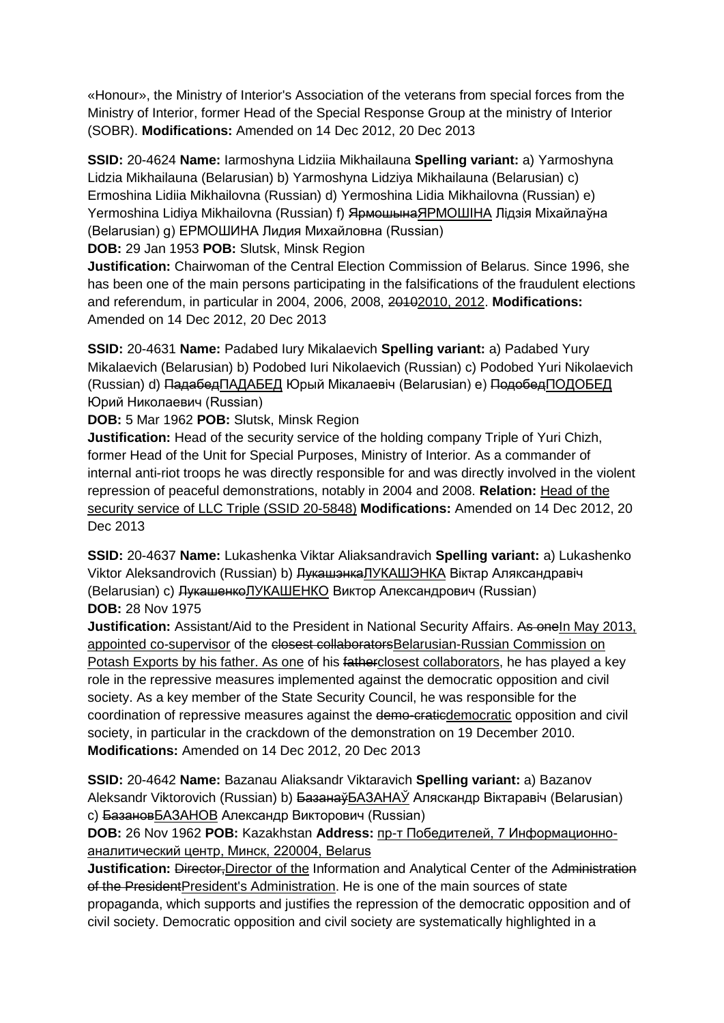«Honour», the Ministry of Interior's Association of the veterans from special forces from the Ministry of Interior, former Head of the Special Response Group at the ministry of Interior (SOBR). **Modifications:** Amended on 14 Dec 2012, 20 Dec 2013

**SSID:** 20-4624 **Name:** Iarmoshyna Lidziia Mikhailauna **Spelling variant:** a) Yarmoshyna Lidzia Mikhailauna (Belarusian) b) Yarmoshyna Lidziya Mikhailauna (Belarusian) c) Ermoshina Lidiia Mikhailovna (Russian) d) Yermoshina Lidia Mikhailovna (Russian) e) Yermoshina Lidiya Mikhailovna (Russian) f) ЯрмошынаЯРМОШІНА Лідзія Міхайлаўна (Belarusian) g) ЕРМОШИНА Лидия Михайловна (Russian) **DOB:** 29 Jan 1953 **POB:** Slutsk, Minsk Region

**Justification:** Chairwoman of the Central Election Commission of Belarus. Since 1996, she has been one of the main persons participating in the falsifications of the fraudulent elections and referendum, in particular in 2004, 2006, 2008, 20102010, 2012. **Modifications:**  Amended on 14 Dec 2012, 20 Dec 2013

**SSID:** 20-4631 **Name:** Padabed Iury Mikalaevich **Spelling variant:** a) Padabed Yury Mikalaevich (Belarusian) b) Podobed Iuri Nikolaevich (Russian) c) Podobed Yuri Nikolaevich (Russian) d) ПадабедПАДАБЕД Юрый Мікалаевіч (Belarusian) e) ПодобедПОДОБЕД Юрий Николаевич (Russian)

**DOB:** 5 Mar 1962 **POB:** Slutsk, Minsk Region

**Justification:** Head of the security service of the holding company Triple of Yuri Chizh, former Head of the Unit for Special Purposes, Ministry of Interior. As a commander of internal anti-riot troops he was directly responsible for and was directly involved in the violent repression of peaceful demonstrations, notably in 2004 and 2008. **Relation:** Head of the security service of LLC Triple (SSID 20-5848) **Modifications:** Amended on 14 Dec 2012, 20 Dec 2013

**SSID:** 20-4637 **Name:** Lukashenka Viktar Aliaksandravich **Spelling variant:** a) Lukashenko Viktor Aleksandrovich (Russian) b) <del>Лукашэнка</del>ЛУКАШЭНКА Віктар Аляксандравіч (Belarusian) c) ЛукашенкоЛУКАШЕНКО Виктор Александрович (Russian) **DOB:** 28 Nov 1975

**Justification:** Assistant/Aid to the President in National Security Affairs. As oneIn May 2013, appointed co-supervisor of the closest collaboratorsBelarusian-Russian Commission on Potash Exports by his father. As one of his fatherclosest collaborators, he has played a key role in the repressive measures implemented against the democratic opposition and civil society. As a key member of the State Security Council, he was responsible for the coordination of repressive measures against the demo-craticdemocratic opposition and civil society, in particular in the crackdown of the demonstration on 19 December 2010. **Modifications:** Amended on 14 Dec 2012, 20 Dec 2013

**SSID:** 20-4642 **Name:** Bazanau Aliaksandr Viktaravich **Spelling variant:** a) Bazanov Aleksandr Viktorovich (Russian) b) БазанаўБАЗАНАЎ Аляскандр Віктаравіч (Belarusian) c) БазановБАЗАНОВ Александр Викторович (Russian)

**DOB:** 26 Nov 1962 **POB:** Kazakhstan **Address:** пр-т Победителей, 7 Информационноаналитический центр, Минск, 220004, Belarus

**Justification:** Director,Director of the Information and Analytical Center of the Administration of the PresidentPresident's Administration. He is one of the main sources of state propaganda, which supports and justifies the repression of the democratic opposition and of civil society. Democratic opposition and civil society are systematically highlighted in a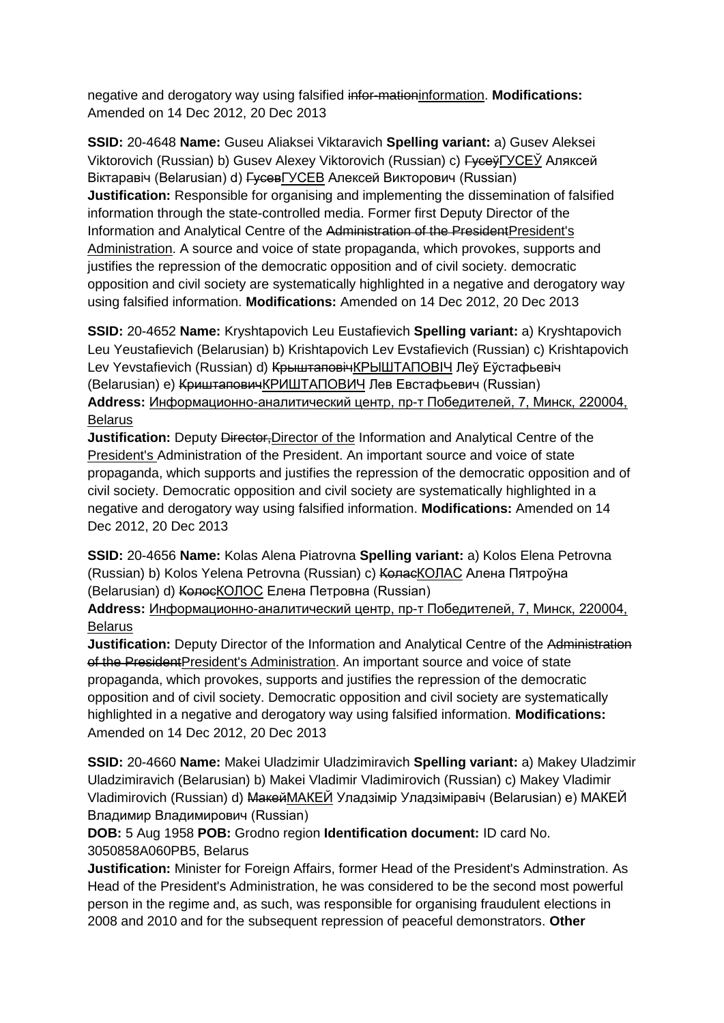negative and derogatory way using falsified infor-mationinformation. **Modifications:**  Amended on 14 Dec 2012, 20 Dec 2013

**SSID:** 20-4648 **Name:** Guseu Aliaksei Viktaravich **Spelling variant:** a) Gusev Aleksei Viktorovich (Russian) b) Gusev Alexey Viktorovich (Russian) c) Гусеў ГУСЕЎ Аляксей Вiктаравіч (Belarusian) d) ГусевГУСЕВ Алексей Викторович (Russian) **Justification:** Responsible for organising and implementing the dissemination of falsified information through the state-controlled media. Former first Deputy Director of the Information and Analytical Centre of the Administration of the PresidentPresident's Administration. A source and voice of state propaganda, which provokes, supports and justifies the repression of the democratic opposition and of civil society. democratic opposition and civil society are systematically highlighted in a negative and derogatory way using falsified information. **Modifications:** Amended on 14 Dec 2012, 20 Dec 2013

**SSID:** 20-4652 **Name:** Kryshtapovich Leu Eustafievich **Spelling variant:** a) Kryshtapovich Leu Yeustafievich (Belarusian) b) Krishtapovich Lev Evstafievich (Russian) c) Krishtapovich Lev Yevstafievich (Russian) d) <del>Крыштаповіч</del>КРЫШТАПОВІЧ Леў Еўстафьевіч (Belarusian) e) КриштаповичКРИШТАПОВИЧ Лев Евстафьевич (Russian) **Address:** Информационно-аналитический центр, пр-т Победителей, 7, Минск, 220004, **Belarus** 

**Justification:** Deputy <del>Director, D</del>irector of the Information and Analytical Centre of the President's Administration of the President. An important source and voice of state propaganda, which supports and justifies the repression of the democratic opposition and of civil society. Democratic opposition and civil society are systematically highlighted in a negative and derogatory way using falsified information. **Modifications:** Amended on 14 Dec 2012, 20 Dec 2013

**SSID:** 20-4656 **Name:** Kolas Alena Piatrovna **Spelling variant:** a) Kolos Elena Petrovna (Russian) b) Kolos Yelena Petrovna (Russian) c) КоласКОЛАС Алена Пятроўна (Belarusian) d) КолосКОЛОС Елена Петровна (Russian)

**Address:** Информационно-аналитический центр, пр-т Победителей, 7, Минск, 220004, **Belarus** 

**Justification:** Deputy Director of the Information and Analytical Centre of the Administration of the PresidentPresident's Administration. An important source and voice of state propaganda, which provokes, supports and justifies the repression of the democratic opposition and of civil society. Democratic opposition and civil society are systematically highlighted in a negative and derogatory way using falsified information. **Modifications:**  Amended on 14 Dec 2012, 20 Dec 2013

**SSID:** 20-4660 **Name:** Makei Uladzimir Uladzimiravich **Spelling variant:** a) Makey Uladzimir Uladzimiravich (Belarusian) b) Makei Vladimir Vladimirovich (Russian) c) Makey Vladimir Vladimirovich (Russian) d) Макей МАКЕЙ Уладзімір Уладзіміравіч (Belarusian) e) МАКЕЙ Владимир Владимирович (Russian)

# **DOB:** 5 Aug 1958 **POB:** Grodno region **Identification document:** ID card No. 3050858A060PB5, Belarus

**Justification:** Minister for Foreign Affairs, former Head of the President's Adminstration. As Head of the President's Administration, he was considered to be the second most powerful person in the regime and, as such, was responsible for organising fraudulent elections in 2008 and 2010 and for the subsequent repression of peaceful demonstrators. **Other**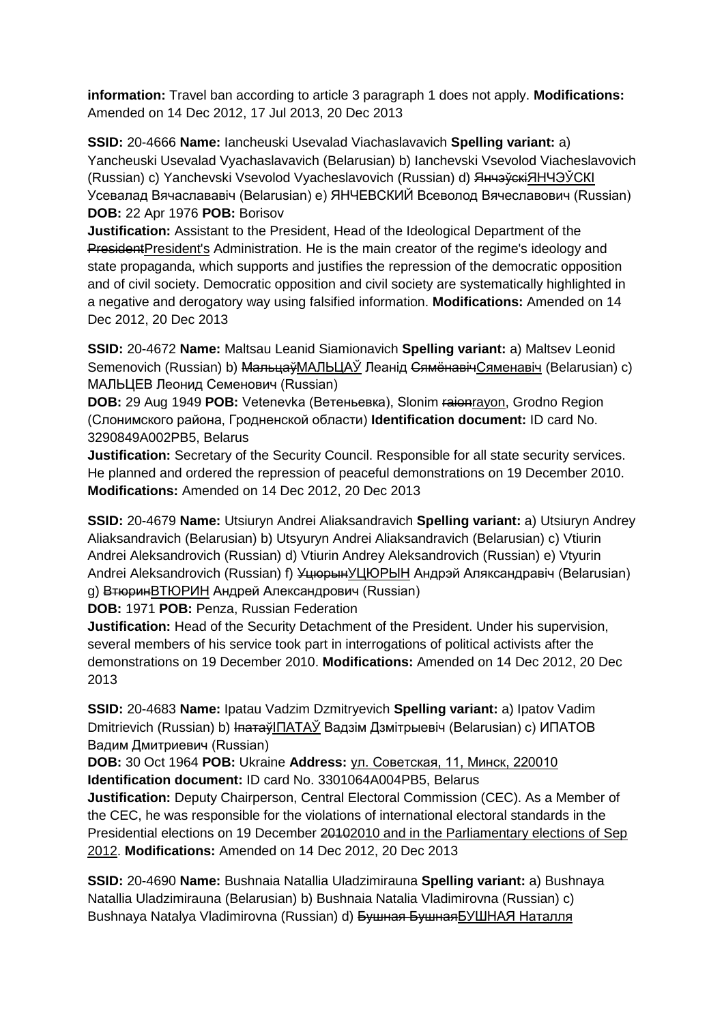**information:** Travel ban according to article 3 paragraph 1 does not apply. **Modifications:**  Amended on 14 Dec 2012, 17 Jul 2013, 20 Dec 2013

**SSID:** 20-4666 **Name:** Iancheuski Usevalad Viachaslavavich **Spelling variant:** a) Yancheuski Usevalad Vyachaslavavich (Belarusian) b) Ianchevski Vsevolod Viacheslavovich (Russian) c) Yanchevski Vsevolod Vyacheslavovich (Russian) d) Янчэўскі ЯНЧЭЎСКІ Усевалад Вячаслававіч (Belarusian) e) ЯНЧЕВСКИЙ Всеволод Вячеславович (Russian) **DOB:** 22 Apr 1976 **POB:** Borisov

**Justification:** Assistant to the President, Head of the Ideological Department of the PresidentPresident's Administration. He is the main creator of the regime's ideology and state propaganda, which supports and justifies the repression of the democratic opposition and of civil society. Democratic opposition and civil society are systematically highlighted in a negative and derogatory way using falsified information. **Modifications:** Amended on 14 Dec 2012, 20 Dec 2013

**SSID:** 20-4672 **Name:** Maltsau Leanid Siamionavich **Spelling variant:** a) Maltsev Leonid Semenovich (Russian) b) <del>Мальцаў</del>МАЛЬЦАЎ Леанід СямёнавічСяменавіч (Belarusian) c) МАЛЬЦЕВ Леонид Семенович (Russian)

**DOB:** 29 Aug 1949 **POB:** Vetenevka (Ветеньевка), Slonim raionrayon, Grodno Region (Слонимского района, Гродненской области) **Identification document:** ID card No. 3290849A002PB5, Belarus

**Justification:** Secretary of the Security Council. Responsible for all state security services. He planned and ordered the repression of peaceful demonstrations on 19 December 2010. **Modifications:** Amended on 14 Dec 2012, 20 Dec 2013

**SSID:** 20-4679 **Name:** Utsiuryn Andrei Aliaksandravich **Spelling variant:** a) Utsiuryn Andrey Aliaksandravich (Belarusian) b) Utsyuryn Andrei Aliaksandravich (Belarusian) c) Vtiurin Andrei Aleksandrovich (Russian) d) Vtiurin Andrey Aleksandrovich (Russian) e) Vtyurin Andrei Aleksandrovich (Russian) f) УцюрынУЦЮРЫН Андрэй Аляксандравіч (Belarusian) g) ВтюринВТЮРИН Андрей Александрович (Russian)

**DOB:** 1971 **POB:** Penza, Russian Federation

**Justification:** Head of the Security Detachment of the President. Under his supervision, several members of his service took part in interrogations of political activists after the demonstrations on 19 December 2010. **Modifications:** Amended on 14 Dec 2012, 20 Dec 2013

**SSID:** 20-4683 **Name:** Ipatau Vadzim Dzmitryevich **Spelling variant:** a) Ipatov Vadim Dmitrievich (Russian) b) ІпатаўІПАТАЎ Вадзім Дзмітрыевіч (Belarusian) с) ИПАТОВ Вадим Дмитриевич (Russian)

**DOB:** 30 Oct 1964 **POB:** Ukraine **Address:** ул. Советская, 11, Минск, 220010 **Identification document:** ID card No. 3301064A004PB5, Belarus

**Justification:** Deputy Chairperson, Central Electoral Commission (CEC). As a Member of the CEC, he was responsible for the violations of international electoral standards in the Presidential elections on 19 December 20102010 and in the Parliamentary elections of Sep 2012. **Modifications:** Amended on 14 Dec 2012, 20 Dec 2013

**SSID:** 20-4690 **Name:** Bushnaia Natallia Uladzimirauna **Spelling variant:** a) Bushnaya Natallia Uladzimirauna (Belarusian) b) Bushnaia Natalia Vladimirovna (Russian) c) Bushnaya Natalya Vladimirovna (Russian) d) Бушная БушнаяБУШНАЯ Наталля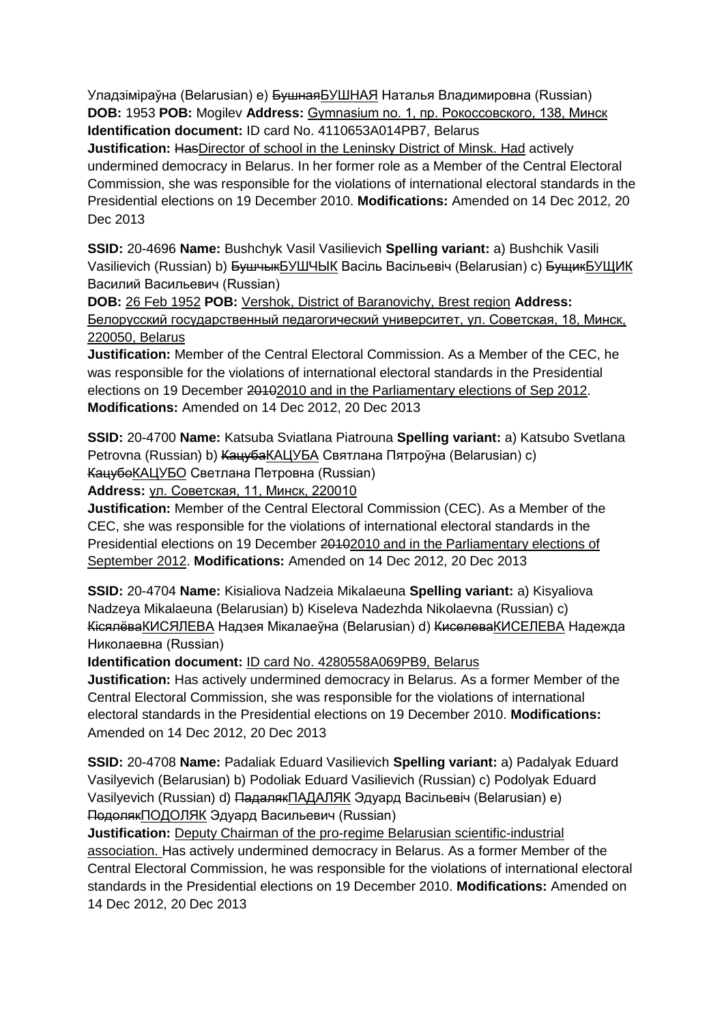Уладзіміраўна (Belarusian) e) БушнаяБУШНАЯ Наталья Владимировна (Russian) **DOB:** 1953 **POB:** Mogilev **Address:** Gymnasium no. 1, пр. Рокоссовского, 138, Минск **Identification document:** ID card No. 4110653A014PB7, Belarus

**Justification:** HasDirector of school in the Leninsky District of Minsk. Had actively undermined democracy in Belarus. In her former role as a Member of the Central Electoral Commission, she was responsible for the violations of international electoral standards in the Presidential elections on 19 December 2010. **Modifications:** Amended on 14 Dec 2012, 20 Dec 2013

**SSID:** 20-4696 **Name:** Bushchyk Vasil Vasilievich **Spelling variant:** a) Bushchik Vasili Vasilievich (Russian) b) БушчыкБУШЧЫК Васіль Васільевіч (Belarusian) с) БущикБУЩИК Василий Васильевич (Russian)

**DOB:** 26 Feb 1952 **POB:** Vershok, District of Baranovichy, Brest region **Address:** Белорусский государственный педагогический университет, ул. Советская, 18, Минск, 220050, Belarus

**Justification:** Member of the Central Electoral Commission. As a Member of the CEC, he was responsible for the violations of international electoral standards in the Presidential elections on 19 December 20102010 and in the Parliamentary elections of Sep 2012. **Modifications:** Amended on 14 Dec 2012, 20 Dec 2013

**SSID:** 20-4700 **Name:** Katsuba Sviatlana Piatrouna **Spelling variant:** a) Katsubo Svetlana Petrovna (Russian) b) КацубаКАЦУБА Святлана Пятроўна (Belarusian) c) КацубоКАЦУБО Светлана Петровна (Russian)

**Address:** ул. Советская, 11, Минск, 220010

**Justification:** Member of the Central Electoral Commission (CEC). As a Member of the CEC, she was responsible for the violations of international electoral standards in the Presidential elections on 19 December 20102010 and in the Parliamentary elections of September 2012. **Modifications:** Amended on 14 Dec 2012, 20 Dec 2013

**SSID:** 20-4704 **Name:** Kisialiova Nadzeia Mikalaeuna **Spelling variant:** a) Kisyaliova Nadzeya Mikalaeuna (Belarusian) b) Kiseleva Nadezhda Nikolaevna (Russian) c) КiсялёваКИСЯЛЕВА Надзея Мiкалаеўна (Belarusian) d) КиселеваКИСЕЛЕВА Надежда Николаевна (Russian)

**Identification document:** ID card No. 4280558A069PB9, Belarus

**Justification:** Has actively undermined democracy in Belarus. As a former Member of the Central Electoral Commission, she was responsible for the violations of international electoral standards in the Presidential elections on 19 December 2010. **Modifications:**  Amended on 14 Dec 2012, 20 Dec 2013

**SSID:** 20-4708 **Name:** Padaliak Eduard Vasilievich **Spelling variant:** a) Padalyak Eduard Vasilyevich (Belarusian) b) Podoliak Eduard Vasilievich (Russian) c) Podolyak Eduard Vasilyevich (Russian) d) ПадалякПАДАЛЯК Эдуард Васільевіч (Belarusian) e) ПодолякПОДОЛЯК Эдуард Васильевич (Russian)

**Justification:** Deputy Chairman of the pro-regime Belarusian scientific-industrial association. Has actively undermined democracy in Belarus. As a former Member of the Central Electoral Commission, he was responsible for the violations of international electoral standards in the Presidential elections on 19 December 2010. **Modifications:** Amended on 14 Dec 2012, 20 Dec 2013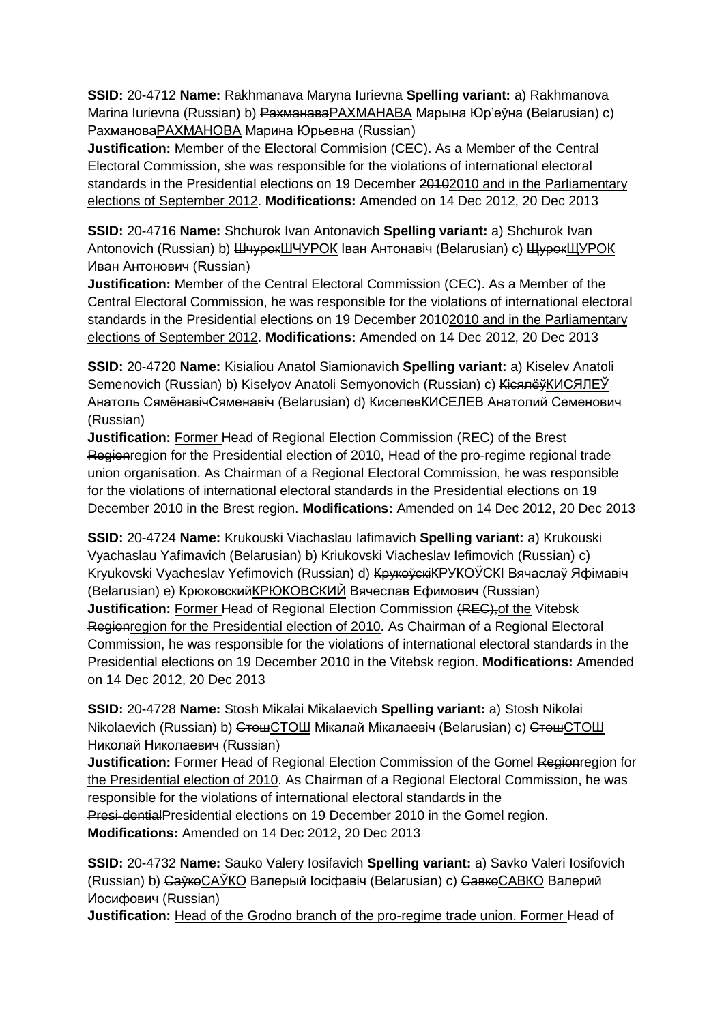**SSID:** 20-4712 **Name:** Rakhmanava Maryna Iurievna **Spelling variant:** a) Rakhmanova Marina Iurievna (Russian) b) РахманаваРАХМАНАВА Марына Юр'еўна (Belarusian) c) РахмановаРАХМАНОВА Марина Юрьевна (Russian)

**Justification:** Member of the Electoral Commision (CEC). As a Member of the Central Electoral Commission, she was responsible for the violations of international electoral standards in the Presidential elections on 19 December 20102010 and in the Parliamentary elections of September 2012. **Modifications:** Amended on 14 Dec 2012, 20 Dec 2013

**SSID:** 20-4716 **Name:** Shchurok Ivan Antonavich **Spelling variant:** a) Shchurok Ivan Antonovich (Russian) b) ШчурокШЧУРОК Іван Антонавіч (Belarusian) c) ЩурокЩУРОК Иван Антонович (Russian)

**Justification:** Member of the Central Electoral Commission (CEC). As a Member of the Central Electoral Commission, he was responsible for the violations of international electoral standards in the Presidential elections on 19 December 20102010 and in the Parliamentary elections of September 2012. **Modifications:** Amended on 14 Dec 2012, 20 Dec 2013

**SSID:** 20-4720 **Name:** Kisialiou Anatol Siamionavich **Spelling variant:** a) Kiselev Anatoli Semenovich (Russian) b) Kiselyov Anatoli Semyonovich (Russian) c) КісялёўКИСЯЛЕЎ Анатоль СямёнавічСяменавiч (Belarusian) d) КиселевКИСЕЛЕВ Анатолий Семенович (Russian)

**Justification:** Former Head of Regional Election Commission (REC) of the Brest Regionregion for the Presidential election of 2010, Head of the pro-regime regional trade union organisation. As Chairman of a Regional Electoral Commission, he was responsible for the violations of international electoral standards in the Presidential elections on 19 December 2010 in the Brest region. **Modifications:** Amended on 14 Dec 2012, 20 Dec 2013

**SSID:** 20-4724 **Name:** Krukouski Viachaslau Iafimavich **Spelling variant:** a) Krukouski Vyachaslau Yafimavich (Belarusian) b) Kriukovski Viacheslav Iefimovich (Russian) c) Kryukovski Vyacheslav Yefimovich (Russian) d) КрукоўскіКРУКОЎСКI Вячаслаў Яфімавіч (Belarusian) e) КрюковскийКРЮКОВСКИЙ Вячеслав Ефимович (Russian) **Justification:** Former Head of Regional Election Commission (REC), of the Vitebsk Regionregion for the Presidential election of 2010. As Chairman of a Regional Electoral Commission, he was responsible for the violations of international electoral standards in the Presidential elections on 19 December 2010 in the Vitebsk region. **Modifications:** Amended on 14 Dec 2012, 20 Dec 2013

**SSID:** 20-4728 **Name:** Stosh Mikalai Mikalaevich **Spelling variant:** a) Stosh Nikolai Nikolaevich (Russian) b) СтошСТОШ Мікалай Мікалаевіч (Belarusian) с) СтошСТОШ Николай Николаевич (Russian)

**Justification:** Former Head of Regional Election Commission of the Gomel Regionregion for the Presidential election of 2010. As Chairman of a Regional Electoral Commission, he was responsible for the violations of international electoral standards in the Presi-dentialPresidential elections on 19 December 2010 in the Gomel region. **Modifications:** Amended on 14 Dec 2012, 20 Dec 2013

**SSID:** 20-4732 **Name:** Sauko Valery Iosifavich **Spelling variant:** a) Savko Valeri Iosifovich (Russian) b) СаўкоСАЎКО Валерый Іосіфавіч (Belarusian) с) СавкоСАВКО Валерий Иосифович (Russian)

**Justification:** Head of the Grodno branch of the pro-regime trade union. Former Head of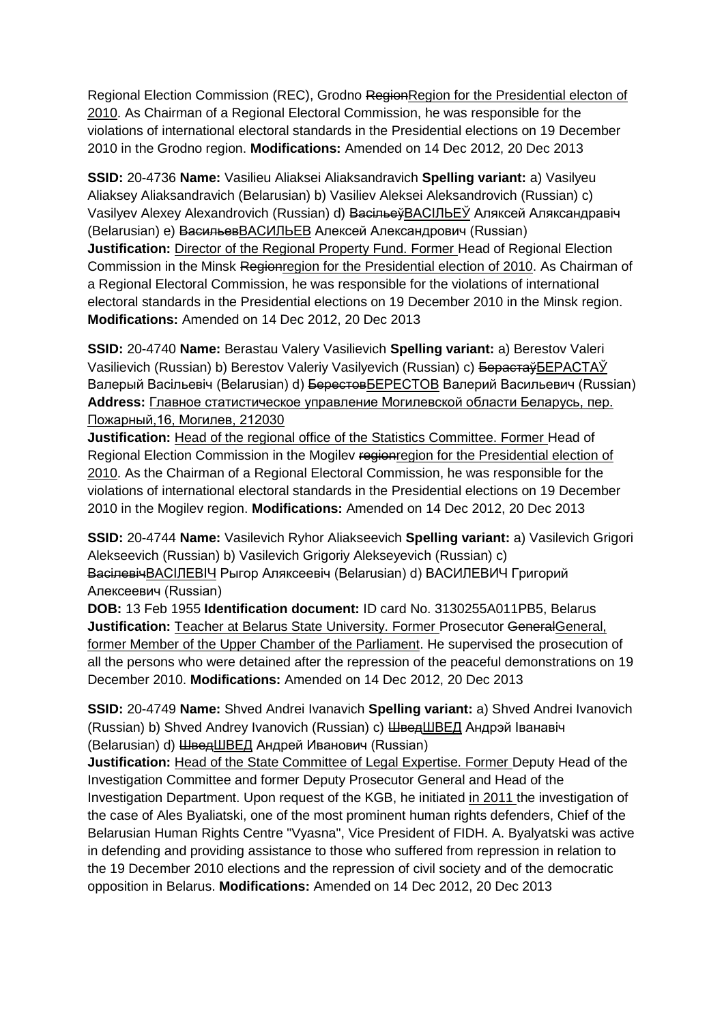Regional Election Commission (REC), Grodno RegionRegion for the Presidential electon of 2010. As Chairman of a Regional Electoral Commission, he was responsible for the violations of international electoral standards in the Presidential elections on 19 December 2010 in the Grodno region. **Modifications:** Amended on 14 Dec 2012, 20 Dec 2013

**SSID:** 20-4736 **Name:** Vasilieu Aliaksei Aliaksandravich **Spelling variant:** a) Vasilyeu Aliaksey Aliaksandravich (Belarusian) b) Vasiliev Aleksei Aleksandrovich (Russian) c) Vasilyev Alexey Alexandrovich (Russian) d) ВасільеўВАСIЛЬЕЎ Аляксей Аляксандравіч (Belarusian) e) ВасильевВАСИЛЬЕВ Алексей Александрович (Russian) **Justification:** Director of the Regional Property Fund. Former Head of Regional Election Commission in the Minsk Regionregion for the Presidential election of 2010. As Chairman of a Regional Electoral Commission, he was responsible for the violations of international electoral standards in the Presidential elections on 19 December 2010 in the Minsk region. **Modifications:** Amended on 14 Dec 2012, 20 Dec 2013

**SSID:** 20-4740 **Name:** Berastau Valery Vasilievich **Spelling variant:** a) Berestov Valeri Vasilievich (Russian) b) Berestov Valeriy Vasilyevich (Russian) c) БерастаўБЕРАСТАЎ Валерый Васільевіч (Belarusian) d) БерестовБЕРЕСТОВ Валерий Васильевич (Russian) **Address:** Главное статистическое управление Могилевской области Беларусь, пер. Пожарный,16, Могилев, 212030

**Justification:** Head of the regional office of the Statistics Committee. Former Head of Regional Election Commission in the Mogilev regionregion for the Presidential election of 2010. As the Chairman of a Regional Electoral Commission, he was responsible for the violations of international electoral standards in the Presidential elections on 19 December 2010 in the Mogilev region. **Modifications:** Amended on 14 Dec 2012, 20 Dec 2013

**SSID:** 20-4744 **Name:** Vasilevich Ryhor Aliakseevich **Spelling variant:** a) Vasilevich Grigori Alekseevich (Russian) b) Vasilevich Grigoriy Alekseyevich (Russian) c) ВасілевічВАСIЛЕВIЧ Рыгор Аляксеевіч (Belarusian) d) ВАСИЛЕВИЧ Григорий Алексеевич (Russian)

**DOB:** 13 Feb 1955 **Identification document:** ID card No. 3130255A011PB5, Belarus **Justification:** Teacher at Belarus State University. Former Prosecutor GeneralGeneral, former Member of the Upper Chamber of the Parliament. He supervised the prosecution of all the persons who were detained after the repression of the peaceful demonstrations on 19 December 2010. **Modifications:** Amended on 14 Dec 2012, 20 Dec 2013

**SSID:** 20-4749 **Name:** Shved Andrei Ivanavich **Spelling variant:** a) Shved Andrei Ivanovich (Russian) b) Shved Andrey Ivanovich (Russian) c) ШведШВЕД Андрэй Іванавіч (Belarusian) d) ШведШВЕД Андрей Иванович (Russian)

**Justification:** Head of the State Committee of Legal Expertise. Former Deputy Head of the Investigation Committee and former Deputy Prosecutor General and Head of the Investigation Department. Upon request of the KGB, he initiated in 2011 the investigation of the case of Ales Byaliatski, one of the most prominent human rights defenders, Chief of the Belarusian Human Rights Centre "Vyasna", Vice President of FIDH. A. Byalyatski was active in defending and providing assistance to those who suffered from repression in relation to the 19 December 2010 elections and the repression of civil society and of the democratic opposition in Belarus. **Modifications:** Amended on 14 Dec 2012, 20 Dec 2013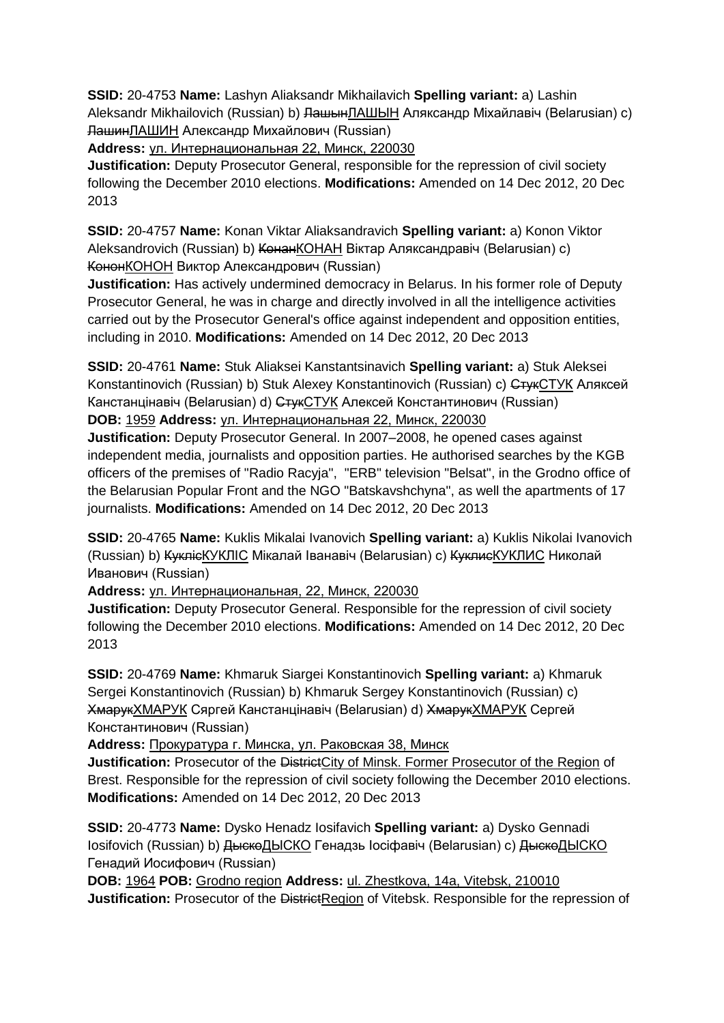**SSID:** 20-4753 **Name:** Lashyn Aliaksandr Mikhailavich **Spelling variant:** a) Lashin Aleksandr Mikhailovich (Russian) b) <del>ЛашынЛАШЫН</del> Аляксандр Міхайлавіч (Belarusian) c) ЛашинЛАШИН Александр Михайлович (Russian)

**Address:** ул. Интернациональная 22, Минск, 220030

**Justification:** Deputy Prosecutor General, responsible for the repression of civil society following the December 2010 elections. **Modifications:** Amended on 14 Dec 2012, 20 Dec 2013

**SSID:** 20-4757 **Name:** Konan Viktar Aliaksandravich **Spelling variant:** a) Konon Viktor Aleksandrovich (Russian) b) КонанКОНАН Віктар Аляксандравіч (Belarusian) c) КононКОНОН Виктор Александрович (Russian)

**Justification:** Has actively undermined democracy in Belarus. In his former role of Deputy Prosecutor General, he was in charge and directly involved in all the intelligence activities carried out by the Prosecutor General's office against independent and opposition entities, including in 2010. **Modifications:** Amended on 14 Dec 2012, 20 Dec 2013

**SSID:** 20-4761 **Name:** Stuk Aliaksei Kanstantsinavich **Spelling variant:** a) Stuk Aleksei Konstantinovich (Russian) b) Stuk Alexey Konstantinovich (Russian) c) СтукСТУК Аляксей Канстанцінавіч (Belarusian) d) СтукСТУК Алексей Константинович (Russian) **DOB:** 1959 **Address:** ул. Интернациональная 22, Минск, 220030

**Justification:** Deputy Prosecutor General. In 2007–2008, he opened cases against independent media, journalists and opposition parties. He authorised searches by the KGB officers of the premises of "Radio Racvia", "ERB" television "Belsat", in the Grodno office of the Belarusian Popular Front and the NGO "Batskavshchyna", as well the apartments of 17 journalists. **Modifications:** Amended on 14 Dec 2012, 20 Dec 2013

**SSID:** 20-4765 **Name:** Kuklis Mikalai Ivanovich **Spelling variant:** a) Kuklis Nikolai Ivanovich (Russian) b) <del>Кукліс</del>КУКЛІС Мікалай Іванавіч (Belarusian) c) <del>Куклис</del>КУКЛИС Николай Иванович (Russian)

**Address:** ул. Интернациональная, 22, Минск, 220030

**Justification:** Deputy Prosecutor General. Responsible for the repression of civil society following the December 2010 elections. **Modifications:** Amended on 14 Dec 2012, 20 Dec 2013

**SSID:** 20-4769 **Name:** Khmaruk Siargei Konstantinovich **Spelling variant:** a) Khmaruk Sergei Konstantinovich (Russian) b) Khmaruk Sergey Konstantinovich (Russian) c) ХмарукХМАРУК Сяргей Канстанцінавіч (Belarusian) d) ХмарукХМАРУК Сергей Константинович (Russian)

**Address:** Прокуратура г. Минска, ул. Раковская 38, Минск

**Justification:** Prosecutor of the DistrictCity of Minsk. Former Prosecutor of the Region of Brest. Responsible for the repression of civil society following the December 2010 elections. **Modifications:** Amended on 14 Dec 2012, 20 Dec 2013

**SSID:** 20-4773 **Name:** Dysko Henadz Iosifavich **Spelling variant:** a) Dysko Gennadi Iosifovich (Russian) b) ДыскоДЫСКО Генадзь Іосіфавіч (Belarusian) c) ДыскоДЫСКО Генадий Иосифович (Russian)

**DOB:** 1964 **POB:** Grodno region **Address:** ul. Zhestkova, 14a, Vitebsk, 210010 **Justification:** Prosecutor of the DistrictRegion of Vitebsk. Responsible for the repression of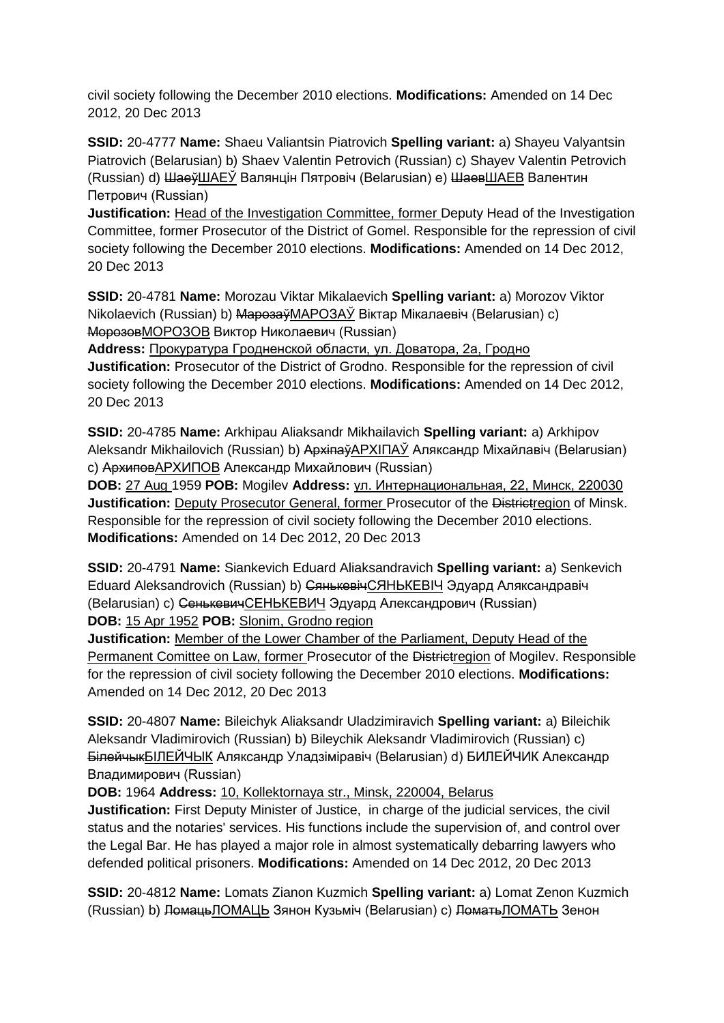civil society following the December 2010 elections. **Modifications:** Amended on 14 Dec 2012, 20 Dec 2013

**SSID:** 20-4777 **Name:** Shaeu Valiantsin Piatrovich **Spelling variant:** a) Shayeu Valyantsin Piatrovich (Belarusian) b) Shaev Valentin Petrovich (Russian) c) Shayev Valentin Petrovich (Russian) d) ШаеўШАЕЎ Валянцін Пятровіч (Belarusian) e) ШаевШАЕВ Валентин Петрович (Russian)

**Justification:** Head of the Investigation Committee, former Deputy Head of the Investigation Committee, former Prosecutor of the District of Gomel. Responsible for the repression of civil society following the December 2010 elections. **Modifications:** Amended on 14 Dec 2012, 20 Dec 2013

**SSID:** 20-4781 **Name:** Morozau Viktar Mikalaevich **Spelling variant:** a) Morozov Viktor Nikolaevich (Russian) b) МарозаўМАРОЗАЎ Віктар Мікалаевіч (Belarusian) c) МорозовМОРОЗОВ Виктор Николаевич (Russian)

**Address:** Прокуратурa Гродненской области, ул. Доватора, 2а, Гродно **Justification:** Prosecutor of the District of Grodno. Responsible for the repression of civil society following the December 2010 elections. **Modifications:** Amended on 14 Dec 2012, 20 Dec 2013

**SSID:** 20-4785 **Name:** Arkhipau Aliaksandr Mikhailavich **Spelling variant:** a) Arkhipov Aleksandr Mikhailovich (Russian) b) АрхіпаўAPXIПAЎ Аляксандр Міхайлавіч (Belarusian) c) АрхиповАРХИПОВ Александр Михайлович (Russian)

**DOB:** 27 Aug 1959 **POB:** Mogilev **Address:** ул. Интернациональная, 22, Минск, 220030 **Justification:** Deputy Prosecutor General, former Prosecutor of the Districtregion of Minsk. Responsible for the repression of civil society following the December 2010 elections. **Modifications:** Amended on 14 Dec 2012, 20 Dec 2013

**SSID:** 20-4791 **Name:** Siankevich Eduard Aliaksandravich **Spelling variant:** a) Senkevich Eduard Aleksandrovich (Russian) b) СянькевічСЯНЬКЕВIЧ Эдуард Аляксандравіч (Belarusian) c) СенькевичСЕНЬКЕВИЧ Эдуард Александрович (Russian) **DOB:** 15 Apr 1952 **POB:** Slonim, Grodno region

**Justification:** Member of the Lower Chamber of the Parliament, Deputy Head of the Permanent Comittee on Law, former Prosecutor of the Districtregion of Mogilev. Responsible for the repression of civil society following the December 2010 elections. **Modifications:**  Amended on 14 Dec 2012, 20 Dec 2013

**SSID:** 20-4807 **Name:** Bileichyk Aliaksandr Uladzimiravich **Spelling variant:** a) Bileichik Aleksandr Vladimirovich (Russian) b) Bileychik Aleksandr Vladimirovich (Russian) c) БілейчыкБIЛЕЙЧЫК Аляксандр Уладзіміравіч (Belarusian) d) БИЛЕЙЧИК Александр Владимирович (Russian)

**DOB:** 1964 **Address:** 10, Kollektornaya str., Minsk, 220004, Belarus

**Justification:** First Deputy Minister of Justice, in charge of the judicial services, the civil status and the notaries' services. His functions include the supervision of, and control over the Legal Bar. He has played a major role in almost systematically debarring lawyers who defended political prisoners. **Modifications:** Amended on 14 Dec 2012, 20 Dec 2013

**SSID:** 20-4812 **Name:** Lomats Zianon Kuzmich **Spelling variant:** a) Lomat Zenon Kuzmich (Russian) b) ЛомацьЛОМАЦЬ Зянон Кузьміч (Belarusian) c) ЛоматьЛОМАТЬ Зенон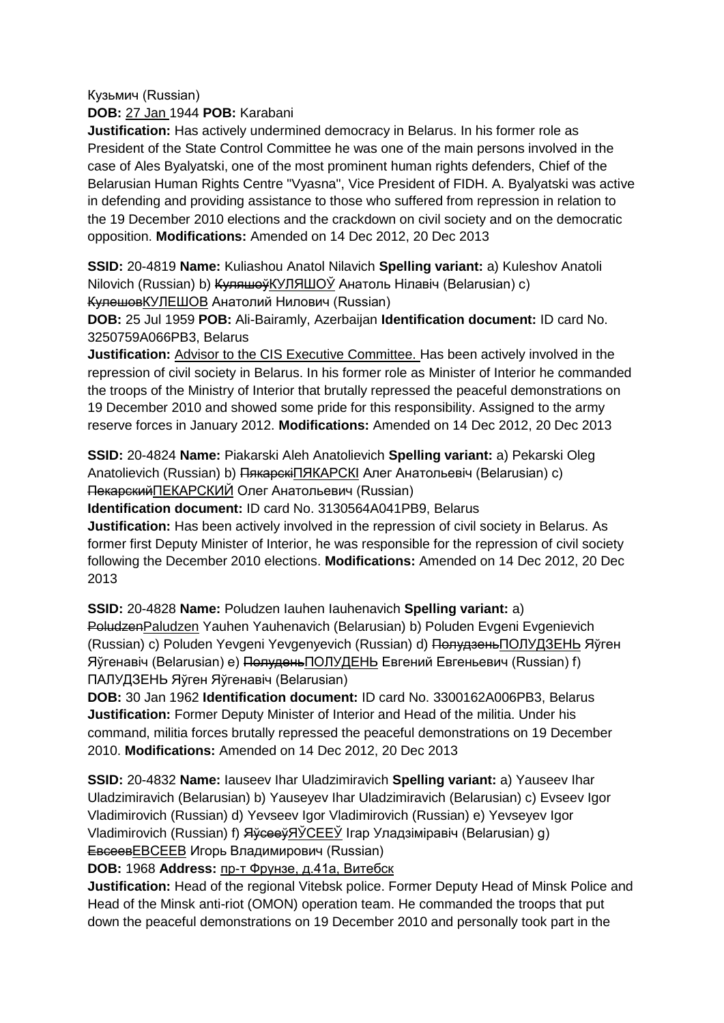Кузьмич (Russian)

**DOB:** 27 Jan 1944 **POB:** Karabani

**Justification:** Has actively undermined democracy in Belarus. In his former role as President of the State Control Committee he was one of the main persons involved in the case of Ales Byalyatski, one of the most prominent human rights defenders, Chief of the Belarusian Human Rights Centre "Vyasna", Vice President of FIDH. A. Byalyatski was active in defending and providing assistance to those who suffered from repression in relation to the 19 December 2010 elections and the crackdown on civil society and on the democratic opposition. **Modifications:** Amended on 14 Dec 2012, 20 Dec 2013

**SSID:** 20-4819 **Name:** Kuliashou Anatol Nilavich **Spelling variant:** a) Kuleshov Anatoli Nilovich (Russian) b) <del>Куляшоў</del>КУЛЯШОЎ Анатоль Нілавіч (Belarusian) c) КулешовКУЛЕШОВ Анатолий Нилович (Russian)

**DOB:** 25 Jul 1959 **POB:** Ali-Bairamly, Azerbaijan **Identification document:** ID card No. 3250759A066PB3, Belarus

**Justification:** Advisor to the CIS Executive Committee. Has been actively involved in the repression of civil society in Belarus. In his former role as Minister of Interior he commanded the troops of the Ministry of Interior that brutally repressed the peaceful demonstrations on 19 December 2010 and showed some pride for this responsibility. Assigned to the army reserve forces in January 2012. **Modifications:** Amended on 14 Dec 2012, 20 Dec 2013

**SSID:** 20-4824 **Name:** Piakarski Aleh Anatolievich **Spelling variant:** a) Pekarski Oleg Anatolievich (Russian) b) <del>Пякарскі</del>ПЯКАРСКІ Алег Анатольевіч (Belarusian) c) ПекарскийПЕКАРСКИЙ Олег Анатольевич (Russian)

**Identification document:** ID card No. 3130564A041PB9, Belarus

**Justification:** Has been actively involved in the repression of civil society in Belarus. As former first Deputy Minister of Interior, he was responsible for the repression of civil society following the December 2010 elections. **Modifications:** Amended on 14 Dec 2012, 20 Dec 2013

**SSID:** 20-4828 **Name:** Poludzen Iauhen Iauhenavich **Spelling variant:** a)

PoludzenPaludzen Yauhen Yauhenavich (Belarusian) b) Poluden Evgeni Evgenievich (Russian) c) Poluden Yevgeni Yevgenyevich (Russian) d) ПолудзеньПОЛУДЗЕНЬ Яўген Яўгенавіч (Belarusian) e) ПолуденьПОЛУДЕНЬ Евгений Евгеньевич (Russian) f) ПАЛУДЗЕНЬ Яўген Яўгенавiч (Belarusian)

**DOB:** 30 Jan 1962 **Identification document:** ID card No. 3300162A006PB3, Belarus **Justification:** Former Deputy Minister of Interior and Head of the militia. Under his command, militia forces brutally repressed the peaceful demonstrations on 19 December 2010. **Modifications:** Amended on 14 Dec 2012, 20 Dec 2013

**SSID:** 20-4832 **Name:** Iauseev Ihar Uladzimiravich **Spelling variant:** a) Yauseev Ihar Uladzimiravich (Belarusian) b) Yauseyev Ihar Uladzimiravich (Belarusian) c) Evseev Igor Vladimirovich (Russian) d) Yevseev Igor Vladimirovich (Russian) e) Yevseyev Igor Vladimirovich (Russian) f) ЯўсееўЯЎСЕЕЎ Ігар Уладзіміравіч (Belarusian) q) ЕвсеевЕВСЕЕВ Игорь Владимирович (Russian)

**DOB:** 1968 **Address:** пр-т Фрунзе, д.41а, Витебск

**Justification:** Head of the regional Vitebsk police. Former Deputy Head of Minsk Police and Head of the Minsk anti-riot (OMON) operation team. He commanded the troops that put down the peaceful demonstrations on 19 December 2010 and personally took part in the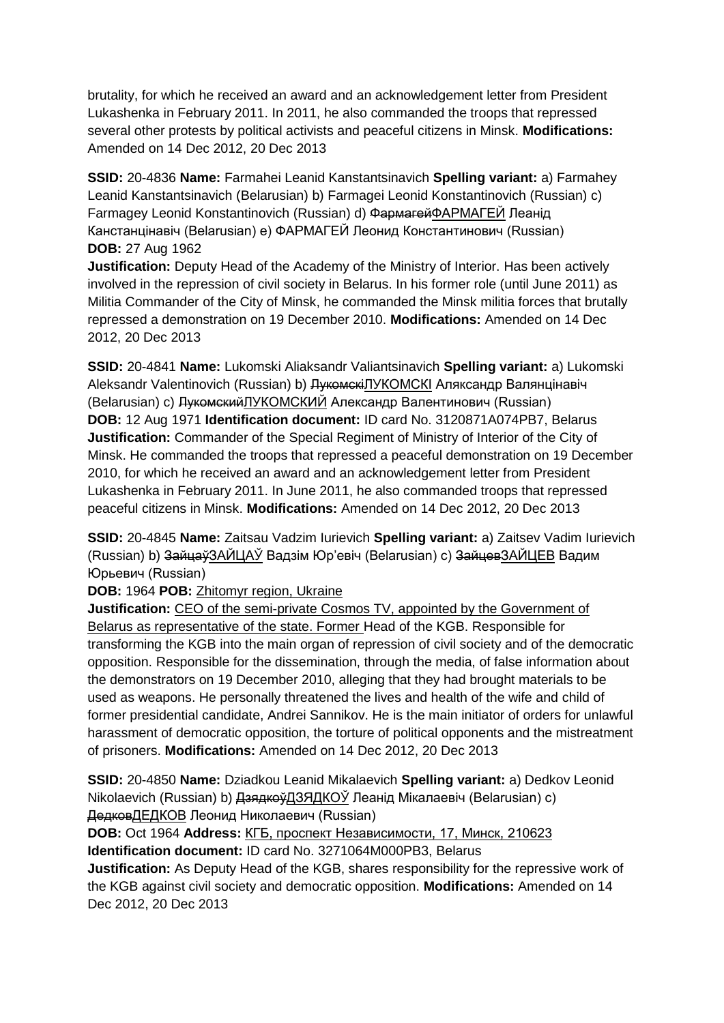brutality, for which he received an award and an acknowledgement letter from President Lukashenka in February 2011. In 2011, he also commanded the troops that repressed several other protests by political activists and peaceful citizens in Minsk. **Modifications:**  Amended on 14 Dec 2012, 20 Dec 2013

**SSID:** 20-4836 **Name:** Farmahei Leanid Kanstantsinavich **Spelling variant:** a) Farmahey Leanid Kanstantsinavich (Belarusian) b) Farmagei Leonid Konstantinovich (Russian) c) Farmagey Leonid Konstantinovich (Russian) d) ФармагейФАРМАГЕЙ Леанід Канстанцінавіч (Belarusian) e) ФАРМАГЕЙ Леонид Константинович (Russian) **DOB:** 27 Aug 1962

**Justification:** Deputy Head of the Academy of the Ministry of Interior. Has been actively involved in the repression of civil society in Belarus. In his former role (until June 2011) as Militia Commander of the City of Minsk, he commanded the Minsk militia forces that brutally repressed a demonstration on 19 December 2010. **Modifications:** Amended on 14 Dec 2012, 20 Dec 2013

**SSID:** 20-4841 **Name:** Lukomski Aliaksandr Valiantsinavich **Spelling variant:** a) Lukomski Aleksandr Valentinovich (Russian) b) <del>Лукомскі</del>ЛУКОМСКІ Аляксандр Валянцінавіч (Belarusian) c) ЛукомскийЛУКОМСКИЙ Александр Валентинович (Russian) **DOB:** 12 Aug 1971 **Identification document:** ID card No. 3120871A074PB7, Belarus **Justification:** Commander of the Special Regiment of Ministry of Interior of the City of Minsk. He commanded the troops that repressed a peaceful demonstration on 19 December 2010, for which he received an award and an acknowledgement letter from President Lukashenka in February 2011. In June 2011, he also commanded troops that repressed peaceful citizens in Minsk. **Modifications:** Amended on 14 Dec 2012, 20 Dec 2013

**SSID:** 20-4845 **Name:** Zaitsau Vadzim Iurievich **Spelling variant:** a) Zaitsev Vadim Iurievich (Russian) b) ЗайцаўЗАЙЦАЎ Вадзім Юр'евіч (Belarusian) c) ЗайцевЗАЙЦЕВ Вадим Юрьевич (Russian)

**DOB:** 1964 **POB:** Zhitomyr region, Ukraine

**Justification:** CEO of the semi-private Cosmos TV, appointed by the Government of Belarus as representative of the state. Former Head of the KGB. Responsible for transforming the KGB into the main organ of repression of civil society and of the democratic opposition. Responsible for the dissemination, through the media, of false information about the demonstrators on 19 December 2010, alleging that they had brought materials to be used as weapons. He personally threatened the lives and health of the wife and child of former presidential candidate, Andrei Sannikov. He is the main initiator of orders for unlawful harassment of democratic opposition, the torture of political opponents and the mistreatment of prisoners. **Modifications:** Amended on 14 Dec 2012, 20 Dec 2013

**SSID:** 20-4850 **Name:** Dziadkou Leanid Mikalaevich **Spelling variant:** a) Dedkov Leonid Nikolaevich (Russian) b) <del>Дзядкоў</del>ДЗЯДКОЎ Леанід Мікалаевіч (Belarusian) c) ДедковДЕДКОВ Леонид Николаевич (Russian)

**DOB:** Oct 1964 **Address:** КГБ, проспект Независимости, 17, Минск, 210623 **Identification document:** ID card No. 3271064M000PB3, Belarus

**Justification:** As Deputy Head of the KGB, shares responsibility for the repressive work of the KGB against civil society and democratic opposition. **Modifications:** Amended on 14 Dec 2012, 20 Dec 2013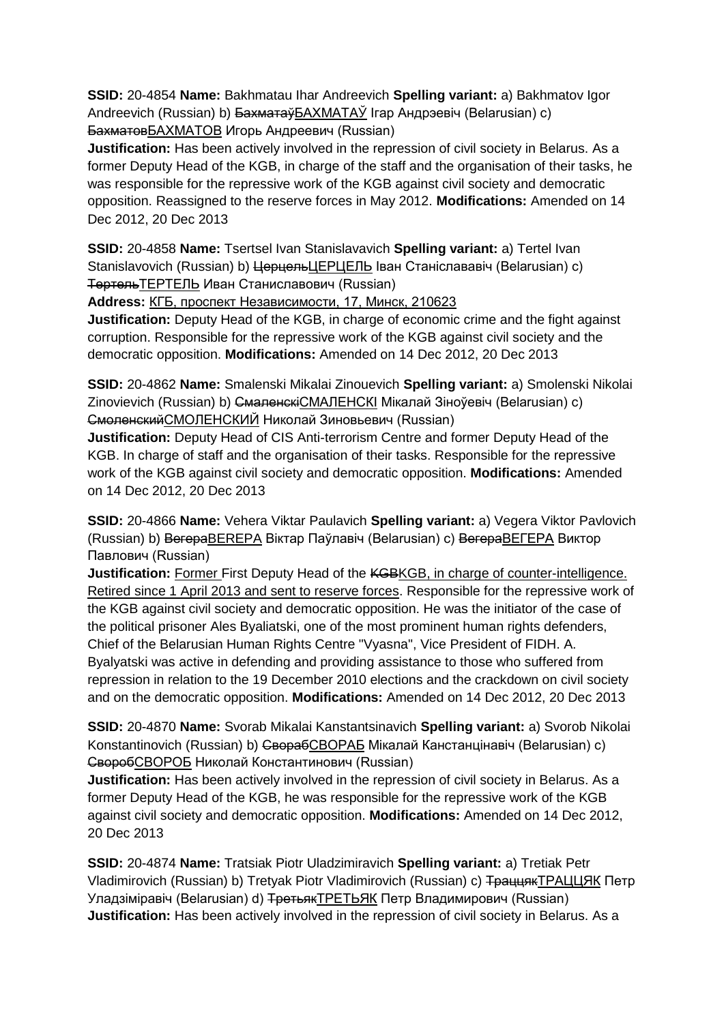**SSID:** 20-4854 **Name:** Bakhmatau Ihar Andreevich **Spelling variant:** a) Bakhmatov Igor Andreevich (Russian) b) <del>Бахматаў</del>БАХМАТАЎ Ігар Андрэевіч (Belarusian) c) БахматовБАХМАТОВ Игорь Андреевич (Russian)

**Justification:** Has been actively involved in the repression of civil society in Belarus. As a former Deputy Head of the KGB, in charge of the staff and the organisation of their tasks, he was responsible for the repressive work of the KGB against civil society and democratic opposition. Reassigned to the reserve forces in May 2012. **Modifications:** Amended on 14 Dec 2012, 20 Dec 2013

**SSID:** 20-4858 **Name:** Tsertsel Ivan Stanislavavich **Spelling variant:** a) Tertel Ivan Stanislavovich (Russian) b) <del>Церцель</del>ЦЕРЦЕЛЬ Іван Станіслававіч (Belarusian) c) ТертельТЕРТЕЛЬ Иван Станиславович (Russian)

**Address:** КГБ, проспект Независимости, 17, Минск, 210623

**Justification:** Deputy Head of the KGB, in charge of economic crime and the fight against corruption. Responsible for the repressive work of the KGB against civil society and the democratic opposition. **Modifications:** Amended on 14 Dec 2012, 20 Dec 2013

**SSID:** 20-4862 **Name:** Smalenski Mikalai Zinouevich **Spelling variant:** a) Smolenski Nikolai Zinovievich (Russian) b) Смаленскі СМАЛЕНСКІ Мікалай Зіноўевіч (Belarusian) c) СмоленскийСМОЛЕНСКИЙ Николай Зиновьевич (Russian)

**Justification:** Deputy Head of CIS Anti-terrorism Centre and former Deputy Head of the KGB. In charge of staff and the organisation of their tasks. Responsible for the repressive work of the KGB against civil society and democratic opposition. **Modifications:** Amended on 14 Dec 2012, 20 Dec 2013

**SSID:** 20-4866 **Name:** Vehera Viktar Paulavich **Spelling variant:** a) Vegera Viktor Pavlovich (Russian) b) ВегераBEREPA Віктар Паўлавіч (Belarusian) c) ВегераВЕГЕРА Виктор Павлович (Russian)

**Justification:** Former First Deputy Head of the KGBKGB, in charge of counter-intelligence. Retired since 1 April 2013 and sent to reserve forces. Responsible for the repressive work of the KGB against civil society and democratic opposition. He was the initiator of the case of the political prisoner Ales Byaliatski, one of the most prominent human rights defenders, Chief of the Belarusian Human Rights Centre "Vyasna", Vice President of FIDH. A. Byalyatski was active in defending and providing assistance to those who suffered from repression in relation to the 19 December 2010 elections and the crackdown on civil society and on the democratic opposition. **Modifications:** Amended on 14 Dec 2012, 20 Dec 2013

**SSID:** 20-4870 **Name:** Svorab Mikalai Kanstantsinavich **Spelling variant:** a) Svorob Nikolai Konstantinovich (Russian) b) СворабСВОРАБ Мікалай Канстанцінавіч (Belarusian) c) СворобСВОРОБ Николай Константинович (Russian)

**Justification:** Has been actively involved in the repression of civil society in Belarus. As a former Deputy Head of the KGB, he was responsible for the repressive work of the KGB against civil society and democratic opposition. **Modifications:** Amended on 14 Dec 2012, 20 Dec 2013

**SSID:** 20-4874 **Name:** Tratsiak Piotr Uladzimiravich **Spelling variant:** a) Tretiak Petr Vladimirovich (Russian) b) Tretyak Piotr Vladimirovich (Russian) c) ТраццякТРАЦЦЯК Петр Уладзiмiравiч (Belarusian) d) ТретьякТРЕТЬЯК Петр Владимирович (Russian) **Justification:** Has been actively involved in the repression of civil society in Belarus. As a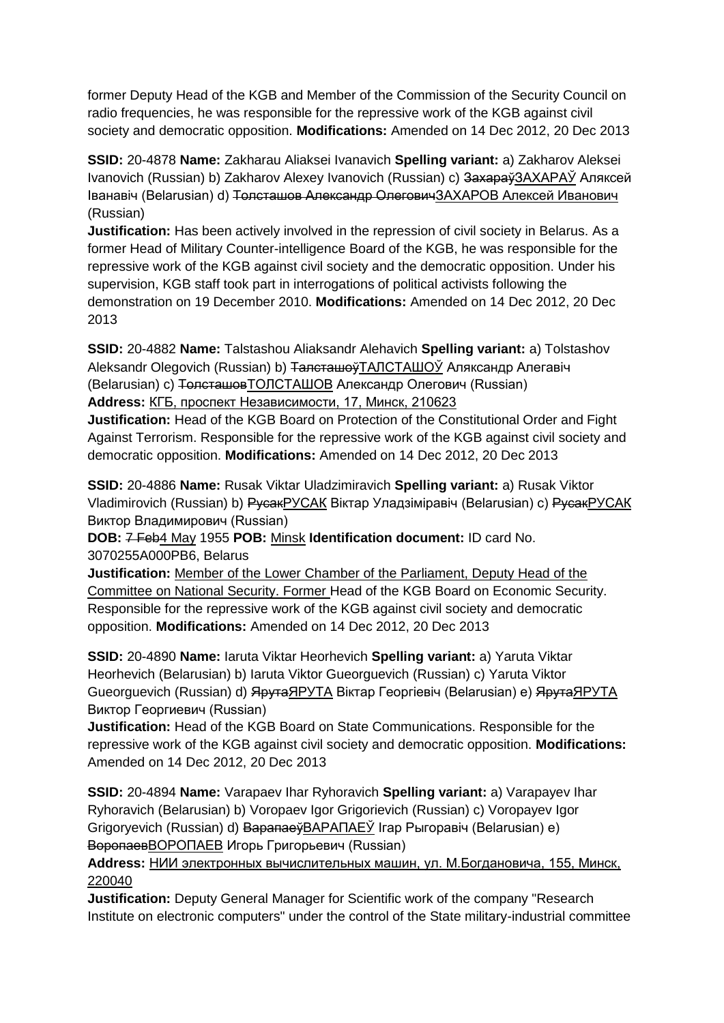former Deputy Head of the KGB and Member of the Commission of the Security Council on radio frequencies, he was responsible for the repressive work of the KGB against civil society and democratic opposition. **Modifications:** Amended on 14 Dec 2012, 20 Dec 2013

**SSID:** 20-4878 **Name:** Zakharau Aliaksei Ivanavich **Spelling variant:** a) Zakharov Aleksei Ivanovich (Russian) b) Zakharov Alexey Ivanovich (Russian) c) Захараў ЗАХАРАЎ Аляксей Іванавіч (Belarusian) d) Толсташов Александр ОлеговичЗАХАРОВ Алексей Иванович (Russian)

**Justification:** Has been actively involved in the repression of civil society in Belarus. As a former Head of Military Counter-intelligence Board of the KGB, he was responsible for the repressive work of the KGB against civil society and the democratic opposition. Under his supervision, KGB staff took part in interrogations of political activists following the demonstration on 19 December 2010. **Modifications:** Amended on 14 Dec 2012, 20 Dec 2013

**SSID:** 20-4882 **Name:** Talstashou Aliaksandr Alehavich **Spelling variant:** a) Tolstashov Aleksandr Olegovich (Russian) b) <del>Талсташоў</del> ТАЛСТАШОЎ Аляксандр Алегавіч (Belarusian) c) ТолсташовТОЛСТАШОВ Александр Олегович (Russian) **Address:** КГБ, проспект Независимости, 17, Минск, 210623

**Justification:** Head of the KGB Board on Protection of the Constitutional Order and Fight Against Terrorism. Responsible for the repressive work of the KGB against civil society and democratic opposition. **Modifications:** Amended on 14 Dec 2012, 20 Dec 2013

**SSID:** 20-4886 **Name:** Rusak Viktar Uladzimiravich **Spelling variant:** a) Rusak Viktor Vladimirovich (Russian) b) РусакРУСАК Віктар Уладзіміравіч (Belarusian) c) РусакРУСАК Виктор Владимирович (Russian)

**DOB:** 7 Feb4 May 1955 **POB:** Minsk **Identification document:** ID card No. 3070255A000PB6, Belarus

**Justification:** Member of the Lower Chamber of the Parliament, Deputy Head of the Committee on National Security. Former Head of the KGB Board on Economic Security. Responsible for the repressive work of the KGB against civil society and democratic opposition. **Modifications:** Amended on 14 Dec 2012, 20 Dec 2013

**SSID:** 20-4890 **Name:** Iaruta Viktar Heorhevich **Spelling variant:** a) Yaruta Viktar Heorhevich (Belarusian) b) Iaruta Viktor Gueorguevich (Russian) c) Yaruta Viktor Gueorguevich (Russian) d) ЯрутаЯРУТА Віктар Георгіевіч (Belarusian) e) ЯрутаЯРУТА Виктор Георгиевич (Russian)

**Justification:** Head of the KGB Board on State Communications. Responsible for the repressive work of the KGB against civil society and democratic opposition. **Modifications:**  Amended on 14 Dec 2012, 20 Dec 2013

**SSID:** 20-4894 **Name:** Varapaev Ihar Ryhoravich **Spelling variant:** a) Varapayev Ihar Ryhoravich (Belarusian) b) Voropaev Igor Grigorievich (Russian) c) Voropayev Igor Grigoryevich (Russian) d) ВарапаеўВАРАПАЕЎ Ігар Рыгоравiч (Belarusian) e) ВоропаевВОРОПАЕВ Игорь Григорьевич (Russian)

**Address:** НИИ электронных вычислительных машин, ул. М.Богдановича, 155, Минск, 220040

**Justification:** Deputy General Manager for Scientific work of the company "Research Institute on electronic computers" under the control of the State military-industrial committee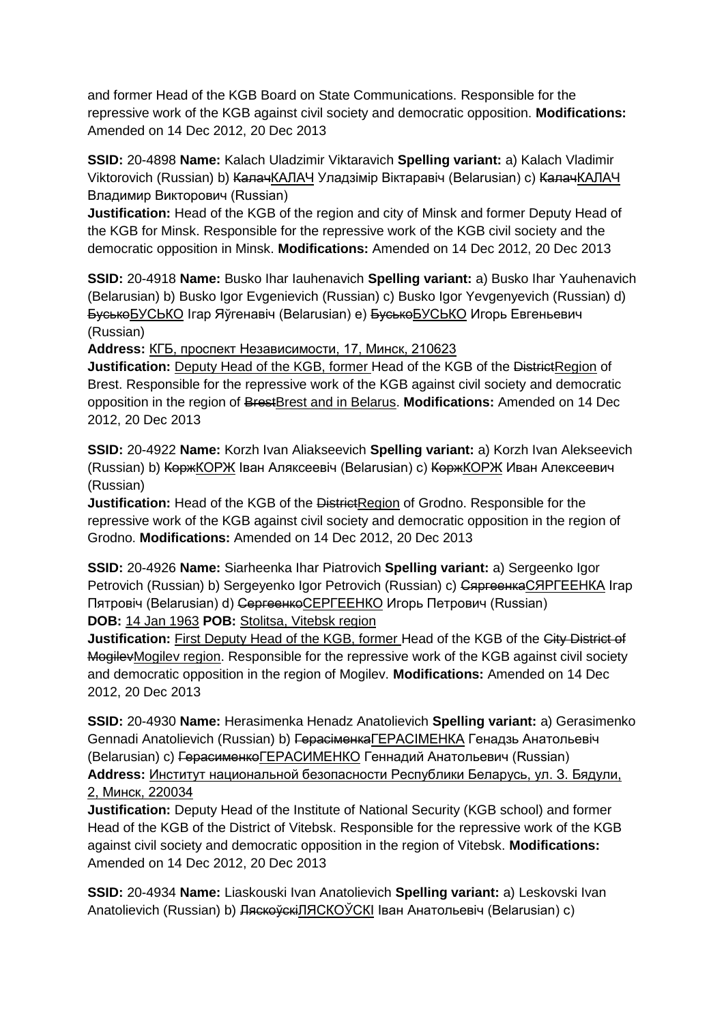and former Head of the KGB Board on State Communications. Responsible for the repressive work of the KGB against civil society and democratic opposition. **Modifications:**  Amended on 14 Dec 2012, 20 Dec 2013

**SSID:** 20-4898 **Name:** Kalach Uladzimir Viktaravich **Spelling variant:** a) Kalach Vladimir Viktorovich (Russian) b) КалачКАЛАЧ Уладзімір Віктаравіч (Belarusian) с) КалачКАЛАЧ Владимир Викторович (Russian)

**Justification:** Head of the KGB of the region and city of Minsk and former Deputy Head of the KGB for Minsk. Responsible for the repressive work of the KGB civil society and the democratic opposition in Minsk. **Modifications:** Amended on 14 Dec 2012, 20 Dec 2013

**SSID:** 20-4918 **Name:** Busko Ihar Iauhenavich **Spelling variant:** a) Busko Ihar Yauhenavich (Belarusian) b) Busko Igor Evgenievich (Russian) c) Busko Igor Yevgenyevich (Russian) d) БуськоБУСЬКО Ігар Яўгенавіч (Belarusian) e) БуськоБУСЬКО Игорь Евгеньевич (Russian)

**Address:** КГБ, проспект Независимости, 17, Минск, 210623

**Justification:** Deputy Head of the KGB, former Head of the KGB of the DistrictRegion of Brest. Responsible for the repressive work of the KGB against civil society and democratic opposition in the region of BrestBrest and in Belarus. **Modifications:** Amended on 14 Dec 2012, 20 Dec 2013

**SSID:** 20-4922 **Name:** Korzh Ivan Aliakseevich **Spelling variant:** a) Korzh Ivan Alekseevich (Russian) b) КоржКОРЖ Іван Аляксеевіч (Belarusian) c) КоржКОРЖ Иван Алексеевич (Russian)

**Justification:** Head of the KGB of the DistrictRegion of Grodno. Responsible for the repressive work of the KGB against civil society and democratic opposition in the region of Grodno. **Modifications:** Amended on 14 Dec 2012, 20 Dec 2013

**SSID:** 20-4926 **Name:** Siarheenka Ihar Piatrovich **Spelling variant:** a) Sergeenko Igor Petrovich (Russian) b) Sergeyenko Igor Petrovich (Russian) c) СяргеенкаСЯРГЕЕНКА Ігар Пятровіч (Belarusian) d) Сергеенко СЕРГЕЕНКО Игорь Петрович (Russian) **DOB:** 14 Jan 1963 **POB:** Stolitsa, Vitebsk region

**Justification:** First Deputy Head of the KGB, former Head of the KGB of the City District of MogilevMogilev region. Responsible for the repressive work of the KGB against civil society and democratic opposition in the region of Mogilev. **Modifications:** Amended on 14 Dec 2012, 20 Dec 2013

**SSID:** 20-4930 **Name:** Herasimenka Henadz Anatolievich **Spelling variant:** a) Gerasimenko Gennadi Anatolievich (Russian) b) ГерасіменкаГЕРАСІМЕНКА Генадзь Анатольевіч (Belarusian) c) ГерасименкоГЕРАСИМЕНКО Геннадий Анатольевич (Russian) **Address:** Институт национальной безопасности Республики Беларусь, ул. З. Бядули, 2, Минск, 220034

**Justification:** Deputy Head of the Institute of National Security (KGB school) and former Head of the KGB of the District of Vitebsk. Responsible for the repressive work of the KGB against civil society and democratic opposition in the region of Vitebsk. **Modifications:**  Amended on 14 Dec 2012, 20 Dec 2013

**SSID:** 20-4934 **Name:** Liaskouski Ivan Anatolievich **Spelling variant:** a) Leskovski Ivan Anatolievich (Russian) b) ЛяскоўскіЛЯСКОЎСКІ Іван Анатольевіч (Belarusian) c)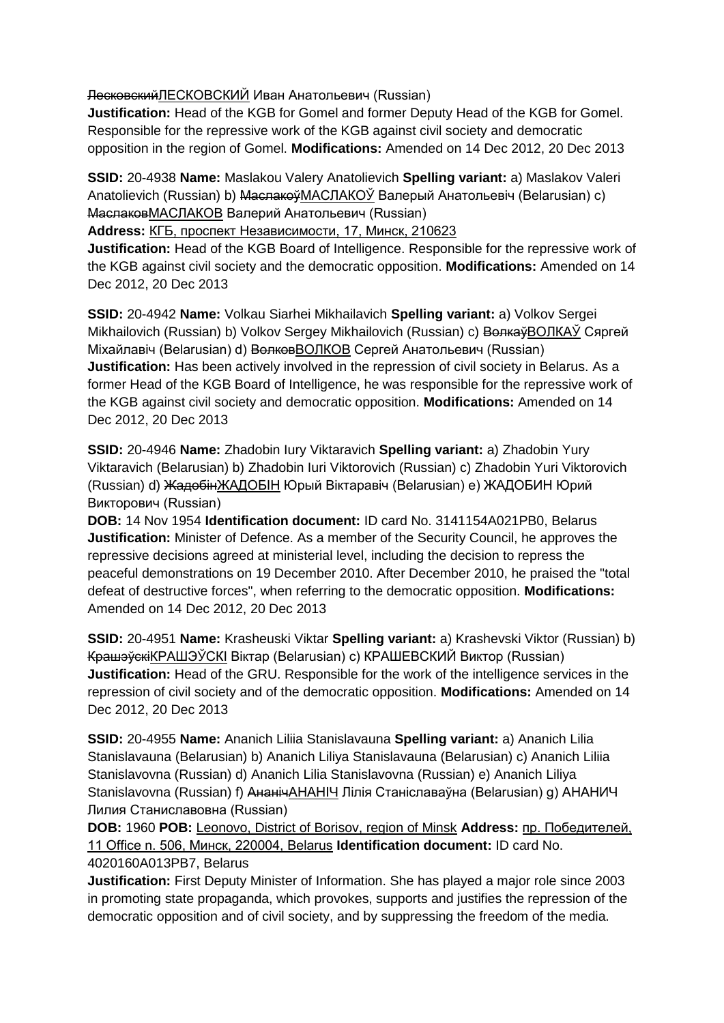ЛесковскийЛЕСКОВСКИЙ Иван Анатольевич (Russian)

**Justification:** Head of the KGB for Gomel and former Deputy Head of the KGB for Gomel. Responsible for the repressive work of the KGB against civil society and democratic opposition in the region of Gomel. **Modifications:** Amended on 14 Dec 2012, 20 Dec 2013

**SSID:** 20-4938 **Name:** Maslakou Valery Anatolievich **Spelling variant:** a) Maslakov Valeri Anatolievich (Russian) b) <del>Маслакоў</del>МАСЛАКОЎ Валерый Анатольевіч (Belarusian) c) МаслаковМАСЛАКОВ Валерий Анатольевич (Russian)

**Address:** КГБ, проспект Независимости, 17, Минск, 210623

**Justification:** Head of the KGB Board of Intelligence. Responsible for the repressive work of the KGB against civil society and the democratic opposition. **Modifications:** Amended on 14 Dec 2012, 20 Dec 2013

**SSID:** 20-4942 **Name:** Volkau Siarhei Mikhailavich **Spelling variant:** a) Volkov Sergei Mikhailovich (Russian) b) Volkov Sergey Mikhailovich (Russian) c) Волкаў ВОЛКАЎ Сяргей Міхайлавіч (Belarusian) d) Волков ВОЛКОВ Сергей Анатольевич (Russian) **Justification:** Has been actively involved in the repression of civil society in Belarus. As a former Head of the KGB Board of Intelligence, he was responsible for the repressive work of the KGB against civil society and democratic opposition. **Modifications:** Amended on 14 Dec 2012, 20 Dec 2013

**SSID:** 20-4946 **Name:** Zhadobin Iury Viktaravich **Spelling variant:** a) Zhadobin Yury Viktaravich (Belarusian) b) Zhadobin Iuri Viktorovich (Russian) c) Zhadobin Yuri Viktorovich (Russian) d) ЖадобінЖАДОБIН Юрый Віктаравіч (Belarusian) e) ЖАДОБИН Юрий Викторович (Russian)

**DOB:** 14 Nov 1954 **Identification document:** ID card No. 3141154A021PB0, Belarus **Justification:** Minister of Defence. As a member of the Security Council, he approves the repressive decisions agreed at ministerial level, including the decision to repress the peaceful demonstrations on 19 December 2010. After December 2010, he praised the "total defeat of destructive forces", when referring to the democratic opposition. **Modifications:**  Amended on 14 Dec 2012, 20 Dec 2013

**SSID:** 20-4951 **Name:** Krasheuski Viktar **Spelling variant:** a) Krashevski Viktor (Russian) b) КрашэўскіКРАШЭЎСКI Віктар (Belarusian) c) КРАШЕВСКИЙ Виктор (Russian) **Justification:** Head of the GRU. Responsible for the work of the intelligence services in the repression of civil society and of the democratic opposition. **Modifications:** Amended on 14 Dec 2012, 20 Dec 2013

**SSID:** 20-4955 **Name:** Ananich Liliia Stanislavauna **Spelling variant:** a) Ananich Lilia Stanislavauna (Belarusian) b) Ananich Liliya Stanislavauna (Belarusian) c) Ananich Liliia Stanislavovna (Russian) d) Ananich Lilia Stanislavovna (Russian) e) Ananich Liliya Stanislavovna (Russian) f) АнанічАНАНІЧ Лілія Станіславаўна (Belarusian) g) АНАНИЧ Лилия Станиславовна (Russian)

**DOB:** 1960 **POB:** Leonovo, District of Borisov, region of Minsk **Address:** пр. Победителей, 11 Office n. 506, Минск, 220004, Belarus **Identification document:** ID card No. 4020160A013PB7, Belarus

**Justification:** First Deputy Minister of Information. She has played a major role since 2003 in promoting state propaganda, which provokes, supports and justifies the repression of the democratic opposition and of civil society, and by suppressing the freedom of the media.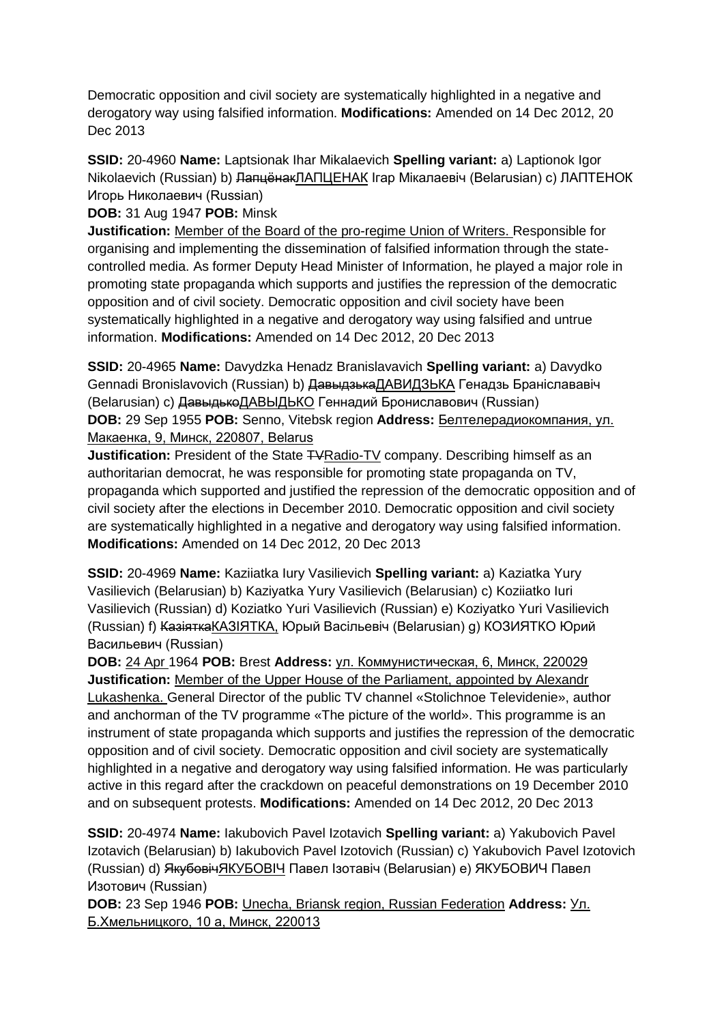Democratic opposition and civil society are systematically highlighted in a negative and derogatory way using falsified information. **Modifications:** Amended on 14 Dec 2012, 20 Dec 2013

**SSID:** 20-4960 **Name:** Laptsionak Ihar Mikalaevich **Spelling variant:** a) Laptionok Igor Nikolaevich (Russian) b) <del>ЛапцёнакЛАПЦЕНАК</del> Ігар Мікалаевіч (Belarusian) с) ЛАПТЕНОК Игорь Николаевич (Russian)

**DOB:** 31 Aug 1947 **POB:** Minsk

**Justification:** Member of the Board of the pro-regime Union of Writers. Responsible for organising and implementing the dissemination of falsified information through the statecontrolled media. As former Deputy Head Minister of Information, he played a major role in promoting state propaganda which supports and justifies the repression of the democratic opposition and of civil society. Democratic opposition and civil society have been systematically highlighted in a negative and derogatory way using falsified and untrue information. **Modifications:** Amended on 14 Dec 2012, 20 Dec 2013

**SSID:** 20-4965 **Name:** Davydzka Henadz Branislavavich **Spelling variant:** a) Davydko Gennadi Bronislavovich (Russian) b) <del>Давыдзька</del>ДАВИДЗЬКА Генадзь Браніслававіч (Belarusian) c) ДавыдькоДАВЫДЬКО Геннадий Брониславович (Russian) **DOB:** 29 Sep 1955 **POB:** Senno, Vitebsk region **Address:** Белтелерадиокомпания, ул. Макаенка, 9, Минск, 220807, Belarus

**Justification:** President of the State TVRadio-TV company. Describing himself as an authoritarian democrat, he was responsible for promoting state propaganda on TV, propaganda which supported and justified the repression of the democratic opposition and of civil society after the elections in December 2010. Democratic opposition and civil society are systematically highlighted in a negative and derogatory way using falsified information. **Modifications:** Amended on 14 Dec 2012, 20 Dec 2013

**SSID:** 20-4969 **Name:** Kaziiatka Iury Vasilievich **Spelling variant:** a) Kaziatka Yury Vasilievich (Belarusian) b) Kaziyatka Yury Vasilievich (Belarusian) c) Koziiatko Iuri Vasilievich (Russian) d) Koziatko Yuri Vasilievich (Russian) e) Koziyatko Yuri Vasilievich (Russian) f) КазіяткаКАЗIЯТКА, Юрый Васільевіч (Belarusian) g) КОЗИЯТКО Юрий Васильевич (Russian)

**DOB:** 24 Apr 1964 **POB:** Brest **Address:** ул. Коммунистическая, 6, Минск, 220029 **Justification:** Member of the Upper House of the Parliament, appointed by Alexandr Lukashenka. General Director of the public TV channel «Stolichnoe Televidenie», author and anchorman of the TV programme «The picture of the world». This programme is an instrument of state propaganda which supports and justifies the repression of the democratic opposition and of civil society. Democratic opposition and civil society are systematically highlighted in a negative and derogatory way using falsified information. He was particularly active in this regard after the crackdown on peaceful demonstrations on 19 December 2010 and on subsequent protests. **Modifications:** Amended on 14 Dec 2012, 20 Dec 2013

**SSID:** 20-4974 **Name:** Iakubovich Pavel Izotavich **Spelling variant:** a) Yakubovich Pavel Izotavich (Belarusian) b) Iakubovich Pavel Izotovich (Russian) c) Yakubovich Pavel Izotovich (Russian) d) ЯкубовічЯКУБОВIЧ Павел Ізотавіч (Belarusian) e) ЯКУБОВИЧ Павел Изотович (Russian)

**DOB:** 23 Sep 1946 **POB:** Unecha, Briansk region, Russian Federation **Address:** Ул. Б.Хмельницкого, 10 а, Минск, 220013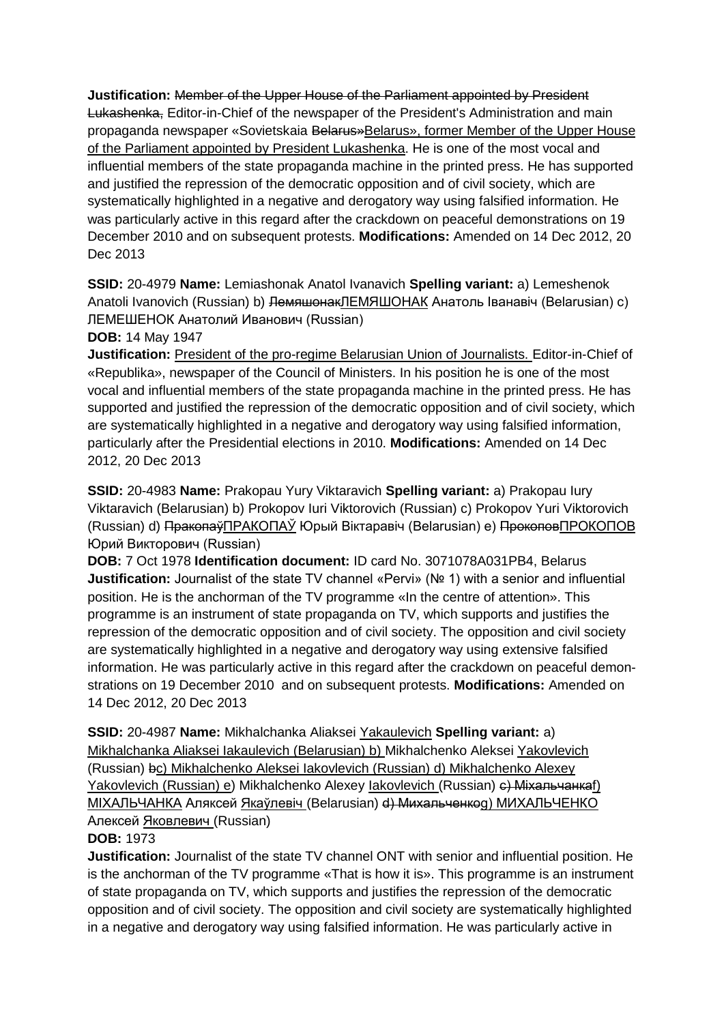**Justification:** Member of the Upper House of the Parliament appointed by President Lukashenka, Editor-in-Chief of the newspaper of the President's Administration and main propaganda newspaper «Sovietskaia Belarus»Belarus», former Member of the Upper House of the Parliament appointed by President Lukashenka. He is one of the most vocal and influential members of the state propaganda machine in the printed press. He has supported and justified the repression of the democratic opposition and of civil society, which are systematically highlighted in a negative and derogatory way using falsified information. He was particularly active in this regard after the crackdown on peaceful demonstrations on 19 December 2010 and on subsequent protests. **Modifications:** Amended on 14 Dec 2012, 20 Dec 2013

**SSID:** 20-4979 **Name:** Lemiashonak Anatol Ivanavich **Spelling variant:** a) Lemeshenok Anatoli Ivanovich (Russian) b) <del>Лемяшонак</del>ЛЕМЯШОНАК Анатоль Іванавіч (Belarusian) c) ЛЕМЕШЕНОК Анатолий Иванович (Russian)

**DOB:** 14 May 1947

**Justification:** President of the pro-regime Belarusian Union of Journalists. Editor-in-Chief of «Republika», newspaper of the Council of Ministers. In his position he is one of the most vocal and influential members of the state propaganda machine in the printed press. He has supported and justified the repression of the democratic opposition and of civil society, which are systematically highlighted in a negative and derogatory way using falsified information, particularly after the Presidential elections in 2010. **Modifications:** Amended on 14 Dec 2012, 20 Dec 2013

**SSID:** 20-4983 **Name:** Prakopau Yury Viktaravich **Spelling variant:** a) Prakopau Iury Viktaravich (Belarusian) b) Prokopov Iuri Viktorovich (Russian) c) Prokopov Yuri Viktorovich (Russian) d) ПракопаўПРАКОПАЎ Юрый Вiктаравiч (Belarusian) e) ПрокоповПРОКОПОВ Юрий Викторович (Russian)

**DOB:** 7 Oct 1978 **Identification document:** ID card No. 3071078A031PB4, Belarus **Justification:** Journalist of the state TV channel «Pervi» (№ 1) with a senior and influential position. He is the anchorman of the TV programme «In the centre of attention». This programme is an instrument of state propaganda on TV, which supports and justifies the repression of the democratic opposition and of civil society. The opposition and civil society are systematically highlighted in a negative and derogatory way using extensive falsified information. He was particularly active in this regard after the crackdown on peaceful demonstrations on 19 December 2010 and on subsequent protests. **Modifications:** Amended on 14 Dec 2012, 20 Dec 2013

**SSID:** 20-4987 **Name:** Mikhalchanka Aliaksei Yakaulevich **Spelling variant:** a) Mikhalchanka Aliaksei Iakaulevich (Belarusian) b) Mikhalchenko Aleksei Yakovlevich (Russian) bc) Mikhalchenko Aleksei Iakovlevich (Russian) d) Mikhalchenko Alexey Yakovlevich (Russian) e) Mikhalchenko Alexey Iakovlevich (Russian) e) Михальчанкаf) МIХАЛЬЧАНКА Аляксей Якаўлевiч (Belarusian) d) Михальченкоg) МИХАЛЬЧЕНКО Алексей Яковлевич (Russian)

#### **DOB:** 1973

**Justification:** Journalist of the state TV channel ONT with senior and influential position. He is the anchorman of the TV programme «That is how it is». This programme is an instrument of state propaganda on TV, which supports and justifies the repression of the democratic opposition and of civil society. The opposition and civil society are systematically highlighted in a negative and derogatory way using falsified information. He was particularly active in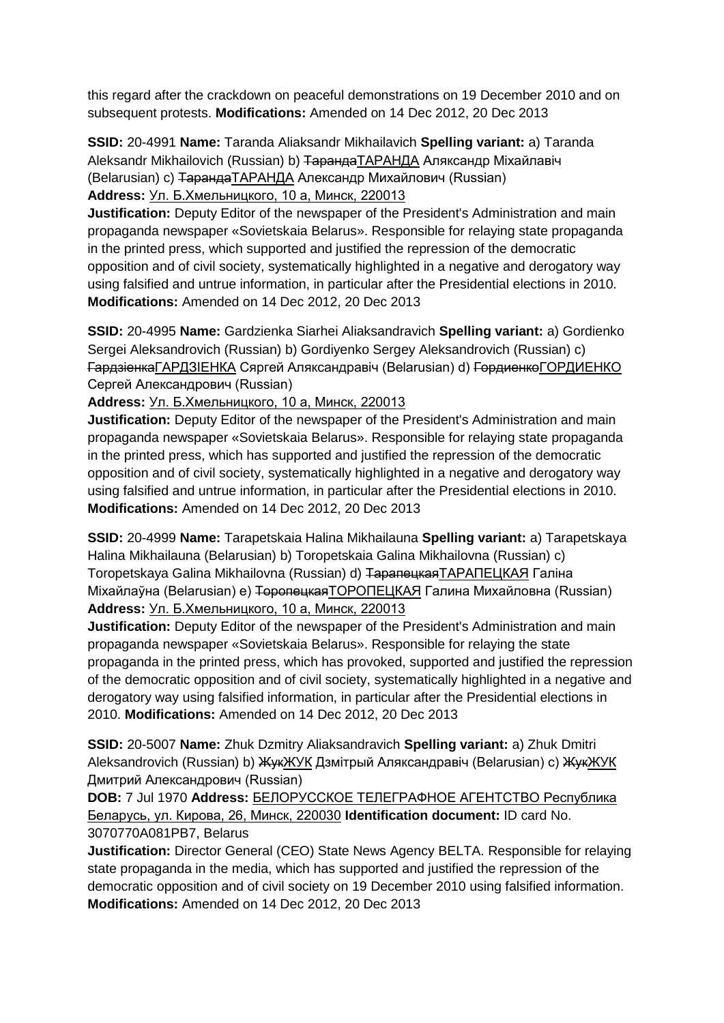this regard after the crackdown on peaceful demonstrations on 19 December 2010 and on subsequent protests. **Modifications:** Amended on 14 Dec 2012, 20 Dec 2013

**SSID:** 20-4991 **Name:** Taranda Aliaksandr Mikhailavich **Spelling variant:** a) Taranda Aleksandr Mikhailovich (Russian) b) <del>Таранда</del>ТАРАНДА Аляксандр Міхайлавіч (Belarusian) с) Таранда ТАРАНДА Александр Михайлович (Russian) **Address:** Ул. Б.Хмельницкого, 10 а, Минск, 220013

**Justification:** Deputy Editor of the newspaper of the President's Administration and main propaganda newspaper «Sovietskaia Belarus». Responsible for relaying state propaganda in the printed press, which supported and justified the repression of the democratic opposition and of civil society, systematically highlighted in a negative and derogatory way using falsified and untrue information, in particular after the Presidential elections in 2010. **Modifications:** Amended on 14 Dec 2012, 20 Dec 2013

**SSID:** 20-4995 **Name:** Gardzienka Siarhei Aliaksandravich **Spelling variant:** a) Gordienko Sergei Aleksandrovich (Russian) b) Gordiyenko Sergey Aleksandrovich (Russian) c) ГардзіенкаГАРДЗIЕНКА Сяргей Аляксандравіч (Belarusian) d) ГордиенкоГОРДИЕНКО Сергей Александрович (Russian)

**Address:** Ул. Б.Хмельницкого, 10 а, Минск, 220013

**Justification:** Deputy Editor of the newspaper of the President's Administration and main propaganda newspaper «Sovietskaia Belarus». Responsible for relaying state propaganda in the printed press, which has supported and justified the repression of the democratic opposition and of civil society, systematically highlighted in a negative and derogatory way using falsified and untrue information, in particular after the Presidential elections in 2010. **Modifications:** Amended on 14 Dec 2012, 20 Dec 2013

**SSID:** 20-4999 **Name:** Tarapetskaia Halina Mikhailauna **Spelling variant:** a) Tarapetskaya Halina Mikhailauna (Belarusian) b) Toropetskaia Galina Mikhailovna (Russian) c) Toropetskaya Galina Mikhailovna (Russian) d) ТарапецкаяТАРАПЕЦКАЯ Галіна Міхайлаўна (Belarusian) e) ТоропецкаяТОРОПЕЦКАЯ Галина Михайловна (Russian) **Address:** Ул. Б.Хмельницкого, 10 а, Минск, 220013

**Justification:** Deputy Editor of the newspaper of the President's Administration and main propaganda newspaper «Sovietskaia Belarus». Responsible for relaying the state propaganda in the printed press, which has provoked, supported and justified the repression of the democratic opposition and of civil society, systematically highlighted in a negative and derogatory way using falsified information, in particular after the Presidential elections in 2010. **Modifications:** Amended on 14 Dec 2012, 20 Dec 2013

**SSID:** 20-5007 **Name:** Zhuk Dzmitry Aliaksandravich **Spelling variant:** a) Zhuk Dmitri Aleksandrovich (Russian) b) ЖукЖУК Дзмітрый Аляксандравіч (Belarusian) c) ЖукЖУК Дмитрий Александрович (Russian)

**DOB:** 7 Jul 1970 **Address:** БЕЛОРУССКОЕ ТЕЛЕГРАФНОЕ АГЕНТСТВО Республика Беларусь, ул. Кирова, 26, Минск, 220030 **Identification document:** ID card No. 3070770A081PB7, Belarus

**Justification:** Director General (CEO) State News Agency BELTA. Responsible for relaying state propaganda in the media, which has supported and justified the repression of the democratic opposition and of civil society on 19 December 2010 using falsified information. **Modifications:** Amended on 14 Dec 2012, 20 Dec 2013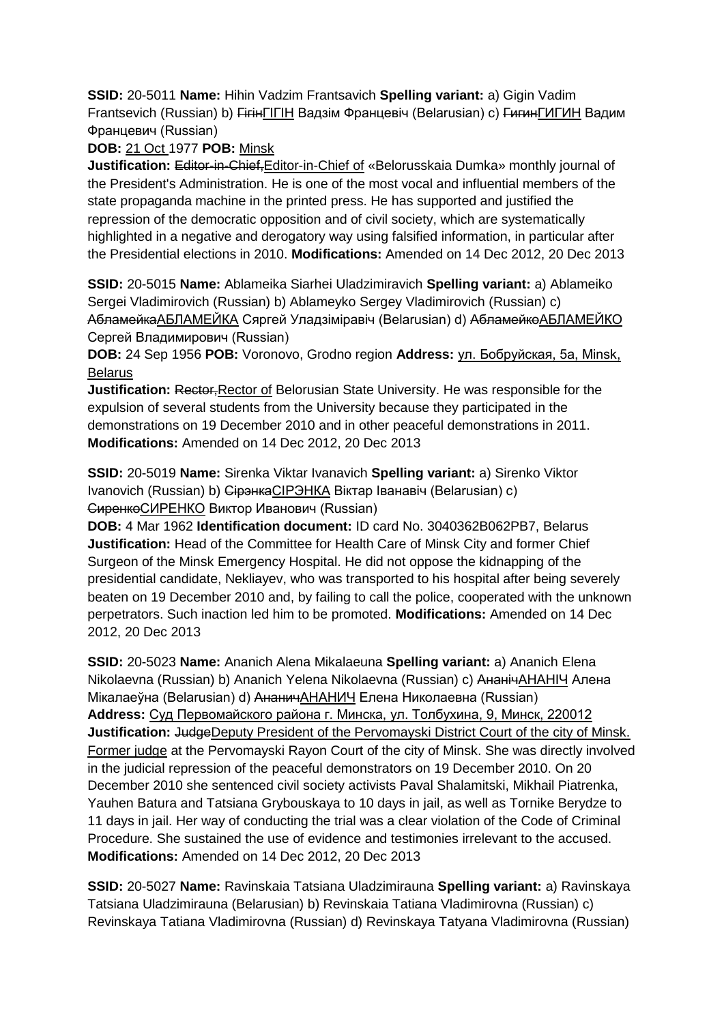**SSID:** 20-5011 **Name:** Hihin Vadzim Frantsavich **Spelling variant:** a) Gigin Vadim Frantsevich (Russian) b) <del>Гігін</del>ГІГІН Вадзім Францевіч (Belarusian) с) ГигинГИГИН Вадим Францевич (Russian)

# **DOB:** 21 Oct 1977 **POB:** Minsk

**Justification:** Editor-in-Chief,Editor-in-Chief of «Belorusskaia Dumka» monthly journal of the President's Administration. He is one of the most vocal and influential members of the state propaganda machine in the printed press. He has supported and justified the repression of the democratic opposition and of civil society, which are systematically highlighted in a negative and derogatory way using falsified information, in particular after the Presidential elections in 2010. **Modifications:** Amended on 14 Dec 2012, 20 Dec 2013

**SSID:** 20-5015 **Name:** Ablameika Siarhei Uladzimiravich **Spelling variant:** a) Ablameiko Sergei Vladimirovich (Russian) b) Ablameyko Sergey Vladimirovich (Russian) c) АбламейкаАБЛАМЕЙКА Сяргей Уладзіміравіч (Belarusian) d) <del>Абламейко</del>АБЛАМЕЙКО Сергей Владимирович (Russian)

**DOB:** 24 Sep 1956 **POB:** Voronovo, Grodno region **Address:** ул. Бобруйская, 5a, Minsk, Belarus

**Justification: Rector, Rector of Belorusian State University. He was responsible for the** expulsion of several students from the University because they participated in the demonstrations on 19 December 2010 and in other peaceful demonstrations in 2011. **Modifications:** Amended on 14 Dec 2012, 20 Dec 2013

**SSID:** 20-5019 **Name:** Sirenka Viktar Ivanavich **Spelling variant:** a) Sirenko Viktor Ivanovich (Russian) b) СірэнкаCIРЭНКА Віктар Іванавіч (Belarusian) c) СиренкоСИРЕНКО Виктор Иванович (Russian)

**DOB:** 4 Mar 1962 **Identification document:** ID card No. 3040362B062PB7, Belarus **Justification:** Head of the Committee for Health Care of Minsk City and former Chief Surgeon of the Minsk Emergency Hospital. He did not oppose the kidnapping of the presidential candidate, Nekliayev, who was transported to his hospital after being severely beaten on 19 December 2010 and, by failing to call the police, cooperated with the unknown perpetrators. Such inaction led him to be promoted. **Modifications:** Amended on 14 Dec 2012, 20 Dec 2013

**SSID:** 20-5023 **Name:** Ananich Alena Mikalaeuna **Spelling variant:** a) Ananich Elena Nikolaevna (Russian) b) Ananich Yelena Nikolaevna (Russian) c) АнанічАНАНIЧ Алена Мікалаеўна (Belarusian) d) АнаничАНАНИЧ Елена Николаевна (Russian) **Address:** Суд Первомайского района г. Минска, ул. Толбухина, 9, Минск, 220012 **Justification:** JudgeDeputy President of the Pervomayski District Court of the city of Minsk. Former judge at the Pervomayski Rayon Court of the city of Minsk. She was directly involved in the judicial repression of the peaceful demonstrators on 19 December 2010. On 20 December 2010 she sentenced civil society activists Paval Shalamitski, Mikhail Piatrenka, Yauhen Batura and Tatsiana Grybouskaya to 10 days in jail, as well as Tornike Berydze to 11 days in jail. Her way of conducting the trial was a clear violation of the Code of Criminal Procedure. She sustained the use of evidence and testimonies irrelevant to the accused. **Modifications:** Amended on 14 Dec 2012, 20 Dec 2013

**SSID:** 20-5027 **Name:** Ravinskaia Tatsiana Uladzimirauna **Spelling variant:** a) Ravinskaya Tatsiana Uladzimirauna (Belarusian) b) Revinskaia Tatiana Vladimirovna (Russian) c) Revinskaya Tatiana Vladimirovna (Russian) d) Revinskaya Tatyana Vladimirovna (Russian)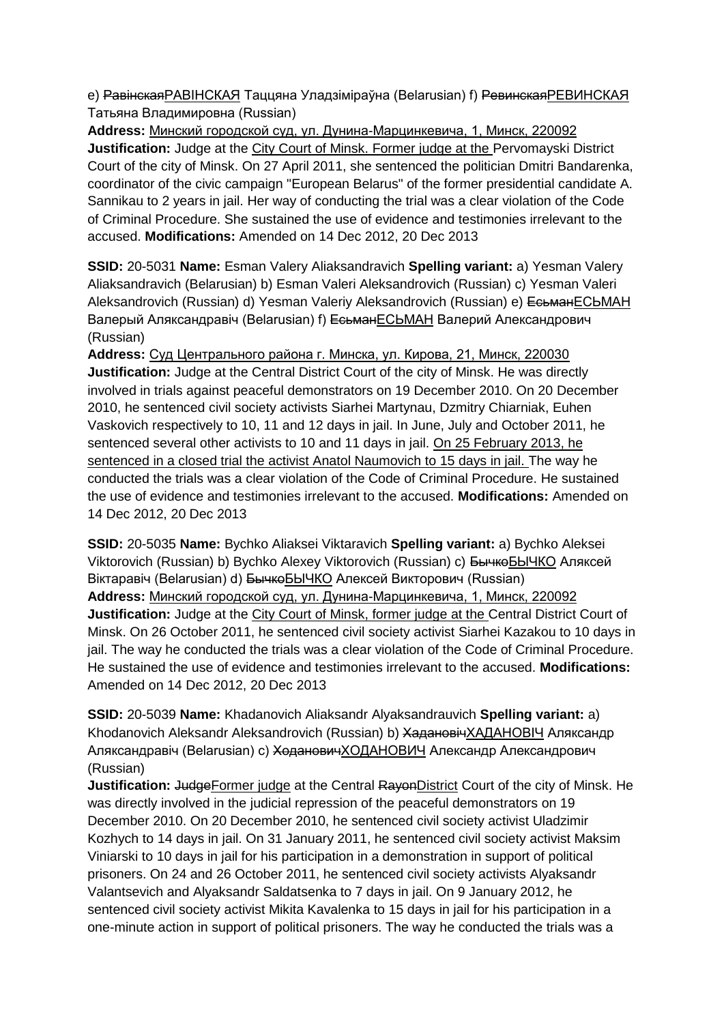e) <del>Равінская</del> РАВІНСКАЯ Таццяна Уладзіміраўна (Belarusian) f) <del>Ревинская</del> РЕВИНСКАЯ Татьяна Владимировна (Russian)

**Address:** Минский городской суд, ул. Дунина-Марцинкевича, 1, Минск, 220092 **Justification:** Judge at the City Court of Minsk. Former judge at the Pervomayski District Court of the city of Minsk. On 27 April 2011, she sentenced the politician Dmitri Bandarenka, coordinator of the civic campaign "European Belarus" of the former presidential candidate A. Sannikau to 2 years in jail. Her way of conducting the trial was a clear violation of the Code of Criminal Procedure. She sustained the use of evidence and testimonies irrelevant to the accused. **Modifications:** Amended on 14 Dec 2012, 20 Dec 2013

**SSID:** 20-5031 **Name:** Esman Valery Aliaksandravich **Spelling variant:** a) Yesman Valery Aliaksandravich (Belarusian) b) Esman Valeri Aleksandrovich (Russian) c) Yesman Valeri Aleksandrovich (Russian) d) Yesman Valeriy Aleksandrovich (Russian) e) ЕсьманЕСЬМАН Валерый Аляксандравіч (Belarusian) f) ЕсьманЕСЬМАН Валерий Александрович (Russian)

**Address:** Суд Центрального района г. Минска, ул. Кирова, 21, Минск, 220030 **Justification:** Judge at the Central District Court of the city of Minsk. He was directly involved in trials against peaceful demonstrators on 19 December 2010. On 20 December 2010, he sentenced civil society activists Siarhei Martynau, Dzmitry Chiarniak, Euhen Vaskovich respectively to 10, 11 and 12 days in jail. In June, July and October 2011, he sentenced several other activists to 10 and 11 days in jail. On 25 February 2013, he sentenced in a closed trial the activist Anatol Naumovich to 15 days in jail. The way he conducted the trials was a clear violation of the Code of Criminal Procedure. He sustained the use of evidence and testimonies irrelevant to the accused. **Modifications:** Amended on 14 Dec 2012, 20 Dec 2013

**SSID:** 20-5035 **Name:** Bychko Aliaksei Viktaravich **Spelling variant:** a) Bychko Aleksei Viktorovich (Russian) b) Bychko Alexey Viktorovich (Russian) c) БычкоБЫЧКО Аляксей Віктаравіч (Belarusian) d) БычкоБЫЧКО Алексей Викторович (Russian) **Address:** Минский городской суд, ул. Дунина-Марцинкевича, 1, Минск, 220092 **Justification:** Judge at the City Court of Minsk, former judge at the Central District Court of Minsk. On 26 October 2011, he sentenced civil society activist Siarhei Kazakou to 10 days in jail. The way he conducted the trials was a clear violation of the Code of Criminal Procedure. He sustained the use of evidence and testimonies irrelevant to the accused. **Modifications:**  Amended on 14 Dec 2012, 20 Dec 2013

**SSID:** 20-5039 **Name:** Khadanovich Aliaksandr Alyaksandrauvich **Spelling variant:** a) Khodanovich Aleksandr Aleksandrovich (Russian) b) ХадановічХАДАНОВIЧ Аляксандр Аляксандравіч (Belarusian) c) ХодановичХOДАНОВИЧ Александр Александрович (Russian)

**Justification:** JudgeFormer judge at the Central RayonDistrict Court of the city of Minsk. He was directly involved in the judicial repression of the peaceful demonstrators on 19 December 2010. On 20 December 2010, he sentenced civil society activist Uladzimir Kozhych to 14 days in jail. On 31 January 2011, he sentenced civil society activist Maksim Viniarski to 10 days in jail for his participation in a demonstration in support of political prisoners. On 24 and 26 October 2011, he sentenced civil society activists Alyaksandr Valantsevich and Alyaksandr Saldatsenka to 7 days in jail. On 9 January 2012, he sentenced civil society activist Mikita Kavalenka to 15 days in jail for his participation in a one-minute action in support of political prisoners. The way he conducted the trials was a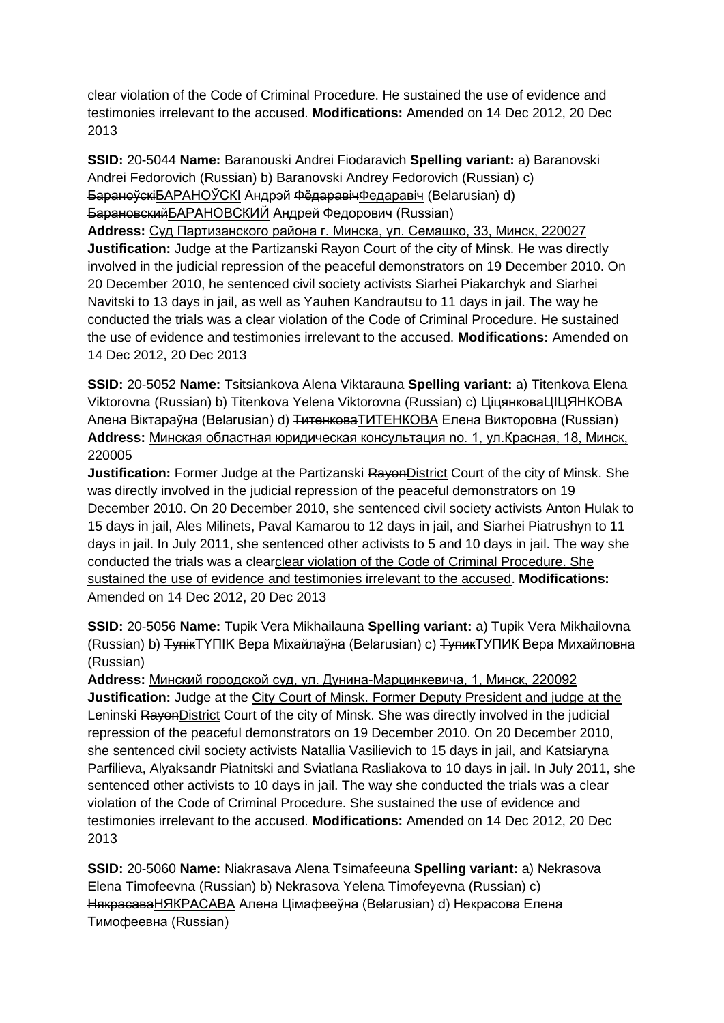clear violation of the Code of Criminal Procedure. He sustained the use of evidence and testimonies irrelevant to the accused. **Modifications:** Amended on 14 Dec 2012, 20 Dec 2013

**SSID:** 20-5044 **Name:** Baranouski Andrei Fiodaravich **Spelling variant:** a) Baranovski Andrei Fedorovich (Russian) b) Baranovski Andrey Fedorovich (Russian) c) БараноўскіБАРАНОЎСКI Андрэй ФёдаравічФедаравіч (Belarusian) d) БарановскийБАРАНОВСКИЙ Андрей Федорович (Russian) **Address:** Суд Партизанского района г. Минска, ул. Семашко, 33, Минск, 220027 **Justification:** Judge at the Partizanski Rayon Court of the city of Minsk. He was directly involved in the judicial repression of the peaceful demonstrators on 19 December 2010. On 20 December 2010, he sentenced civil society activists Siarhei Piakarchyk and Siarhei Navitski to 13 days in jail, as well as Yauhen Kandrautsu to 11 days in jail. The way he conducted the trials was a clear violation of the Code of Criminal Procedure. He sustained the use of evidence and testimonies irrelevant to the accused. **Modifications:** Amended on 14 Dec 2012, 20 Dec 2013

**SSID:** 20-5052 **Name:** Tsitsiankova Alena Viktarauna **Spelling variant:** a) Titenkova Elena Viktorovna (Russian) b) Titenkova Yelena Viktorovna (Russian) c) ЦіцянковаЦIЦЯНКОВА Алена Віктараўна (Belarusian) d) ТитенковаТИТЕНКОВА Елена Викторовна (Russian) **Address:** Минская областная юридическая консультация no. 1, ул.Красная, 18, Минск, 220005

**Justification:** Former Judge at the Partizanski RavenDistrict Court of the city of Minsk. She was directly involved in the judicial repression of the peaceful demonstrators on 19 December 2010. On 20 December 2010, she sentenced civil society activists Anton Hulak to 15 days in jail, Ales Milinets, Paval Kamarou to 12 days in jail, and Siarhei Piatrushyn to 11 days in jail. In July 2011, she sentenced other activists to 5 and 10 days in jail. The way she conducted the trials was a clearclear violation of the Code of Criminal Procedure. She sustained the use of evidence and testimonies irrelevant to the accused. **Modifications:**  Amended on 14 Dec 2012, 20 Dec 2013

**SSID:** 20-5056 **Name:** Tupik Vera Mikhailauna **Spelling variant:** a) Tupik Vera Mikhailovna (Russian) b) ТупікTYПIK Вера Міхайлаўна (Belarusian) c) ТупикТУПИК Вера Михайловна (Russian)

**Address:** Минский городской суд, ул. Дунина-Марцинкевича, 1, Минск, 220092 **Justification:** Judge at the City Court of Minsk. Former Deputy President and judge at the Leninski RayonDistrict Court of the city of Minsk. She was directly involved in the judicial repression of the peaceful demonstrators on 19 December 2010. On 20 December 2010, she sentenced civil society activists Natallia Vasilievich to 15 days in jail, and Katsiaryna Parfilieva, Alyaksandr Piatnitski and Sviatlana Rasliakova to 10 days in jail. In July 2011, she sentenced other activists to 10 days in jail. The way she conducted the trials was a clear violation of the Code of Criminal Procedure. She sustained the use of evidence and testimonies irrelevant to the accused. **Modifications:** Amended on 14 Dec 2012, 20 Dec 2013

**SSID:** 20-5060 **Name:** Niakrasava Alena Tsimafeeuna **Spelling variant:** a) Nekrasova Elena Timofeevna (Russian) b) Nekrasova Yelena Timofeyevna (Russian) c) НякрасаваНЯКРАСАВА Алена Цімафееўна (Belarusian) d) Некрасова Елена Тимофеевна (Russian)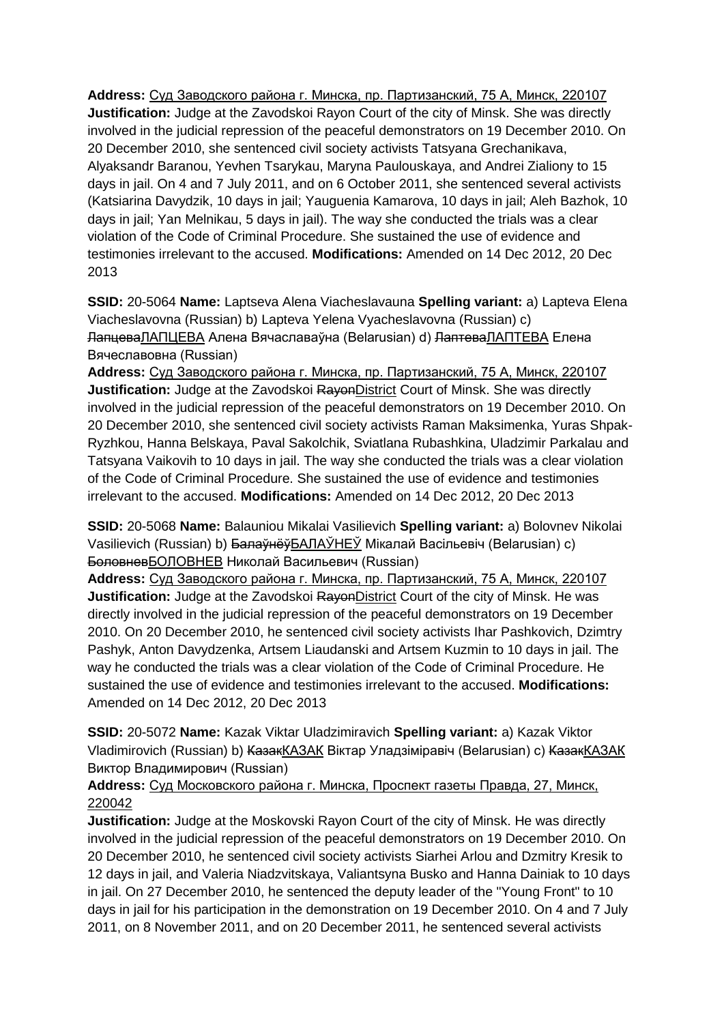**Address:** Суд Заводского района г. Минска, пр. Партизанский, 75 А, Минск, 220107 **Justification:** Judge at the Zavodskoi Rayon Court of the city of Minsk. She was directly involved in the judicial repression of the peaceful demonstrators on 19 December 2010. On 20 December 2010, she sentenced civil society activists Tatsyana Grechanikava, Alyaksandr Baranou, Yevhen Tsarykau, Maryna Paulouskaya, and Andrei Zialiony to 15 days in jail. On 4 and 7 July 2011, and on 6 October 2011, she sentenced several activists (Katsiarina Davydzik, 10 days in jail; Yauguenia Kamarova, 10 days in jail; Aleh Bazhok, 10 days in jail; Yan Melnikau, 5 days in jail). The way she conducted the trials was a clear violation of the Code of Criminal Procedure. She sustained the use of evidence and testimonies irrelevant to the accused. **Modifications:** Amended on 14 Dec 2012, 20 Dec 2013

**SSID:** 20-5064 **Name:** Laptseva Alena Viacheslavauna **Spelling variant:** a) Lapteva Elena Viacheslavovna (Russian) b) Lapteva Yelena Vyacheslavovna (Russian) c) ЛапцеваЛАПЦЕВА Алена Вячаславаўна (Belarusian) d) ЛаптеваЛАПТЕВА Елена Вячеславовна (Russian)

**Address:** Суд Заводского района г. Минска, пр. Партизанский, 75 А, Минск, 220107 **Justification:** Judge at the Zavodskoi RayonDistrict Court of Minsk. She was directly involved in the judicial repression of the peaceful demonstrators on 19 December 2010. On 20 December 2010, she sentenced civil society activists Raman Maksimenka, Yuras Shpak-Ryzhkou, Hanna Belskaya, Paval Sakolchik, Sviatlana Rubashkina, Uladzimir Parkalau and Tatsyana Vaikovih to 10 days in jail. The way she conducted the trials was a clear violation of the Code of Criminal Procedure. She sustained the use of evidence and testimonies irrelevant to the accused. **Modifications:** Amended on 14 Dec 2012, 20 Dec 2013

**SSID:** 20-5068 **Name:** Balauniou Mikalai Vasilievich **Spelling variant:** a) Bolovnev Nikolai Vasilievich (Russian) b) БалаўнёўБАЛАЎНЕЎ Мікалай Васільевіч (Belarusian) c) БоловневБОЛОВНЕВ Николай Васильевич (Russian)

**Address:** Суд Заводского района г. Минска, пр. Партизанский, 75 А, Минск, 220107 **Justification:** Judge at the Zavodskoi RayonDistrict Court of the city of Minsk. He was directly involved in the judicial repression of the peaceful demonstrators on 19 December 2010. On 20 December 2010, he sentenced civil society activists Ihar Pashkovich, Dzimtry Pashyk, Anton Davydzenka, Artsem Liaudanski and Artsem Kuzmin to 10 days in jail. The way he conducted the trials was a clear violation of the Code of Criminal Procedure. He sustained the use of evidence and testimonies irrelevant to the accused. **Modifications:**  Amended on 14 Dec 2012, 20 Dec 2013

**SSID:** 20-5072 **Name:** Kazak Viktar Uladzimiravich **Spelling variant:** a) Kazak Viktor Vladimirovich (Russian) b) КазакКАЗАК Віктар Уладзіміравіч (Belarusian) c) КазакКАЗАК Виктор Владимирович (Russian)

## **Address:** Суд Московского района г. Минска, Проспект газеты Правда, 27, Минск, 220042

**Justification:** Judge at the Moskovski Rayon Court of the city of Minsk. He was directly involved in the judicial repression of the peaceful demonstrators on 19 December 2010. On 20 December 2010, he sentenced civil society activists Siarhei Arlou and Dzmitry Kresik to 12 days in jail, and Valeria Niadzvitskaya, Valiantsyna Busko and Hanna Dainiak to 10 days in jail. On 27 December 2010, he sentenced the deputy leader of the "Young Front" to 10 days in jail for his participation in the demonstration on 19 December 2010. On 4 and 7 July 2011, on 8 November 2011, and on 20 December 2011, he sentenced several activists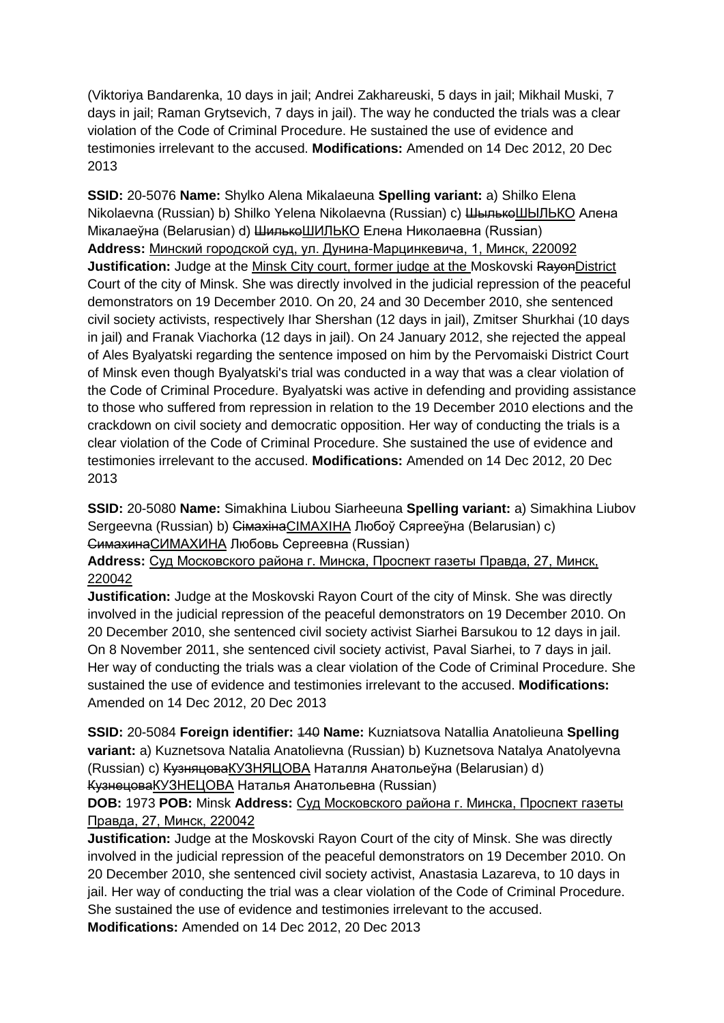(Viktoriya Bandarenka, 10 days in jail; Andrei Zakhareuski, 5 days in jail; Mikhail Muski, 7 days in jail; Raman Grytsevich, 7 days in jail). The way he conducted the trials was a clear violation of the Code of Criminal Procedure. He sustained the use of evidence and testimonies irrelevant to the accused. **Modifications:** Amended on 14 Dec 2012, 20 Dec 2013

**SSID:** 20-5076 **Name:** Shylko Alena Mikalaeuna **Spelling variant:** a) Shilko Elena Nikolaevna (Russian) b) Shilko Yelena Nikolaevna (Russian) с) ШылькөШЫЛЬКО Алена Мікалаеўна (Belarusian) d) <del>Шилько</del>ШИЛЬКО Елена Николаевна (Russian) **Address:** Минский городской суд, ул. Дунина-Марцинкевича, 1, Минск, 220092 **Justification:** Judge at the Minsk City court, former judge at the Moskovski RayonDistrict Court of the city of Minsk. She was directly involved in the judicial repression of the peaceful demonstrators on 19 December 2010. On 20, 24 and 30 December 2010, she sentenced civil society activists, respectively Ihar Shershan (12 days in jail), Zmitser Shurkhai (10 days in jail) and Franak Viachorka (12 days in jail). On 24 January 2012, she rejected the appeal of Ales Byalyatski regarding the sentence imposed on him by the Pervomaiski District Court of Minsk even though Byalyatski's trial was conducted in a way that was a clear violation of the Code of Criminal Procedure. Byalyatski was active in defending and providing assistance to those who suffered from repression in relation to the 19 December 2010 elections and the crackdown on civil society and democratic opposition. Her way of conducting the trials is a clear violation of the Code of Criminal Procedure. She sustained the use of evidence and testimonies irrelevant to the accused. **Modifications:** Amended on 14 Dec 2012, 20 Dec 2013

**SSID:** 20-5080 **Name:** Simakhina Liubou Siarheeuna **Spelling variant:** a) Simakhina Liubov Sergeevna (Russian) b) СімахінаCIMAXIHA Любоў Сяргееўна (Belarusian) c) СимахинаСИМАХИНА Любовь Сергеевна (Russian)

**Address:** Суд Московского района г. Минска, Проспект газеты Правда, 27, Минск, 220042

**Justification:** Judge at the Moskovski Rayon Court of the city of Minsk. She was directly involved in the judicial repression of the peaceful demonstrators on 19 December 2010. On 20 December 2010, she sentenced civil society activist Siarhei Barsukou to 12 days in jail. On 8 November 2011, she sentenced civil society activist, Paval Siarhei, to 7 days in jail. Her way of conducting the trials was a clear violation of the Code of Criminal Procedure. She sustained the use of evidence and testimonies irrelevant to the accused. **Modifications:**  Amended on 14 Dec 2012, 20 Dec 2013

**SSID:** 20-5084 **Foreign identifier:** 140 **Name:** Kuzniatsova Natallia Anatolieuna **Spelling variant:** a) Kuznetsova Natalia Anatolievna (Russian) b) Kuznetsova Natalya Anatolyevna (Russian) c) КузняцоваКУЗНЯЦОВА Наталля Анатольеўна (Belarusian) d) КузнецоваКУЗНЕЦОВА Наталья Анатольевна (Russian)

**DOB:** 1973 **POB:** Minsk **Address:** Суд Московского района г. Минска, Проспект газеты Правда, 27, Минск, 220042

**Justification:** Judge at the Moskovski Rayon Court of the city of Minsk. She was directly involved in the judicial repression of the peaceful demonstrators on 19 December 2010. On 20 December 2010, she sentenced civil society activist, Anastasia Lazareva, to 10 days in jail. Her way of conducting the trial was a clear violation of the Code of Criminal Procedure. She sustained the use of evidence and testimonies irrelevant to the accused. **Modifications:** Amended on 14 Dec 2012, 20 Dec 2013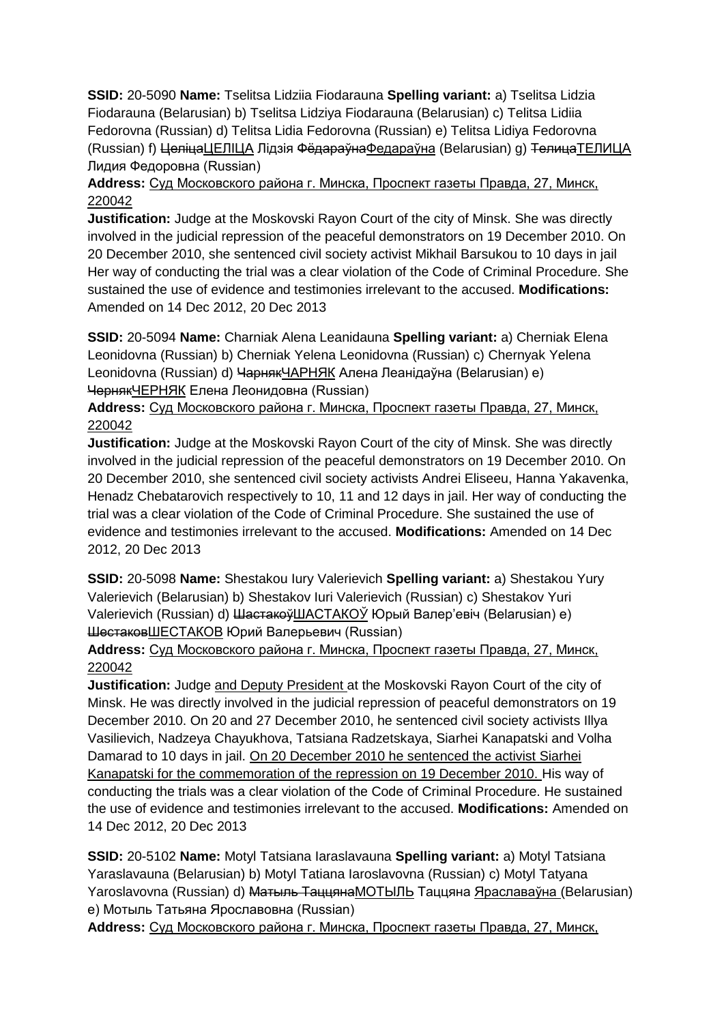**SSID:** 20-5090 **Name:** Tselitsa Lidziia Fiodarauna **Spelling variant:** a) Tselitsa Lidzia Fiodarauna (Belarusian) b) Tselitsa Lidziya Fiodarauna (Belarusian) c) Telitsa Lidiia Fedorovna (Russian) d) Telitsa Lidia Fedorovna (Russian) e) Telitsa Lidiya Fedorovna (Russian) f) ЦеліцаЦЕЛIЦА Лідзія ФёдараўнаФедараўна (Belarusian) g) ТелицаТЕЛИЦА Лидия Федоровна (Russian)

# **Address:** Суд Московского района г. Минска, Проспект газеты Правда, 27, Минск, 220042

**Justification:** Judge at the Moskovski Rayon Court of the city of Minsk. She was directly involved in the judicial repression of the peaceful demonstrators on 19 December 2010. On 20 December 2010, she sentenced civil society activist Mikhail Barsukou to 10 days in jail Her way of conducting the trial was a clear violation of the Code of Criminal Procedure. She sustained the use of evidence and testimonies irrelevant to the accused. **Modifications:**  Amended on 14 Dec 2012, 20 Dec 2013

**SSID:** 20-5094 **Name:** Charniak Alena Leanidauna **Spelling variant:** a) Cherniak Elena Leonidovna (Russian) b) Cherniak Yelena Leonidovna (Russian) c) Chernyak Yelena Leonidovna (Russian) d) ЧарнякЧАРНЯК Алена Леанідаўна (Belarusian) e) ЧернякЧЕРНЯК Елена Леонидовна (Russian)

**Address:** Суд Московского района г. Минска, Проспект газеты Правда, 27, Минск, 220042

**Justification:** Judge at the Moskovski Rayon Court of the city of Minsk. She was directly involved in the judicial repression of the peaceful demonstrators on 19 December 2010. On 20 December 2010, she sentenced civil society activists Andrei Eliseeu, Hanna Yakavenka, Henadz Chebatarovich respectively to 10, 11 and 12 days in jail. Her way of conducting the trial was a clear violation of the Code of Criminal Procedure. She sustained the use of evidence and testimonies irrelevant to the accused. **Modifications:** Amended on 14 Dec 2012, 20 Dec 2013

**SSID:** 20-5098 **Name:** Shestakou Iury Valerievich **Spelling variant:** a) Shestakou Yury Valerievich (Belarusian) b) Shestakov Iuri Valerievich (Russian) c) Shestakov Yuri Valerievich (Russian) d) ШастакоўШАСТАКОЎ Юрый Валер'евіч (Belarusian) e) ШестаковШЕСТАКОВ Юрий Валерьевич (Russian)

**Address:** Суд Московского района г. Минска, Проспект газеты Правда, 27, Минск, 220042

**Justification:** Judge and Deputy President at the Moskovski Rayon Court of the city of Minsk. He was directly involved in the judicial repression of peaceful demonstrators on 19 December 2010. On 20 and 27 December 2010, he sentenced civil society activists Illya Vasilievich, Nadzeya Chayukhova, Tatsiana Radzetskaya, Siarhei Kanapatski and Volha Damarad to 10 days in jail. On 20 December 2010 he sentenced the activist Siarhei Kanapatski for the commemoration of the repression on 19 December 2010. His way of conducting the trials was a clear violation of the Code of Criminal Procedure. He sustained the use of evidence and testimonies irrelevant to the accused. **Modifications:** Amended on 14 Dec 2012, 20 Dec 2013

**SSID:** 20-5102 **Name:** Motyl Tatsiana Iaraslavauna **Spelling variant:** a) Motyl Tatsiana Yaraslavauna (Belarusian) b) Motyl Tatiana Iaroslavovna (Russian) c) Motyl Tatyana Yaroslavovna (Russian) d) <del>Матыль Таццяна</del>МОТЫЛЬ Таццяна Яраславаўна (Belarusian) e) Мотыль Татьяна Ярославовна (Russian)

**Address:** Суд Московского района г. Минска, Проспект газеты Правда, 27, Минск,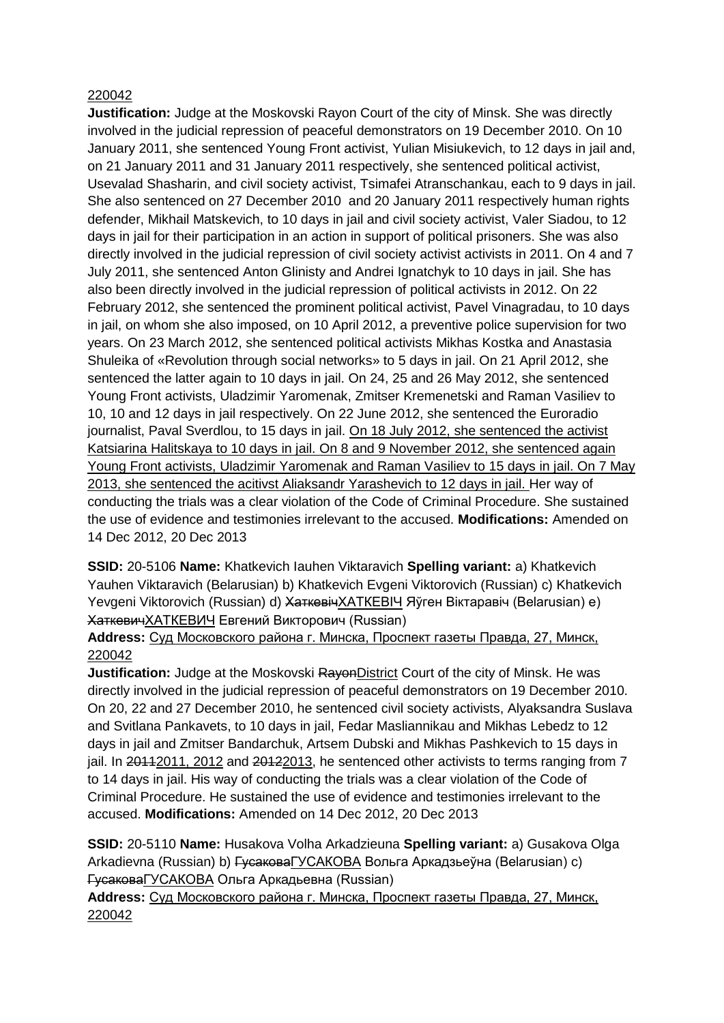#### 220042

**Justification:** Judge at the Moskovski Rayon Court of the city of Minsk. She was directly involved in the judicial repression of peaceful demonstrators on 19 December 2010. On 10 January 2011, she sentenced Young Front activist, Yulian Misiukevich, to 12 days in jail and, on 21 January 2011 and 31 January 2011 respectively, she sentenced political activist, Usevalad Shasharin, and civil society activist, Tsimafei Atranschankau, each to 9 days in jail. She also sentenced on 27 December 2010 and 20 January 2011 respectively human rights defender, Mikhail Matskevich, to 10 days in jail and civil society activist, Valer Siadou, to 12 days in jail for their participation in an action in support of political prisoners. She was also directly involved in the judicial repression of civil society activist activists in 2011. On 4 and 7 July 2011, she sentenced Anton Glinisty and Andrei Ignatchyk to 10 days in jail. She has also been directly involved in the judicial repression of political activists in 2012. On 22 February 2012, she sentenced the prominent political activist, Pavel Vinagradau, to 10 days in jail, on whom she also imposed, on 10 April 2012, a preventive police supervision for two years. On 23 March 2012, she sentenced political activists Mikhas Kostka and Anastasia Shuleika of «Revolution through social networks» to 5 days in jail. On 21 April 2012, she sentenced the latter again to 10 days in jail. On 24, 25 and 26 May 2012, she sentenced Young Front activists, Uladzimir Yaromenak, Zmitser Kremenetski and Raman Vasiliev to 10, 10 and 12 days in jail respectively. On 22 June 2012, she sentenced the Euroradio journalist, Paval Sverdlou, to 15 days in jail. On 18 July 2012, she sentenced the activist Katsiarina Halitskaya to 10 days in jail. On 8 and 9 November 2012, she sentenced again Young Front activists, Uladzimir Yaromenak and Raman Vasiliev to 15 days in jail. On 7 May 2013, she sentenced the acitivst Aliaksandr Yarashevich to 12 days in jail. Her way of conducting the trials was a clear violation of the Code of Criminal Procedure. She sustained the use of evidence and testimonies irrelevant to the accused. **Modifications:** Amended on 14 Dec 2012, 20 Dec 2013

**SSID:** 20-5106 **Name:** Khatkevich Iauhen Viktaravich **Spelling variant:** a) Khatkevich Yauhen Viktaravich (Belarusian) b) Khatkevich Evgeni Viktorovich (Russian) c) Khatkevich Yevgeni Viktorovich (Russian) d) <del>ХаткевічХАТКЕВІЧ</del> Яўген Віктаравіч (Belarusian) e) ХаткевичХАТКЕВИЧ Евгений Викторович (Russian)

## **Address:** Суд Московского района г. Минска, Проспект газеты Правда, 27, Минск, 220042

**Justification:** Judge at the Moskovski RayonDistrict Court of the city of Minsk. He was directly involved in the judicial repression of peaceful demonstrators on 19 December 2010. On 20, 22 and 27 December 2010, he sentenced civil society activists, Alyaksandra Suslava and Svitlana Pankavets, to 10 days in jail, Fedar Masliannikau and Mikhas Lebedz to 12 days in jail and Zmitser Bandarchuk, Artsem Dubski and Mikhas Pashkevich to 15 days in jail. In 20112011, 2012 and 20122013, he sentenced other activists to terms ranging from 7 to 14 days in jail. His way of conducting the trials was a clear violation of the Code of Criminal Procedure. He sustained the use of evidence and testimonies irrelevant to the accused. **Modifications:** Amended on 14 Dec 2012, 20 Dec 2013

**SSID:** 20-5110 **Name:** Husakova Volha Arkadzieuna **Spelling variant:** a) Gusakova Olga Arkadievna (Russian) b) <del>Гусакова</del>ГУСАКОВА Вольга Аркадзьеўна (Belarusian) c) ГусаковаГУСАКОВА Ольга Аркадьевна (Russian)

**Address:** Суд Московского района г. Минска, Проспект газеты Правда, 27, Минск, 220042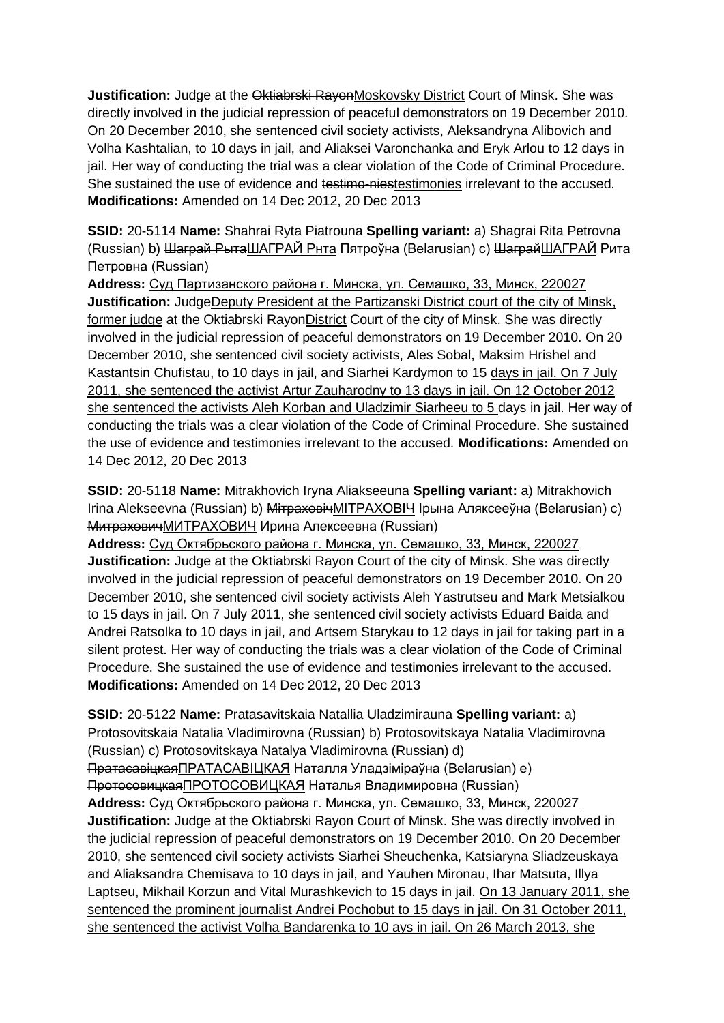**Justification:** Judge at the Oktiabrski RayonMoskovsky District Court of Minsk. She was directly involved in the judicial repression of peaceful demonstrators on 19 December 2010. On 20 December 2010, she sentenced civil society activists, Aleksandryna Alibovich and Volha Kashtalian, to 10 days in jail, and Aliaksei Varonchanka and Eryk Arlou to 12 days in jail. Her way of conducting the trial was a clear violation of the Code of Criminal Procedure. She sustained the use of evidence and testimo-niestestimonies irrelevant to the accused. **Modifications:** Amended on 14 Dec 2012, 20 Dec 2013

**SSID:** 20-5114 **Name:** Shahrai Ryta Piatrouna **Spelling variant:** a) Shagrai Rita Petrovna (Russian) b) Шаграй РытаШАГРАЙ Рнта Пятроўна (Belarusian) c) ШаграйШАГРАЙ Рита Петровна (Russian)

**Address:** Суд Партизанского района г. Минска, ул. Семашко, 33, Минск, 220027 **Justification:** JudgeDeputy President at the Partizanski District court of the city of Minsk, former judge at the Oktiabrski RayonDistrict Court of the city of Minsk. She was directly involved in the judicial repression of peaceful demonstrators on 19 December 2010. On 20 December 2010, she sentenced civil society activists, Ales Sobal, Maksim Hrishel and Kastantsin Chufistau, to 10 days in jail, and Siarhei Kardymon to 15 days in jail. On 7 July 2011, she sentenced the activist Artur Zauharodny to 13 days in jail. On 12 October 2012 she sentenced the activists Aleh Korban and Uladzimir Siarheeu to 5 days in jail. Her way of conducting the trials was a clear violation of the Code of Criminal Procedure. She sustained the use of evidence and testimonies irrelevant to the accused. **Modifications:** Amended on 14 Dec 2012, 20 Dec 2013

**SSID:** 20-5118 **Name:** Mitrakhovich Iryna Aliakseeuna **Spelling variant:** a) Mitrakhovich Irina Alekseevna (Russian) b) <del>Мітраховіч</del>МІТРАХОВІЧ Ірына Аляксееўна (Belarusian) c) МитраховичМИТРАХОВИЧ Ирина Алексеевна (Russian)

**Address:** Суд Октябрьского района г. Минска, ул. Семашко, 33, Минск, 220027 **Justification:** Judge at the Oktiabrski Rayon Court of the city of Minsk. She was directly involved in the judicial repression of peaceful demonstrators on 19 December 2010. On 20 December 2010, she sentenced civil society activists Aleh Yastrutseu and Mark Metsialkou to 15 days in jail. On 7 July 2011, she sentenced civil society activists Eduard Baida and Andrei Ratsolka to 10 days in jail, and Artsem Starykau to 12 days in jail for taking part in a silent protest. Her way of conducting the trials was a clear violation of the Code of Criminal Procedure. She sustained the use of evidence and testimonies irrelevant to the accused. **Modifications:** Amended on 14 Dec 2012, 20 Dec 2013

**SSID:** 20-5122 **Name:** Pratasavitskaia Natallia Uladzimirauna **Spelling variant:** a) Protosovitskaia Natalia Vladimirovna (Russian) b) Protosovitskaya Natalia Vladimirovna (Russian) c) Protosovitskaya Natalya Vladimirovna (Russian) d) ПратасавіцкаяПРАТАСАВIЦКАЯ Наталля Уладзіміраўна (Belarusian) e) ПротосовицкаяПРОТОСОВИЦКАЯ Наталья Владимировна (Russian) **Address:** Суд Октябрьского района г. Минска, ул. Семашко, 33, Минск, 220027 **Justification:** Judge at the Oktiabrski Rayon Court of Minsk. She was directly involved in the judicial repression of peaceful demonstrators on 19 December 2010. On 20 December 2010, she sentenced civil society activists Siarhei Sheuchenka, Katsiaryna Sliadzeuskaya and Aliaksandra Chemisava to 10 days in jail, and Yauhen Mironau, Ihar Matsuta, Illya Laptseu, Mikhail Korzun and Vital Murashkevich to 15 days in jail. On 13 January 2011, she sentenced the prominent journalist Andrei Pochobut to 15 days in jail. On 31 October 2011, she sentenced the activist Volha Bandarenka to 10 ays in jail. On 26 March 2013, she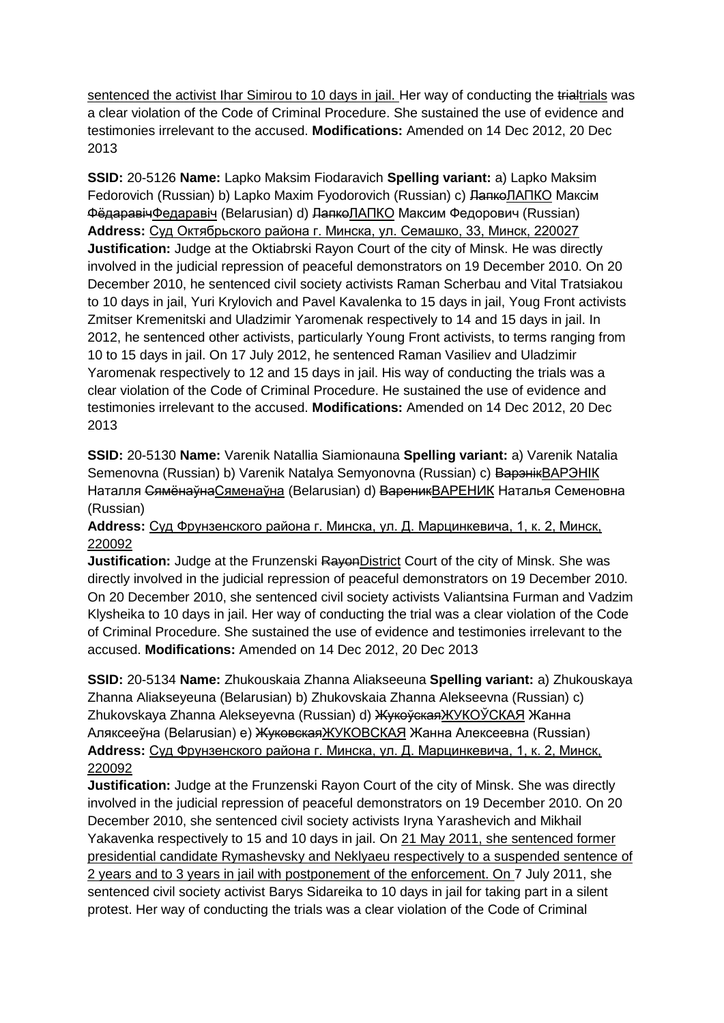sentenced the activist Ihar Simirou to 10 days in jail. Her way of conducting the trialtrials was a clear violation of the Code of Criminal Procedure. She sustained the use of evidence and testimonies irrelevant to the accused. **Modifications:** Amended on 14 Dec 2012, 20 Dec 2013

**SSID:** 20-5126 **Name:** Lapko Maksim Fiodaravich **Spelling variant:** a) Lapko Maksim Fedorovich (Russian) b) Lapko Maxim Fyodorovich (Russian) c) ЛапкоЛАПКО Максім ФёдаравічФедаравiч (Belarusian) d) ЛапкоЛАПКО Максим Федорович (Russian) **Address:** Суд Октябрьского района г. Минска, ул. Семашко, 33, Минск, 220027 **Justification:** Judge at the Oktiabrski Rayon Court of the city of Minsk. He was directly involved in the judicial repression of peaceful demonstrators on 19 December 2010. On 20 December 2010, he sentenced civil society activists Raman Scherbau and Vital Tratsiakou to 10 days in jail, Yuri Krylovich and Pavel Kavalenka to 15 days in jail, Youg Front activists Zmitser Kremenitski and Uladzimir Yaromenak respectively to 14 and 15 days in jail. In 2012, he sentenced other activists, particularly Young Front activists, to terms ranging from 10 to 15 days in jail. On 17 July 2012, he sentenced Raman Vasiliev and Uladzimir Yaromenak respectively to 12 and 15 days in jail. His way of conducting the trials was a clear violation of the Code of Criminal Procedure. He sustained the use of evidence and testimonies irrelevant to the accused. **Modifications:** Amended on 14 Dec 2012, 20 Dec 2013

**SSID:** 20-5130 **Name:** Varenik Natallia Siamionauna **Spelling variant:** a) Varenik Natalia Semenovna (Russian) b) Varenik Natalya Semyonovna (Russian) c) ВарэнікВАРЭНIК Наталля СямёнаўнаСяменаўна (Belarusian) d) ВареникВАРЕНИК Наталья Семеновна (Russian)

### **Address:** Суд Фрунзенского района г. Минска, ул. Д. Марцинкевича, 1, к. 2, Минск, 220092

**Justification:** Judge at the Frunzenski RayonDistrict Court of the city of Minsk. She was directly involved in the judicial repression of peaceful demonstrators on 19 December 2010. On 20 December 2010, she sentenced civil society activists Valiantsina Furman and Vadzim Klysheika to 10 days in jail. Her way of conducting the trial was a clear violation of the Code of Criminal Procedure. She sustained the use of evidence and testimonies irrelevant to the accused. **Modifications:** Amended on 14 Dec 2012, 20 Dec 2013

**SSID:** 20-5134 **Name:** Zhukouskaia Zhanna Aliakseeuna **Spelling variant:** a) Zhukouskaya Zhanna Aliakseyeuna (Belarusian) b) Zhukovskaia Zhanna Alekseevna (Russian) c) Zhukovskaya Zhanna Alekseyevna (Russian) d) <del>Жукоўская</del>ЖУКОЎСКАЯ Жанна Аляксееўна (Belarusian) e) ЖуковскаяЖУКОВСКАЯ Жанна Алексеевна (Russian) **Address:** Суд Фрунзенского района г. Минска, ул. Д. Марцинкевича, 1, к. 2, Минск, 220092

**Justification:** Judge at the Frunzenski Rayon Court of the city of Minsk. She was directly involved in the judicial repression of peaceful demonstrators on 19 December 2010. On 20 December 2010, she sentenced civil society activists Iryna Yarashevich and Mikhail Yakavenka respectively to 15 and 10 days in jail. On 21 May 2011, she sentenced former presidential candidate Rymashevsky and Neklyaeu respectively to a suspended sentence of 2 years and to 3 years in jail with postponement of the enforcement. On 7 July 2011, she sentenced civil society activist Barys Sidareika to 10 days in jail for taking part in a silent protest. Her way of conducting the trials was a clear violation of the Code of Criminal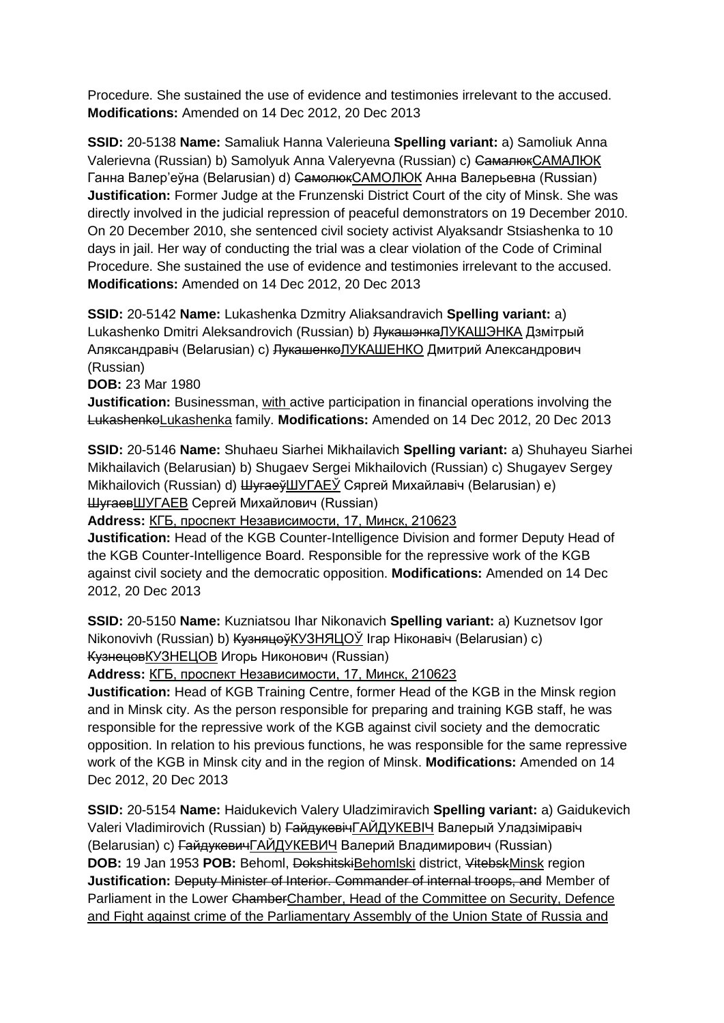Procedure. She sustained the use of evidence and testimonies irrelevant to the accused. **Modifications:** Amended on 14 Dec 2012, 20 Dec 2013

**SSID:** 20-5138 **Name:** Samaliuk Hanna Valerieuna **Spelling variant:** a) Samoliuk Anna Valerievna (Russian) b) Samolyuk Anna Valeryevna (Russian) c) СамалюкСАМАЛЮК Ганна Валер'еўна (Belarusian) d) СамолюкСАМОЛЮК Анна Валерьевна (Russian) **Justification:** Former Judge at the Frunzenski District Court of the city of Minsk. She was directly involved in the judicial repression of peaceful demonstrators on 19 December 2010. On 20 December 2010, she sentenced civil society activist Alyaksandr Stsiashenka to 10 days in jail. Her way of conducting the trial was a clear violation of the Code of Criminal Procedure. She sustained the use of evidence and testimonies irrelevant to the accused. **Modifications:** Amended on 14 Dec 2012, 20 Dec 2013

**SSID:** 20-5142 **Name:** Lukashenka Dzmitry Aliaksandravich **Spelling variant:** a) Lukashenko Dmitri Aleksandrovich (Russian) b) <del>Лукашэнка ЛУКАШЭНКА</del> Дзмітрый Аляксандравіч (Belarusian) с) <del>ЛукашенкоЛУКАШЕНКО</del> Дмитрий Александрович (Russian)

**DOB:** 23 Mar 1980

**Justification:** Businessman, with active participation in financial operations involving the LukashenkoLukashenka family. **Modifications:** Amended on 14 Dec 2012, 20 Dec 2013

**SSID:** 20-5146 **Name:** Shuhaeu Siarhei Mikhailavich **Spelling variant:** a) Shuhayeu Siarhei Mikhailavich (Belarusian) b) Shugaev Sergei Mikhailovich (Russian) c) Shugayev Sergey Mikhailovich (Russian) d) ШугаеўШУГАЕЎ Сяргей Михайлавіч (Belarusian) e) ШугаевШУГАЕВ Сергей Михайлович (Russian)

**Address:** КГБ, проспект Независимости, 17, Минск, 210623

**Justification:** Head of the KGB Counter-Intelligence Division and former Deputy Head of the KGB Counter-Intelligence Board. Responsible for the repressive work of the KGB against civil society and the democratic opposition. **Modifications:** Amended on 14 Dec 2012, 20 Dec 2013

**SSID:** 20-5150 **Name:** Kuzniatsou Ihar Nikonavich **Spelling variant:** a) Kuznetsov Igor Nikonovivh (Russian) b) <del>Кузняцоў</del>КУЗНЯЦОЎ Ігар Ніконавіч (Belarusian) c) КузнецовКУЗНЕЦОВ Игорь Никонович (Russian)

**Address:** КГБ, проспект Независимости, 17, Минск, 210623

**Justification:** Head of KGB Training Centre, former Head of the KGB in the Minsk region and in Minsk city. As the person responsible for preparing and training KGB staff, he was responsible for the repressive work of the KGB against civil society and the democratic opposition. In relation to his previous functions, he was responsible for the same repressive work of the KGB in Minsk city and in the region of Minsk. **Modifications:** Amended on 14 Dec 2012, 20 Dec 2013

**SSID:** 20-5154 **Name:** Haidukevich Valery Uladzimiravich **Spelling variant:** a) Gaidukevich Valeri Vladimirovich (Russian) b) ГайдукевічГАЙДУКЕВIЧ Валерый Уладзіміравіч (Belarusian) c) ГайдукевичГАЙДУКЕВИЧ Валерий Владимирович (Russian) **DOB:** 19 Jan 1953 **POB:** Behoml, DokshitskiBehomlski district, VitebskMinsk region **Justification:** Deputy Minister of Interior. Commander of internal troops, and Member of Parliament in the Lower ChamberChamber, Head of the Committee on Security, Defence and Fight against crime of the Parliamentary Assembly of the Union State of Russia and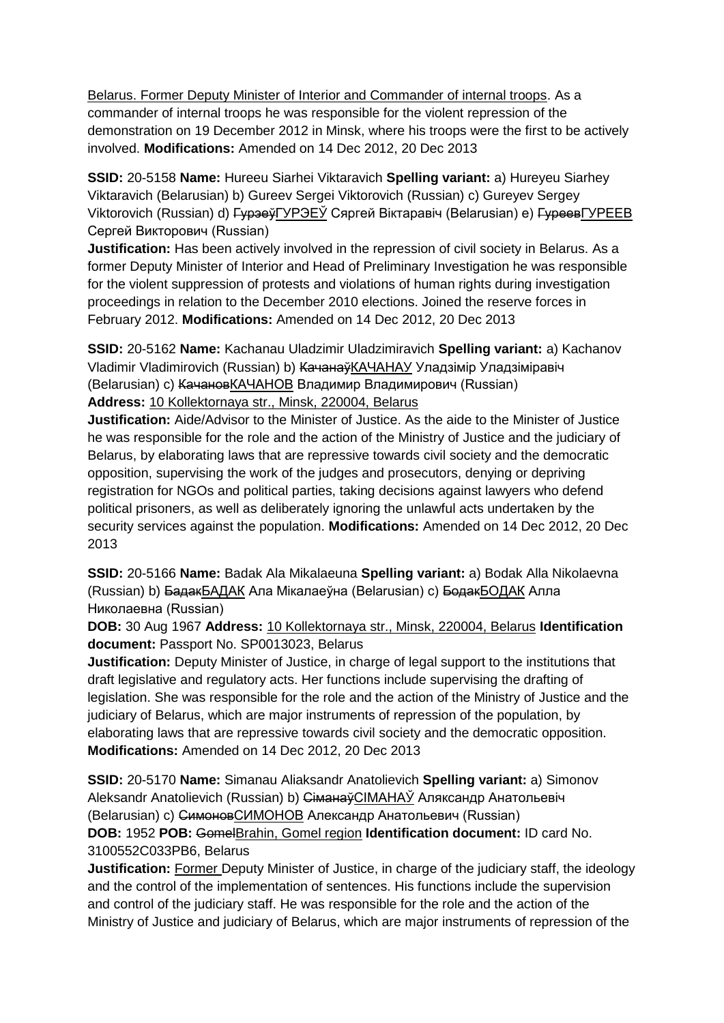Belarus. Former Deputy Minister of Interior and Commander of internal troops. As a commander of internal troops he was responsible for the violent repression of the demonstration on 19 December 2012 in Minsk, where his troops were the first to be actively involved. **Modifications:** Amended on 14 Dec 2012, 20 Dec 2013

**SSID:** 20-5158 **Name:** Hureeu Siarhei Viktaravich **Spelling variant:** a) Hureyeu Siarhey Viktaravich (Belarusian) b) Gureev Sergei Viktorovich (Russian) c) Gureyev Sergey Viktorovich (Russian) d) ГурэеўГУРЭЕЎ Сяргей Віктаравіч (Belarusian) e) ГуреевГУРЕЕВ Сергей Викторович (Russian)

**Justification:** Has been actively involved in the repression of civil society in Belarus. As a former Deputy Minister of Interior and Head of Preliminary Investigation he was responsible for the violent suppression of protests and violations of human rights during investigation proceedings in relation to the December 2010 elections. Joined the reserve forces in February 2012. **Modifications:** Amended on 14 Dec 2012, 20 Dec 2013

**SSID:** 20-5162 **Name:** Kachanau Uladzimir Uladzimiravich **Spelling variant:** a) Kachanov Vladimir Vladimirovich (Russian) b) <del>Качанаў</del>КАЧАНАУ Уладзімір Уладзіміравіч (Belarusian) c) КачановКАЧАНОВ Владимир Владимирович (Russian) **Address:** 10 Kollektornaya str., Minsk, 220004, Belarus

**Justification:** Aide/Advisor to the Minister of Justice. As the aide to the Minister of Justice he was responsible for the role and the action of the Ministry of Justice and the judiciary of Belarus, by elaborating laws that are repressive towards civil society and the democratic opposition, supervising the work of the judges and prosecutors, denying or depriving registration for NGOs and political parties, taking decisions against lawyers who defend political prisoners, as well as deliberately ignoring the unlawful acts undertaken by the security services against the population. **Modifications:** Amended on 14 Dec 2012, 20 Dec 2013

**SSID:** 20-5166 **Name:** Badak Ala Mikalaeuna **Spelling variant:** a) Bodak Alla Nikolaevna (Russian) b) БадакБАДАК Ала Мікалаеўна (Belarusian) c) БодакБОДАК Алла Николаевна (Russian)

**DOB:** 30 Aug 1967 **Address:** 10 Kollektornaya str., Minsk, 220004, Belarus **Identification document:** Passport No. SP0013023, Belarus

**Justification:** Deputy Minister of Justice, in charge of legal support to the institutions that draft legislative and regulatory acts. Her functions include supervising the drafting of legislation. She was responsible for the role and the action of the Ministry of Justice and the judiciary of Belarus, which are major instruments of repression of the population, by elaborating laws that are repressive towards civil society and the democratic opposition. **Modifications:** Amended on 14 Dec 2012, 20 Dec 2013

**SSID:** 20-5170 **Name:** Simanau Aliaksandr Anatolievich **Spelling variant:** a) Simonov Aleksandr Anatolievich (Russian) b) СіманаўCIMAHAЎ Аляксандр Анатольевіч (Belarusian) c) СимоновСИМОНОВ Александр Анатольевич (Russian) **DOB:** 1952 **POB:** GomelBrahin, Gomel region **Identification document:** ID card No. 3100552C033PB6, Belarus

**Justification:** Former Deputy Minister of Justice, in charge of the judiciary staff, the ideology and the control of the implementation of sentences. His functions include the supervision and control of the judiciary staff. He was responsible for the role and the action of the Ministry of Justice and judiciary of Belarus, which are major instruments of repression of the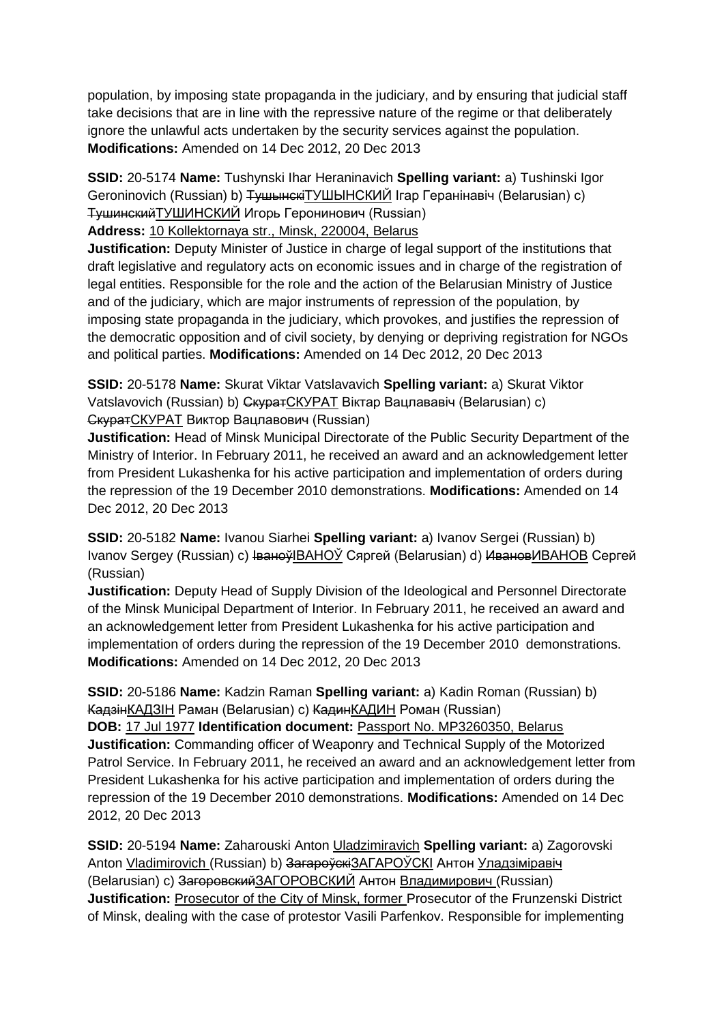population, by imposing state propaganda in the judiciary, and by ensuring that judicial staff take decisions that are in line with the repressive nature of the regime or that deliberately ignore the unlawful acts undertaken by the security services against the population. **Modifications:** Amended on 14 Dec 2012, 20 Dec 2013

**SSID:** 20-5174 **Name:** Tushynski Ihar Heraninavich **Spelling variant:** a) Tushinski Igor Geroninovich (Russian) b) <del>Тушынскі</del>ТУШЫНСКИЙ Ігар Геранінавіч (Belarusian) c) ТушинскийТУШИНСКИЙ Игорь Геронинович (Russian)

**Address:** 10 Kollektornaya str., Minsk, 220004, Belarus

**Justification:** Deputy Minister of Justice in charge of legal support of the institutions that draft legislative and regulatory acts on economic issues and in charge of the registration of legal entities. Responsible for the role and the action of the Belarusian Ministry of Justice and of the judiciary, which are major instruments of repression of the population, by imposing state propaganda in the judiciary, which provokes, and justifies the repression of the democratic opposition and of civil society, by denying or depriving registration for NGOs and political parties. **Modifications:** Amended on 14 Dec 2012, 20 Dec 2013

**SSID:** 20-5178 **Name:** Skurat Viktar Vatslavavich **Spelling variant:** a) Skurat Viktor Vatslavovich (Russian) b) СкуратСКУРАТ Віктар Вацлавaвiч (Belarusian) c) СкуратСКУРАТ Виктор Вацлавович (Russian)

**Justification:** Head of Minsk Municipal Directorate of the Public Security Department of the Ministry of Interior. In February 2011, he received an award and an acknowledgement letter from President Lukashenka for his active participation and implementation of orders during the repression of the 19 December 2010 demonstrations. **Modifications:** Amended on 14 Dec 2012, 20 Dec 2013

**SSID:** 20-5182 **Name:** Ivanou Siarhei **Spelling variant:** a) Ivanov Sergei (Russian) b) Ivanov Sergey (Russian) c) <del>Іваноў</del>IBAHOЎ Сяргей (Belarusian) d) <del>Иванов</del>ИВАНОВ Сергей (Russian)

**Justification:** Deputy Head of Supply Division of the Ideological and Personnel Directorate of the Minsk Municipal Department of Interior. In February 2011, he received an award and an acknowledgement letter from President Lukashenka for his active participation and implementation of orders during the repression of the 19 December 2010 demonstrations. **Modifications:** Amended on 14 Dec 2012, 20 Dec 2013

**SSID:** 20-5186 **Name:** Kadzin Raman **Spelling variant:** a) Kadin Roman (Russian) b) КадзінКАДЗIН Раман (Belarusian) c) КадинКАДИН Роман (Russian)

**DOB:** 17 Jul 1977 **Identification document:** Passport No. MP3260350, Belarus **Justification:** Commanding officer of Weaponry and Technical Supply of the Motorized Patrol Service. In February 2011, he received an award and an acknowledgement letter from President Lukashenka for his active participation and implementation of orders during the repression of the 19 December 2010 demonstrations. **Modifications:** Amended on 14 Dec 2012, 20 Dec 2013

**SSID:** 20-5194 **Name:** Zaharouski Anton Uladzimiravich **Spelling variant:** a) Zagorovski Anton Vladimirovich (Russian) b) ЗагароўскіЗАГАРОЎСКІ Антон Уладзіміравіч (Belarusian) c) ЗагоровскийЗАГОРОВСКИЙ Антон Владимирович (Russian) **Justification:** Prosecutor of the City of Minsk, former Prosecutor of the Frunzenski District of Minsk, dealing with the case of protestor Vasili Parfenkov. Responsible for implementing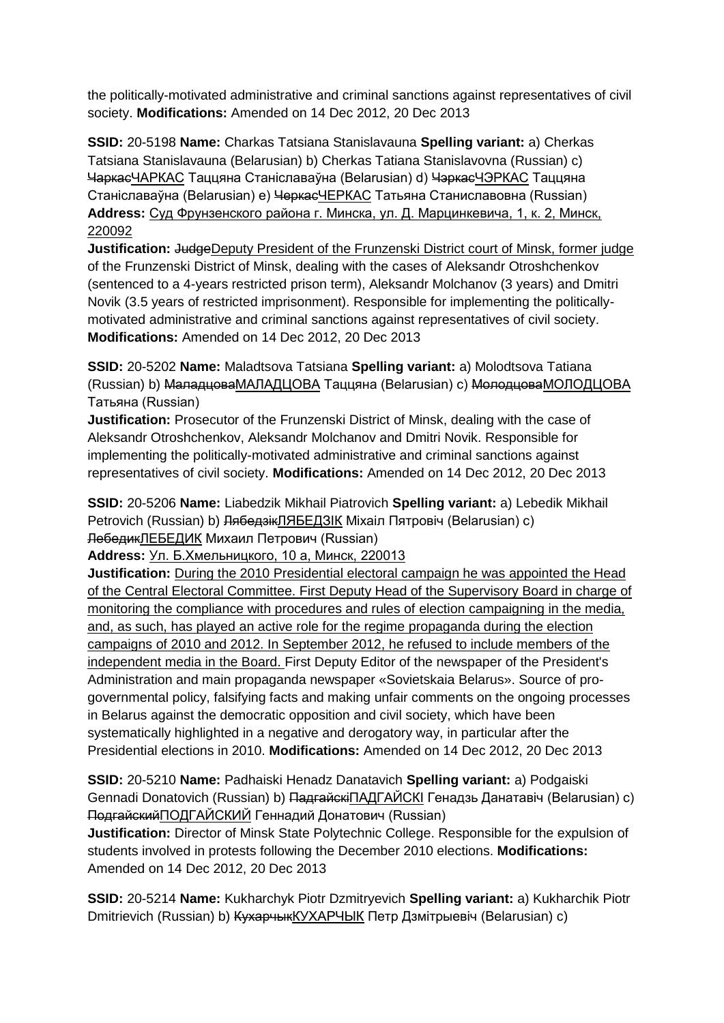the politically-motivated administrative and criminal sanctions against representatives of civil society. **Modifications:** Amended on 14 Dec 2012, 20 Dec 2013

**SSID:** 20-5198 **Name:** Charkas Tatsiana Stanislavauna **Spelling variant:** a) Cherkas Tatsiana Stanislavauna (Belarusian) b) Cherkas Tatiana Stanislavovna (Russian) c) ЧаркасЧАРКАС Таццяна Станіславаўна (Belarusian) d) ЧэркасЧЭРКАС Таццяна Станіславаўна (Belarusian) e) ЧеркасЧЕРКАС Татьяна Станиславовна (Russian) **Address:** Суд Фрунзенского района г. Минска, ул. Д. Марцинкевича, 1, к. 2, Минск, 220092

**Justification:** JudgeDeputy President of the Frunzenski District court of Minsk, former judge of the Frunzenski District of Minsk, dealing with the cases of Aleksandr Otroshchenkov (sentenced to a 4-years restricted prison term), Aleksandr Molchanov (3 years) and Dmitri Novik (3.5 years of restricted imprisonment). Responsible for implementing the politicallymotivated administrative and criminal sanctions against representatives of civil society. **Modifications:** Amended on 14 Dec 2012, 20 Dec 2013

**SSID:** 20-5202 **Name:** Maladtsova Tatsiana **Spelling variant:** a) Molodtsova Tatiana (Russian) b) МаладцоваМАЛАДЦОВА Таццяна (Belarusian) c) МолодцоваМОЛОДЦОВА Татьяна (Russian)

**Justification:** Prosecutor of the Frunzenski District of Minsk, dealing with the case of Aleksandr Otroshchenkov, Aleksandr Molchanov and Dmitri Novik. Responsible for implementing the politically-motivated administrative and criminal sanctions against representatives of civil society. **Modifications:** Amended on 14 Dec 2012, 20 Dec 2013

**SSID:** 20-5206 **Name:** Liabedzik Mikhail Piatrovich **Spelling variant:** a) Lebedik Mikhail Petrovich (Russian) b) <del>Лябедзік</del>ЛЯБЕДЗІК Міхаіл Пятровіч (Belarusian) c) ЛебедикЛЕБЕДИК Михаил Петрович (Russian)

**Address:** Ул. Б.Хмельницкого, 10 а, Минск, 220013

**Justification:** During the 2010 Presidential electoral campaign he was appointed the Head of the Central Electoral Committee. First Deputy Head of the Supervisory Board in charge of monitoring the compliance with procedures and rules of election campaigning in the media, and, as such, has played an active role for the regime propaganda during the election campaigns of 2010 and 2012. In September 2012, he refused to include members of the independent media in the Board. First Deputy Editor of the newspaper of the President's Administration and main propaganda newspaper «Sovietskaia Belarus». Source of progovernmental policy, falsifying facts and making unfair comments on the ongoing processes in Belarus against the democratic opposition and civil society, which have been systematically highlighted in a negative and derogatory way, in particular after the Presidential elections in 2010. **Modifications:** Amended on 14 Dec 2012, 20 Dec 2013

**SSID:** 20-5210 **Name:** Padhaiski Henadz Danatavich **Spelling variant:** a) Podgaiski Gennadi Donatovich (Russian) b) <del>Падгайскі</del>ПАДГАЙСКІ Генадзь Данатавіч (Belarusian) c) ПодгайскийПОДГАЙСКИЙ Геннадий Донатович (Russian)

**Justification:** Director of Minsk State Polytechnic College. Responsible for the expulsion of students involved in protests following the December 2010 elections. **Modifications:**  Amended on 14 Dec 2012, 20 Dec 2013

**SSID:** 20-5214 **Name:** Kukharchyk Piotr Dzmitryevich **Spelling variant:** a) Kukharchik Piotr Dmitrievich (Russian) b) <del>Кухарчык КУХАРЧЫК</del> Петр Дзмітрыевіч (Belarusian) c)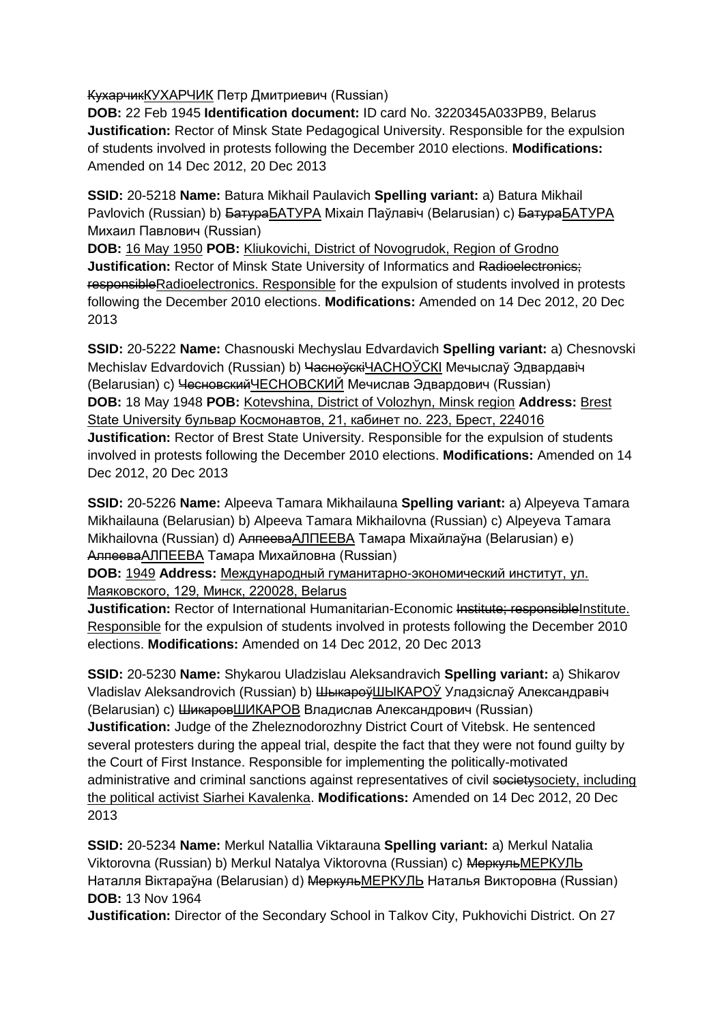КухарчикКУХАРЧИК Петр Дмитриевич (Russian)

**DOB:** 22 Feb 1945 **Identification document:** ID card No. 3220345A033PB9, Belarus **Justification:** Rector of Minsk State Pedagogical University. Responsible for the expulsion of students involved in protests following the December 2010 elections. **Modifications:**  Amended on 14 Dec 2012, 20 Dec 2013

**SSID:** 20-5218 **Name:** Batura Mikhail Paulavich **Spelling variant:** a) Batura Mikhail Pavlovich (Russian) b) <del>Батура</del>БАТУРА Міхаіл Паўлавіч (Belarusian) c) <del>Батура</del>БАТУРА Михаил Павлович (Russian)

**DOB:** 16 May 1950 **POB:** Kliukovichi, District of Novogrudok, Region of Grodno **Justification:** Rector of Minsk State University of Informatics and Radioelectronics: responsibleRadioelectronics. Responsible for the expulsion of students involved in protests following the December 2010 elections. **Modifications:** Amended on 14 Dec 2012, 20 Dec 2013

**SSID:** 20-5222 **Name:** Chasnouski Mechyslau Edvardavich **Spelling variant:** a) Chesnovski Mechislav Edvardovich (Russian) b) Часноўскі ЧАСНОЎСКІ Мечыслаў Эдвардавіч (Belarusian) c) ЧесновскийЧЕСНОВСКИЙ Мечислав Эдвардович (Russian) **DOB:** 18 May 1948 **POB:** Kotevshina, District of Volozhyn, Minsk region **Address:** Brest State University бульвар Космонавтов, 21, кабинет no. 223, Брест, 224016 **Justification:** Rector of Brest State University. Responsible for the expulsion of students involved in protests following the December 2010 elections. **Modifications:** Amended on 14 Dec 2012, 20 Dec 2013

**SSID:** 20-5226 **Name:** Alpeeva Tamara Mikhailauna **Spelling variant:** a) Alpeyeva Tamara Mikhailauna (Belarusian) b) Alpeeva Tamara Mikhailovna (Russian) c) Alpeyeva Tamara Mikhailovna (Russian) d) <del>Алпеева</del>АЛПЕЕВА Тамара Міхайлаўна (Belarusian) e) АлпееваАЛПЕЕВА Тамара Михайловна (Russian)

**DOB:** 1949 **Address:** Международный гуманитарно-экономический институт, ул. Маяковского, 129, Минск, 220028, Belarus

**Justification:** Rector of International Humanitarian-Economic Institute; responsibleInstitute. Responsible for the expulsion of students involved in protests following the December 2010 elections. **Modifications:** Amended on 14 Dec 2012, 20 Dec 2013

**SSID:** 20-5230 **Name:** Shykarou Uladzislau Aleksandravich **Spelling variant:** a) Shikarov Vladislav Aleksandrovich (Russian) b) ШыкароўШЫКАРОЎ Уладзіслаў Александравiч (Belarusian) c) ШикаровШИКАРОВ Владислав Александрович (Russian) **Justification:** Judge of the Zheleznodorozhny District Court of Vitebsk. He sentenced several protesters during the appeal trial, despite the fact that they were not found guilty by the Court of First Instance. Responsible for implementing the politically-motivated administrative and criminal sanctions against representatives of civil societysociety, including the political activist Siarhei Kavalenka. **Modifications:** Amended on 14 Dec 2012, 20 Dec 2013

**SSID:** 20-5234 **Name:** Merkul Natallia Viktarauna **Spelling variant:** a) Merkul Natalia Viktorovna (Russian) b) Merkul Natalya Viktorovna (Russian) c) МеркульМЕРКУЛЬ Наталля Віктараўна (Belarusian) d) МеркульМЕРКУЛЬ Наталья Викторовна (Russian) **DOB:** 13 Nov 1964

**Justification:** Director of the Secondary School in Talkov City, Pukhovichi District. On 27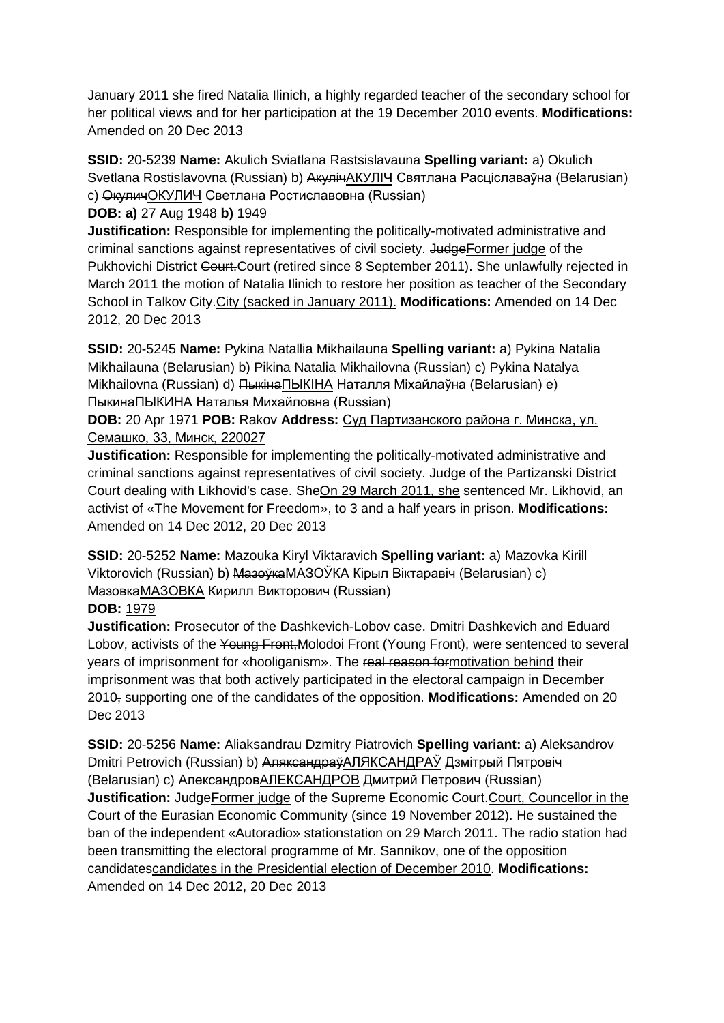January 2011 she fired Natalia Ilinich, a highly regarded teacher of the secondary school for her political views and for her participation at the 19 December 2010 events. **Modifications:**  Amended on 20 Dec 2013

**SSID:** 20-5239 **Name:** Akulich Sviatlana Rastsislavauna **Spelling variant:** a) Okulich Svetlana Rostislavovna (Russian) b) АкулічАКУЛІЧ Святлана Расціславаўна (Belarusian) c) ОкуличОКУЛИЧ Светлана Ростиславовна (Russian)

**DOB: a)** 27 Aug 1948 **b)** 1949

**Justification:** Responsible for implementing the politically-motivated administrative and criminal sanctions against representatives of civil society. JudgeFormer judge of the Pukhovichi District Court. Court (retired since 8 September 2011). She unlawfully rejected in March 2011 the motion of Natalia Ilinich to restore her position as teacher of the Secondary School in Talkov City.City (sacked in January 2011). **Modifications:** Amended on 14 Dec 2012, 20 Dec 2013

**SSID:** 20-5245 **Name:** Pykina Natallia Mikhailauna **Spelling variant:** a) Pykina Natalia Mikhailauna (Belarusian) b) Pikina Natalia Mikhailovna (Russian) c) Pykina Natalya Mikhailovna (Russian) d) ПыкінаПЫКIНА Наталля Міхайлаўна (Belarusian) e) ПыкинаПЫКИНА Наталья Михайловна (Russian)

**DOB:** 20 Apr 1971 **POB:** Rakov **Address:** Суд Партизанского района г. Минска, ул. Семашко, 33, Минск, 220027

**Justification:** Responsible for implementing the politically-motivated administrative and criminal sanctions against representatives of civil society. Judge of the Partizanski District Court dealing with Likhovid's case. SheOn 29 March 2011, she sentenced Mr. Likhovid, an activist of «The Movement for Freedom», to 3 and a half years in prison. **Modifications:**  Amended on 14 Dec 2012, 20 Dec 2013

**SSID:** 20-5252 **Name:** Mazouka Kiryl Viktaravich **Spelling variant:** a) Mazovka Kirill Viktorovich (Russian) b) МазоўкаМАЗОЎКА Кiрыл Вiктаравiч (Belarusian) c) МазовкаМАЗОВКА Кирилл Викторович (Russian)

## **DOB:** 1979

**Justification:** Prosecutor of the Dashkevich-Lobov case. Dmitri Dashkevich and Eduard Lobov, activists of the Young Front, Molodoi Front (Young Front), were sentenced to several years of imprisonment for «hooliganism». The real reason formotivation behind their imprisonment was that both actively participated in the electoral campaign in December 2010, supporting one of the candidates of the opposition. **Modifications:** Amended on 20 Dec 2013

**SSID:** 20-5256 **Name:** Aliaksandrau Dzmitry Piatrovich **Spelling variant:** a) Aleksandrov Dmitri Petrovich (Russian) b) АляксандраўАЛЯКСАНДРAЎ Дзмітрый Пятровіч (Belarusian) c) АлександровАЛЕКСАНДРОВ Дмитрий Петрович (Russian) **Justification:** JudgeFormer judge of the Supreme Economic Court. Councellor in the Court of the Eurasian Economic Community (since 19 November 2012). He sustained the ban of the independent «Autoradio» stationstation on 29 March 2011. The radio station had been transmitting the electoral programme of Mr. Sannikov, one of the opposition candidatescandidates in the Presidential election of December 2010. **Modifications:**  Amended on 14 Dec 2012, 20 Dec 2013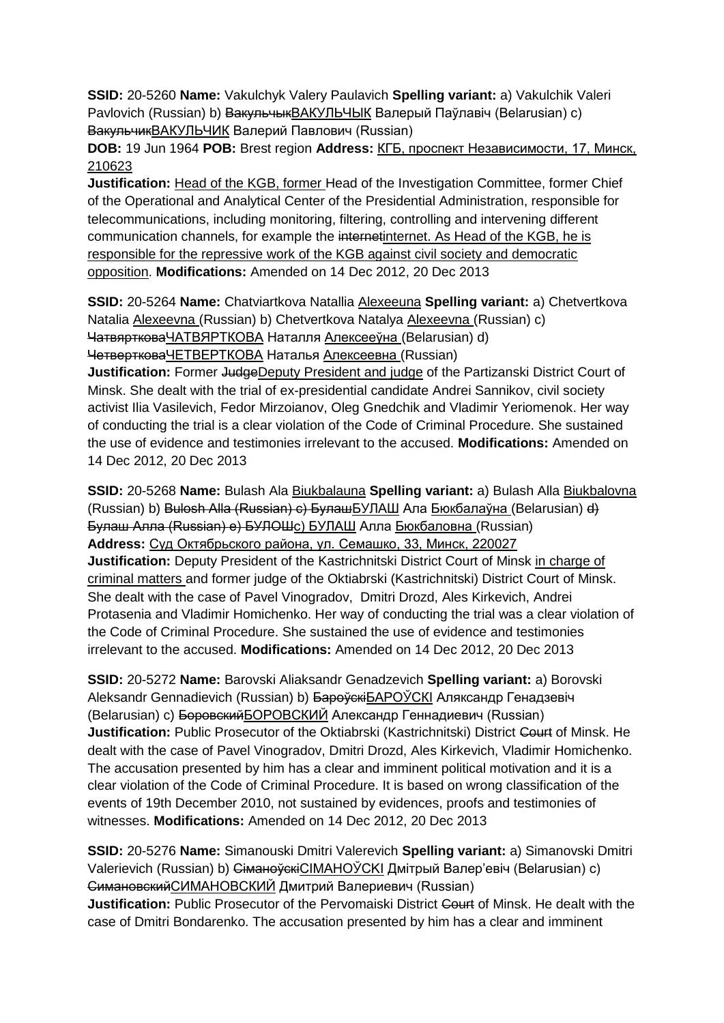**SSID:** 20-5260 **Name:** Vakulchyk Valery Paulavich **Spelling variant:** a) Vakulchik Valeri Pavlovich (Russian) b) <del>Вакульчык</del>ВАКУЛЬЧЫК Валерый Паўлавіч (Belarusian) c) ВакульчикВАКУЛЬЧИК Валерий Павлович (Russian)

**DOB:** 19 Jun 1964 **POB:** Brest region **Address:** КГБ, проспект Независимости, 17, Минск, 210623

**Justification:** Head of the KGB, former Head of the Investigation Committee, former Chief of the Operational and Analytical Center of the Presidential Administration, responsible for telecommunications, including monitoring, filtering, controlling and intervening different communication channels, for example the internetinternet. As Head of the KGB, he is responsible for the repressive work of the KGB against civil society and democratic opposition. **Modifications:** Amended on 14 Dec 2012, 20 Dec 2013

**SSID:** 20-5264 **Name:** Chatviartkova Natallia Alexeeuna **Spelling variant:** a) Chetvertkova Natalia Alexeevna (Russian) b) Chetvertkova Natalya Alexeevna (Russian) c) ЧатвяртковаЧАТВЯРТКОВА Наталля Алексееўнa (Belarusian) d) ЧетвертковаЧЕТВЕРТКОВА Наталья Алексеевнa (Russian)

**Justification:** Former JudgeDeputy President and judge of the Partizanski District Court of Minsk. She dealt with the trial of ex-presidential candidate Andrei Sannikov, civil society activist Ilia Vasilevich, Fedor Mirzoianov, Oleg Gnedchik and Vladimir Yeriomenok. Her way of conducting the trial is a clear violation of the Code of Criminal Procedure. She sustained the use of evidence and testimonies irrelevant to the accused. **Modifications:** Amended on 14 Dec 2012, 20 Dec 2013

**SSID:** 20-5268 **Name:** Bulash Ala Biukbalauna **Spelling variant:** a) Bulash Alla Biukbalovna (Russian) b) Bulosh Alla (Russian) c) БулашБУЛАШ Ала Бюкбалаўнa (Belarusian) d) Булаш Алла (Russian) e) БУЛОШc) БУЛАШ Алла Бюкбаловнa (Russian) **Address:** Суд Октябрьского района, ул. Семашко, 33, Минск, 220027 **Justification:** Deputy President of the Kastrichnitski District Court of Minsk in charge of criminal matters and former judge of the Oktiabrski (Kastrichnitski) District Court of Minsk. She dealt with the case of Pavel Vinogradov, Dmitri Drozd, Ales Kirkevich, Andrei Protasenia and Vladimir Homichenko. Her way of conducting the trial was a clear violation of the Code of Criminal Procedure. She sustained the use of evidence and testimonies irrelevant to the accused. **Modifications:** Amended on 14 Dec 2012, 20 Dec 2013

**SSID:** 20-5272 **Name:** Barovski Aliaksandr Genadzevich **Spelling variant:** a) Borovski Aleksandr Gennadievich (Russian) b) БароўскіБАРОЎСКІ Аляксандр Генадзевіч (Belarusian) c) БоровскийБОРОВСКИЙ Александр Геннадиевич (Russian) **Justification:** Public Prosecutor of the Oktiabrski (Kastrichnitski) District Court of Minsk. He dealt with the case of Pavel Vinogradov, Dmitri Drozd, Ales Kirkevich, Vladimir Homichenko. The accusation presented by him has a clear and imminent political motivation and it is a clear violation of the Code of Criminal Procedure. It is based on wrong classification of the events of 19th December 2010, not sustained by evidences, proofs and testimonies of witnesses. **Modifications:** Amended on 14 Dec 2012, 20 Dec 2013

**SSID:** 20-5276 **Name:** Simanouski Dmitri Valerevich **Spelling variant:** a) Simanovski Dmitri Valerievich (Russian) b) СіманоўскіСІМАНОЎСКІ Дмітрый Валер'евіч (Belarusian) c) СимановскийСИМАНОВСКИЙ Дмитрий Валериевич (Russian) **Justification:** Public Prosecutor of the Pervomaiski District Court of Minsk. He dealt with the case of Dmitri Bondarenko. The accusation presented by him has a clear and imminent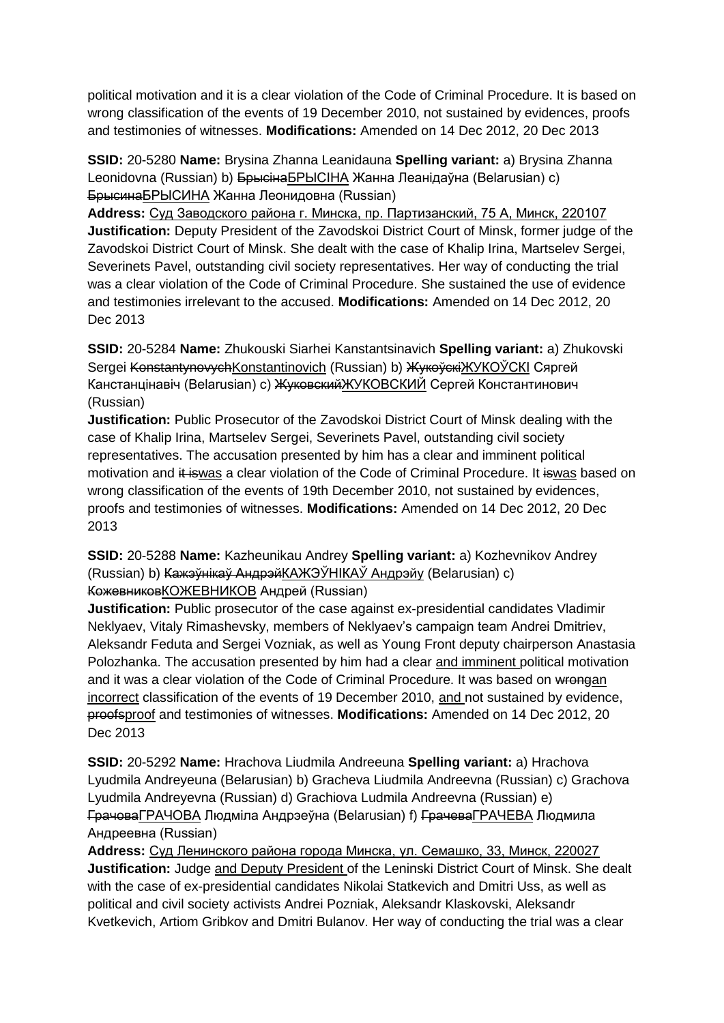political motivation and it is a clear violation of the Code of Criminal Procedure. It is based on wrong classification of the events of 19 December 2010, not sustained by evidences, proofs and testimonies of witnesses. **Modifications:** Amended on 14 Dec 2012, 20 Dec 2013

**SSID:** 20-5280 **Name:** Brysina Zhanna Leanidauna **Spelling variant:** a) Brysina Zhanna Leonidovna (Russian) b) <del>Брысіна БРЫСІНА</del> Жанна Леанідаўна (Belarusian) c) БрысинаБРЫCИНА Жанна Леонидовнa (Russian)

**Address:** Суд Заводского района г. Минска, пр. Партизанский, 75 А, Минск, 220107 **Justification:** Deputy President of the Zavodskoi District Court of Minsk, former judge of the Zavodskoi District Court of Minsk. She dealt with the case of Khalip Irina, Martselev Sergei, Severinets Pavel, outstanding civil society representatives. Her way of conducting the trial was a clear violation of the Code of Criminal Procedure. She sustained the use of evidence and testimonies irrelevant to the accused. **Modifications:** Amended on 14 Dec 2012, 20 Dec 2013

**SSID:** 20-5284 **Name:** Zhukouski Siarhei Kanstantsinavich **Spelling variant:** a) Zhukovski Sergei KonstantynovychKonstantinovich (Russian) b) ЖукоўскіЖУКОЎСКІ Сяргей Канстанцінавіч (Belarusian) c) ЖуковскийЖУКОВСКИЙ Сергей Константинович (Russian)

**Justification:** Public Prosecutor of the Zavodskoi District Court of Minsk dealing with the case of Khalip Irina, Martselev Sergei, Severinets Pavel, outstanding civil society representatives. The accusation presented by him has a clear and imminent political motivation and it iswas a clear violation of the Code of Criminal Procedure. It iswas based on wrong classification of the events of 19th December 2010, not sustained by evidences, proofs and testimonies of witnesses. **Modifications:** Amended on 14 Dec 2012, 20 Dec 2013

**SSID:** 20-5288 **Name:** Kazheunikau Andrey **Spelling variant:** a) Kozhevnikov Andrey (Russian) b) Кажэўнікаў АндрэйКАЖЭЎНIКАЎ Андрэйу (Belarusian) c) КожевниковКОЖЕВНИКОВ Андрей (Russian)

**Justification:** Public prosecutor of the case against ex-presidential candidates Vladimir Neklyaev, Vitaly Rimashevsky, members of Neklyaev's campaign team Andrei Dmitriev, Aleksandr Feduta and Sergei Vozniak, as well as Young Front deputy chairperson Anastasia Polozhanka. The accusation presented by him had a clear and imminent political motivation and it was a clear violation of the Code of Criminal Procedure. It was based on wrongan incorrect classification of the events of 19 December 2010, and not sustained by evidence, proofsproof and testimonies of witnesses. **Modifications:** Amended on 14 Dec 2012, 20 Dec 2013

**SSID:** 20-5292 **Name:** Hrachova Liudmila Andreeuna **Spelling variant:** a) Hrachova Lyudmila Andreyeuna (Belarusian) b) Gracheva Liudmila Andreevna (Russian) c) Grachova Lyudmila Andreyevna (Russian) d) Grachiova Ludmila Andreevna (Russian) e) ГрачоваГРАЧОВА Людміла Андрэеўна (Belarusian) f) ГрачеваГРАЧЕВА Людмила Андреевна (Russian)

**Address:** Суд Ленинского района города Минска, ул. Семашко, 33, Минск, 220027 **Justification:** Judge and Deputy President of the Leninski District Court of Minsk. She dealt with the case of ex-presidential candidates Nikolai Statkevich and Dmitri Uss, as well as political and civil society activists Andrei Pozniak, Aleksandr Klaskovski, Aleksandr Kvetkevich, Artiom Gribkov and Dmitri Bulanov. Her way of conducting the trial was a clear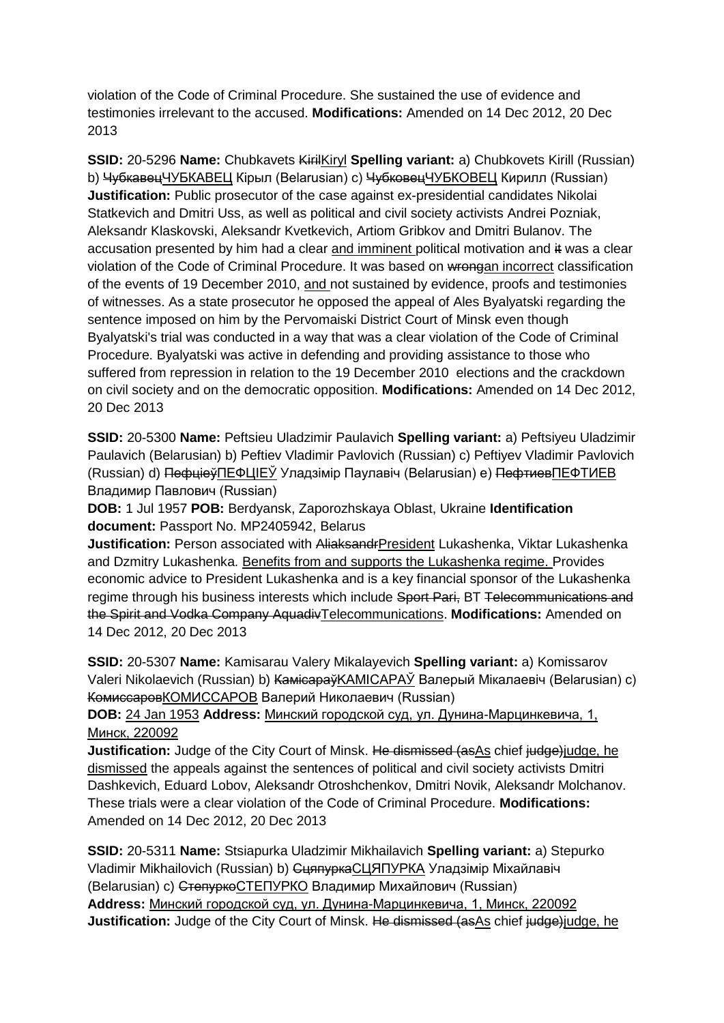violation of the Code of Criminal Procedure. She sustained the use of evidence and testimonies irrelevant to the accused. **Modifications:** Amended on 14 Dec 2012, 20 Dec 2013

**SSID:** 20-5296 **Name:** Chubkavets KirilKiryl **Spelling variant:** a) Chubkovets Kirill (Russian) b) ЧубкавецЧУБКАВЕЦ Кірыл (Belarusian) с) ЧубковецЧУБКОВЕЦ Кирилл (Russian) **Justification:** Public prosecutor of the case against ex-presidential candidates Nikolai Statkevich and Dmitri Uss, as well as political and civil society activists Andrei Pozniak, Aleksandr Klaskovski, Aleksandr Kvetkevich, Artiom Gribkov and Dmitri Bulanov. The accusation presented by him had a clear and imminent political motivation and it was a clear violation of the Code of Criminal Procedure. It was based on wrongan incorrect classification of the events of 19 December 2010, and not sustained by evidence, proofs and testimonies of witnesses. As a state prosecutor he opposed the appeal of Ales Byalyatski regarding the sentence imposed on him by the Pervomaiski District Court of Minsk even though Byalyatski's trial was conducted in a way that was a clear violation of the Code of Criminal Procedure. Byalyatski was active in defending and providing assistance to those who suffered from repression in relation to the 19 December 2010 elections and the crackdown on civil society and on the democratic opposition. **Modifications:** Amended on 14 Dec 2012, 20 Dec 2013

**SSID:** 20-5300 **Name:** Peftsieu Uladzimir Paulavich **Spelling variant:** a) Peftsiyeu Uladzimir Paulavich (Belarusian) b) Peftiev Vladimir Pavlovich (Russian) c) Peftiyev Vladimir Pavlovich (Russian) d) ПефціеўПЕФЦIЕЎ Уладзімір Паулавiч (Belarusian) e) ПефтиевПЕФТИЕВ Владимир Павлович (Russian)

**DOB:** 1 Jul 1957 **POB:** Berdyansk, Zaporozhskaya Oblast, Ukraine **Identification document:** Passport No. MP2405942, Belarus

**Justification:** Person associated with AliaksandrPresident Lukashenka, Viktar Lukashenka and Dzmitry Lukashenka. Benefits from and supports the Lukashenka regime. Provides economic advice to President Lukashenka and is a key financial sponsor of the Lukashenka regime through his business interests which include Sport Pari, BT Telecommunications and the Spirit and Vodka Company AquadivTelecommunications. **Modifications:** Amended on 14 Dec 2012, 20 Dec 2013

**SSID:** 20-5307 **Name:** Kamisarau Valery Mikalayevich **Spelling variant:** a) Komissarov Valeri Nikolaevich (Russian) b) КамісараўKAMICAPAЎ Валерый Мікалаевіч (Belarusian) c) КомиссаровКОМИССАРОВ Валерий Николаевич (Russian)

**DOB:** 24 Jan 1953 **Address:** Минский городской суд, ул. Дунина-Марцинкевича, 1, Минск, 220092

**Justification:** Judge of the City Court of Minsk. He dismissed (as As chief judge) judge, he dismissed the appeals against the sentences of political and civil society activists Dmitri Dashkevich, Eduard Lobov, Aleksandr Otroshchenkov, Dmitri Novik, Aleksandr Molchanov. These trials were a clear violation of the Code of Criminal Procedure. **Modifications:**  Amended on 14 Dec 2012, 20 Dec 2013

**SSID:** 20-5311 **Name:** Stsiapurka Uladzimir Mikhailavich **Spelling variant:** a) Stepurko Vladimir Mikhailovich (Russian) b) СцяпуркаСЦЯПУРКА Уладзімір Міхайлавіч (Belarusian) с) Степурко СТЕПУРКО Владимир Михайлович (Russian) **Address:** Минский городской суд, ул. Дунина-Марцинкевича, 1, Минск, 220092 **Justification:** Judge of the City Court of Minsk. He dismissed (as As chief judge) judge, he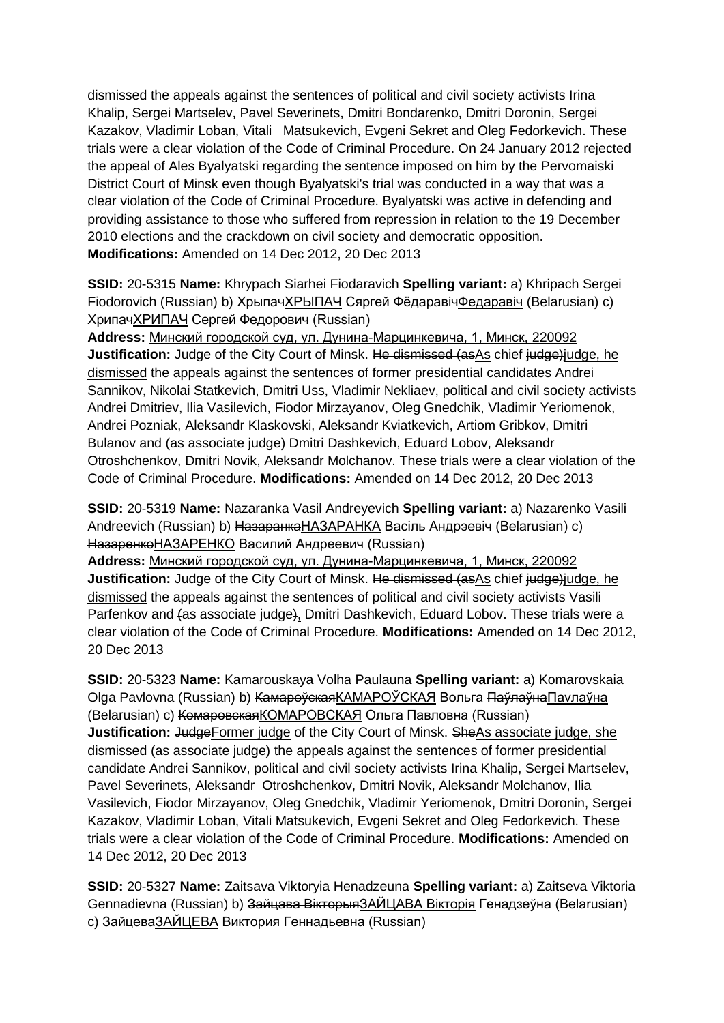dismissed the appeals against the sentences of political and civil society activists Irina Khalip, Sergei Martselev, Pavel Severinets, Dmitri Bondarenko, Dmitri Doronin, Sergei Kazakov, Vladimir Loban, Vitali Matsukevich, Evgeni Sekret and Oleg Fedorkevich. These trials were a clear violation of the Code of Criminal Procedure. On 24 January 2012 rejected the appeal of Ales Byalyatski regarding the sentence imposed on him by the Pervomaiski District Court of Minsk even though Byalyatski's trial was conducted in a way that was a clear violation of the Code of Criminal Procedure. Byalyatski was active in defending and providing assistance to those who suffered from repression in relation to the 19 December 2010 elections and the crackdown on civil society and democratic opposition. **Modifications:** Amended on 14 Dec 2012, 20 Dec 2013

**SSID:** 20-5315 **Name:** Khrypach Siarhei Fiodaravich **Spelling variant:** a) Khripach Sergei Fiodorovich (Russian) b) <del>Хрыпач</del>ХРЫПАЧ Сяргей <del>Фёдаравіч</del>Федаравіч (Belarusian) c) ХрипачХРИПАЧ Сергей Федорович (Russian)

**Address:** Минский городской суд, ул. Дунина-Марцинкевича, 1, Минск, 220092 **Justification:** Judge of the City Court of Minsk. He dismissed (as As chief judge)judge, he dismissed the appeals against the sentences of former presidential candidates Andrei Sannikov, Nikolai Statkevich, Dmitri Uss, Vladimir Nekliaev, political and civil society activists Andrei Dmitriev, Ilia Vasilevich, Fiodor Mirzayanov, Oleg Gnedchik, Vladimir Yeriomenok, Andrei Pozniak, Aleksandr Klaskovski, Aleksandr Kviatkevich, Artiom Gribkov, Dmitri Bulanov and (as associate judge) Dmitri Dashkevich, Eduard Lobov, Aleksandr Otroshchenkov, Dmitri Novik, Aleksandr Molchanov. These trials were a clear violation of the Code of Criminal Procedure. **Modifications:** Amended on 14 Dec 2012, 20 Dec 2013

**SSID:** 20-5319 **Name:** Nazaranka Vasil Andreyevich **Spelling variant:** a) Nazarenko Vasili Andreevich (Russian) b) НазаранкаНАЗАРАНКА Васіль Андрэевіч (Belarusian) c) НазаренкоНАЗАРЕНКО Василий Андреевич (Russian)

**Address:** Минский городской суд, ул. Дунина-Марцинкевича, 1, Минск, 220092 **Justification:** Judge of the City Court of Minsk. He dismissed (asAs chief judge)judge, he dismissed the appeals against the sentences of political and civil society activists Vasili Parfenkov and (as associate judge), Dmitri Dashkevich, Eduard Lobov. These trials were a clear violation of the Code of Criminal Procedure. **Modifications:** Amended on 14 Dec 2012, 20 Dec 2013

**SSID:** 20-5323 **Name:** Kamarouskaya Volha Paulauna **Spelling variant:** a) Komarovskaia Olga Pavlovna (Russian) b) <del>Камароўская</del>КАМАРОЎСКАЯ Вольга Паўлаўна Паvлаўна (Belarusian) c) КомаровскаяКОМАРОВСКАЯ Ольга Павловна (Russian) **Justification: JudgeFormer judge of the City Court of Minsk. SheAs associate judge, she** dismissed (as associate judge) the appeals against the sentences of former presidential candidate Andrei Sannikov, political and civil society activists Irina Khalip, Sergei Martselev, Pavel Severinets, Aleksandr Otroshchenkov, Dmitri Novik, Aleksandr Molchanov, Ilia Vasilevich, Fiodor Mirzayanov, Oleg Gnedchik, Vladimir Yeriomenok, Dmitri Doronin, Sergei Kazakov, Vladimir Loban, Vitali Matsukevich, Evgeni Sekret and Oleg Fedorkevich. These trials were a clear violation of the Code of Criminal Procedure. **Modifications:** Amended on 14 Dec 2012, 20 Dec 2013

**SSID:** 20-5327 **Name:** Zaitsava Viktoryia Henadzeuna **Spelling variant:** a) Zaitseva Viktoria Gennadievna (Russian) b) Зайцава ВікторыяЗАЙЦАВА Вікторія Генадзеўна (Belarusian) c) ЗайцеваЗАЙЦЕВА Виктория Геннадьевна (Russian)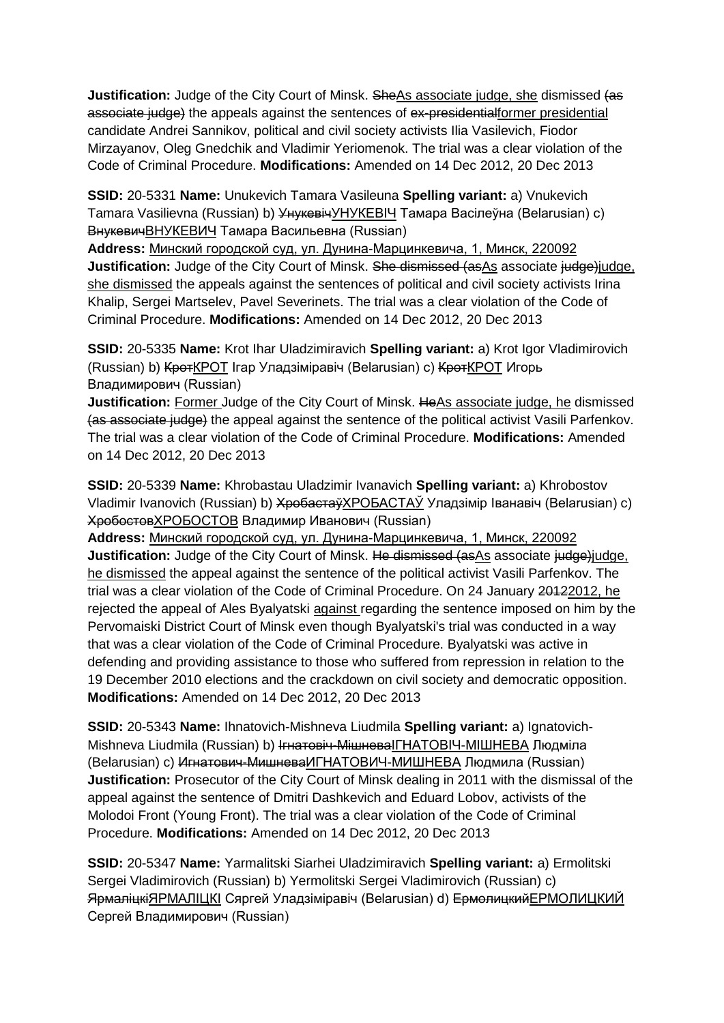**Justification:** Judge of the City Court of Minsk. SheAs associate judge, she dismissed (as associate judge) the appeals against the sentences of ex-presidentialformer presidential candidate Andrei Sannikov, political and civil society activists Ilia Vasilevich, Fiodor Mirzayanov, Oleg Gnedchik and Vladimir Yeriomenok. The trial was a clear violation of the Code of Criminal Procedure. **Modifications:** Amended on 14 Dec 2012, 20 Dec 2013

**SSID:** 20-5331 **Name:** Unukevich Tamara Vasileuna **Spelling variant:** a) Vnukevich Tamara Vasilievna (Russian) b) УнукевічУНУКЕВIЧ Тамара Васілеўна (Belarusian) c) ВнукевичВНУКЕВИЧ Тамара Васильевна (Russian)

**Address:** Минский городской суд, ул. Дунина-Марцинкевича, 1, Минск, 220092 **Justification:** Judge of the City Court of Minsk. She dismissed (as As associate judge)judge, she dismissed the appeals against the sentences of political and civil society activists Irina Khalip, Sergei Martselev, Pavel Severinets. The trial was a clear violation of the Code of Criminal Procedure. **Modifications:** Amended on 14 Dec 2012, 20 Dec 2013

**SSID:** 20-5335 **Name:** Krot Ihar Uladzimiravich **Spelling variant:** a) Krot Igor Vladimirovich (Russian) b) КротКРОТ Ігар Уладзіміравіч (Belarusian) c) КротКРОТ Игорь Владимирович (Russian)

**Justification:** Former Judge of the City Court of Minsk. HeAs associate judge, he dismissed (as associate judge) the appeal against the sentence of the political activist Vasili Parfenkov. The trial was a clear violation of the Code of Criminal Procedure. **Modifications:** Amended on 14 Dec 2012, 20 Dec 2013

**SSID:** 20-5339 **Name:** Khrobastau Uladzimir Ivanavich **Spelling variant:** a) Khrobostov Vladimir Ivanovich (Russian) b) ХробастаўХРОБАСТАЎ Уладзімір Іванавіч (Belarusian) c) ХробостовХРОБОСТОВ Владимир Иванович (Russian)

**Address:** Минский городской суд, ул. Дунина-Марцинкевича, 1, Минск, 220092 **Justification:** Judge of the City Court of Minsk. He dismissed (asAs associate judge)judge, he dismissed the appeal against the sentence of the political activist Vasili Parfenkov. The trial was a clear violation of the Code of Criminal Procedure. On 24 January 20122012, he rejected the appeal of Ales Byalyatski against regarding the sentence imposed on him by the Pervomaiski District Court of Minsk even though Byalyatski's trial was conducted in a way that was a clear violation of the Code of Criminal Procedure. Byalyatski was active in defending and providing assistance to those who suffered from repression in relation to the 19 December 2010 elections and the crackdown on civil society and democratic opposition. **Modifications:** Amended on 14 Dec 2012, 20 Dec 2013

**SSID:** 20-5343 **Name:** Ihnatovich-Mishneva Liudmila **Spelling variant:** a) Ignatovich-Mishneva Liudmila (Russian) b) I<del>гнатовіч-Мішнева</del>IГНАТОВІЧ-МІШНЕВА Людміла (Belarusian) c) Игнатович-МишневаИГНАТОВИЧ-МИШНЕВА Людмила (Russian) **Justification:** Prosecutor of the City Court of Minsk dealing in 2011 with the dismissal of the appeal against the sentence of Dmitri Dashkevich and Eduard Lobov, activists of the Molodoi Front (Young Front). The trial was a clear violation of the Code of Criminal Procedure. **Modifications:** Amended on 14 Dec 2012, 20 Dec 2013

**SSID:** 20-5347 **Name:** Yarmalitski Siarhei Uladzimiravich **Spelling variant:** a) Ermolitski Sergei Vladimirovich (Russian) b) Yermolitski Sergei Vladimirovich (Russian) c) ЯрмаліцкіЯРМАЛІЦКІ Сяргей Уладзіміравіч (Belarusian) d) ЕрмолицкийЕРМОЛИЦКИЙ Сергей Владимирович (Russian)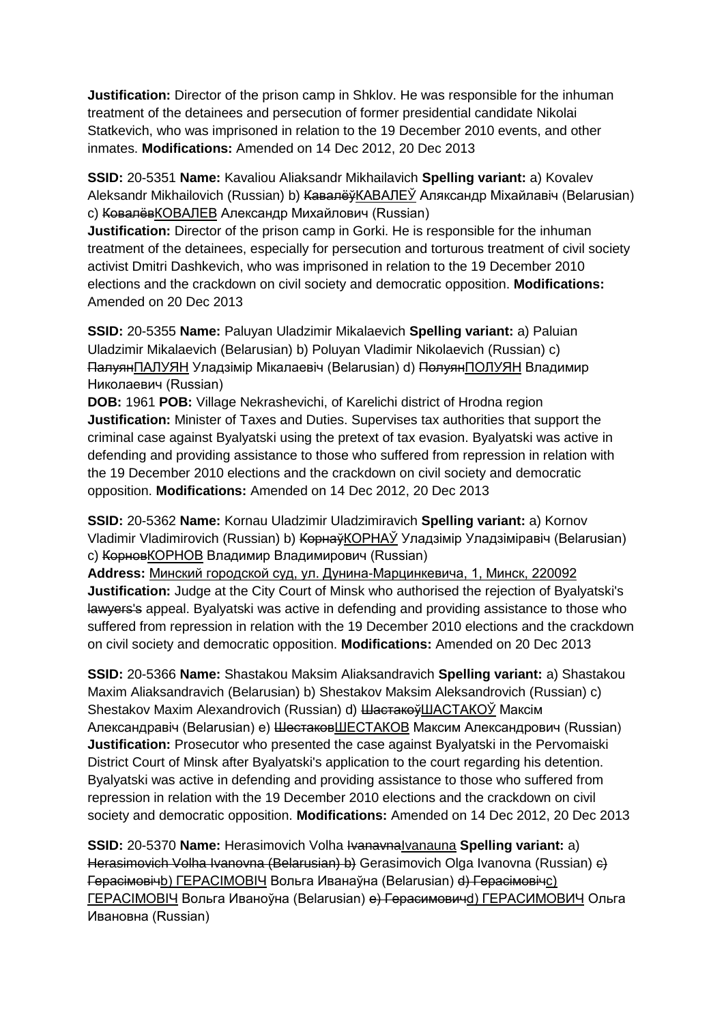**Justification:** Director of the prison camp in Shklov. He was responsible for the inhuman treatment of the detainees and persecution of former presidential candidate Nikolai Statkevich, who was imprisoned in relation to the 19 December 2010 events, and other inmates. **Modifications:** Amended on 14 Dec 2012, 20 Dec 2013

**SSID:** 20-5351 **Name:** Kavaliou Aliaksandr Mikhailavich **Spelling variant:** a) Kovalev Aleksandr Mikhailovich (Russian) b) <del>Кавалёў</del>КАВАЛЕЎ Аляксандр Міхайлавіч (Belarusian) c) КовалёвКОВАЛЕВ Александр Михайлович (Russian)

**Justification:** Director of the prison camp in Gorki. He is responsible for the inhuman treatment of the detainees, especially for persecution and torturous treatment of civil society activist Dmitri Dashkevich, who was imprisoned in relation to the 19 December 2010 elections and the crackdown on civil society and democratic opposition. **Modifications:**  Amended on 20 Dec 2013

**SSID:** 20-5355 **Name:** Paluyan Uladzimir Mikalaevich **Spelling variant:** a) Paluian Uladzimir Mikalaevich (Belarusian) b) Poluyan Vladimir Nikolaevich (Russian) c) ПалуянПАЛУЯН Уладзімір Мікалаевіч (Belarusian) d) ПолуянПОЛУЯН Владимир Николаевич (Russian)

**DOB:** 1961 **POB:** Village Nekrashevichi, of Karelichi district of Hrodna region **Justification:** Minister of Taxes and Duties. Supervises tax authorities that support the criminal case against Byalyatski using the pretext of tax evasion. Byalyatski was active in defending and providing assistance to those who suffered from repression in relation with the 19 December 2010 elections and the crackdown on civil society and democratic opposition. **Modifications:** Amended on 14 Dec 2012, 20 Dec 2013

**SSID:** 20-5362 **Name:** Kornau Uladzimir Uladzimiravich **Spelling variant:** a) Kornov Vladimir Vladimirovich (Russian) b) КорнаўКОРНАЎ Уладзімір Уладзіміравіч (Belarusian) c) КорновКОРНОВ Владимир Владимирович (Russian)

**Address:** Минский городской суд, ул. Дунина-Марцинкевича, 1, Минск, 220092 **Justification:** Judge at the City Court of Minsk who authorised the rejection of Byalyatski's lawyers's appeal. Byalyatski was active in defending and providing assistance to those who suffered from repression in relation with the 19 December 2010 elections and the crackdown on civil society and democratic opposition. **Modifications:** Amended on 20 Dec 2013

**SSID:** 20-5366 **Name:** Shastakou Maksim Aliaksandravich **Spelling variant:** a) Shastakou Maxim Aliaksandravich (Belarusian) b) Shestakov Maksim Aleksandrovich (Russian) c) Shestakov Maxim Alexandrovich (Russian) d) <del>Шастакоў</del>ШАСТАКОЎ Максім Александравіч (Belarusian) e) ШестаковШЕСТАКОВ Максим Александрович (Russian) **Justification:** Prosecutor who presented the case against Byalyatski in the Pervomaiski District Court of Minsk after Byalyatski's application to the court regarding his detention. Byalyatski was active in defending and providing assistance to those who suffered from repression in relation with the 19 December 2010 elections and the crackdown on civil society and democratic opposition. **Modifications:** Amended on 14 Dec 2012, 20 Dec 2013

**SSID:** 20-5370 **Name:** Herasimovich Volha IvanavnaIvanauna **Spelling variant:** a) Herasimovich Volha Ivanovna (Belarusian) b) Gerasimovich Olga Ivanovna (Russian) e) Герасімовічb) ГЕРАСIМОВIЧ Вольга Иванаўна (Belarusian) d) Герасімовічc) ГЕРАСIМОВIЧ Вольга Иваноўна (Belarusian) e) Герасимовичd) ГЕРАСИМОВИЧ Ольга Ивановна (Russian)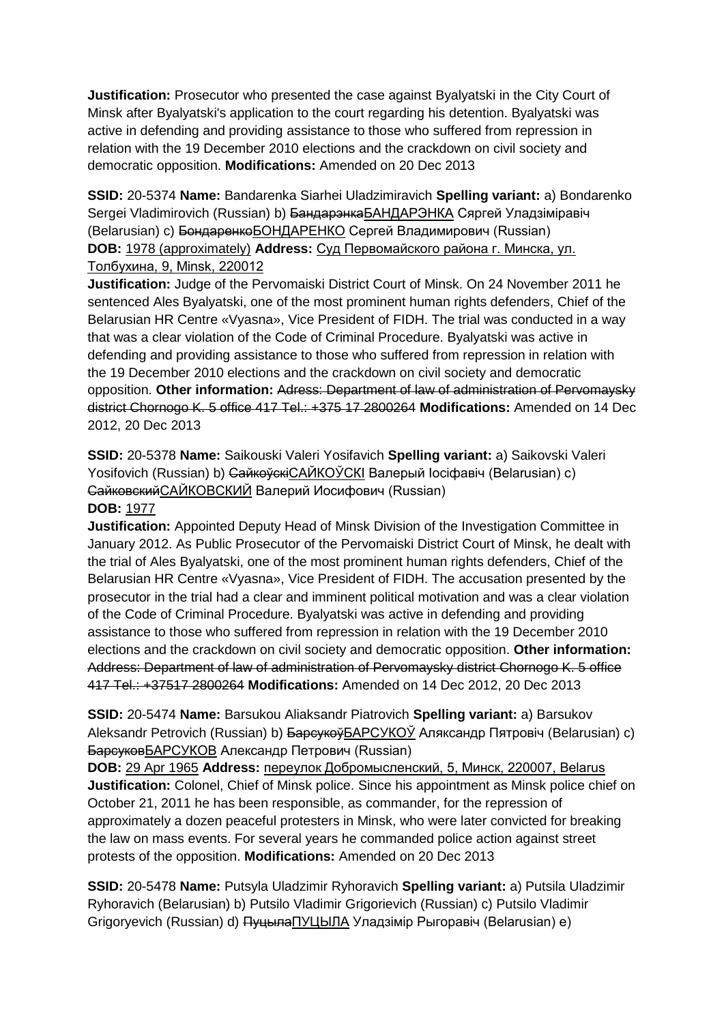**Justification:** Prosecutor who presented the case against Byalyatski in the City Court of Minsk after Byalyatski's application to the court regarding his detention. Byalyatski was active in defending and providing assistance to those who suffered from repression in relation with the 19 December 2010 elections and the crackdown on civil society and democratic opposition. **Modifications:** Amended on 20 Dec 2013

**SSID:** 20-5374 **Name:** Bandarenka Siarhei Uladzimiravich **Spelling variant:** a) Bondarenko Sergei Vladimirovich (Russian) b) <del>Бандарэнка</del>БАНДАРЭНКА Сяргей Уладзіміравіч (Belarusian) с) <del>Бондаренко</del>БОНДАРЕНКО Сергей Владимирович (Russian) **DOB:** 1978 (approximately) **Address:** Суд Первомайского района г. Минска, ул. Толбухина, 9, Minsk, 220012

**Justification:** Judge of the Pervomaiski District Court of Minsk. On 24 November 2011 he sentenced Ales Byalyatski, one of the most prominent human rights defenders, Chief of the Belarusian HR Centre «Vyasna», Vice President of FIDH. The trial was conducted in a way that was a clear violation of the Code of Criminal Procedure. Byalyatski was active in defending and providing assistance to those who suffered from repression in relation with the 19 December 2010 elections and the crackdown on civil society and democratic opposition. **Other information:** Adress: Department of law of administration of Pervomaysky district Chornogo K. 5 office 417 Tel.: +375 17 2800264 **Modifications:** Amended on 14 Dec 2012, 20 Dec 2013

**SSID:** 20-5378 **Name:** Saikouski Valeri Yosifavich **Spelling variant:** a) Saikovski Valeri Yosifovich (Russian) b) СайкоўскіСАЙКОЎСКІ Валерый Іосіфавіч (Belarusian) c) СайковскийСАЙКОВСКИЙ Валерий Иосифович (Russian)

#### **DOB:** 1977

**Justification:** Appointed Deputy Head of Minsk Division of the Investigation Committee in January 2012. As Public Prosecutor of the Pervomaiski District Court of Minsk, he dealt with the trial of Ales Byalyatski, one of the most prominent human rights defenders, Chief of the Belarusian HR Centre «Vyasna», Vice President of FIDH. The accusation presented by the prosecutor in the trial had a clear and imminent political motivation and was a clear violation of the Code of Criminal Procedure. Byalyatski was active in defending and providing assistance to those who suffered from repression in relation with the 19 December 2010 elections and the crackdown on civil society and democratic opposition. **Other information:** Address: Department of law of administration of Pervomaysky district Chornogo K. 5 office 417 Tel.: +37517 2800264 **Modifications:** Amended on 14 Dec 2012, 20 Dec 2013

**SSID:** 20-5474 **Name:** Barsukou Aliaksandr Piatrovich **Spelling variant:** a) Barsukov Aleksandr Petrovich (Russian) b) <del>Барсукоў</del>БАРСУКОЎ Аляксандр Пятровіч (Belarusian) c) БарсуковБАРСУКОВ Александр Петрович (Russian)

**DOB:** 29 Apr 1965 **Address:** переулок Добромысленский, 5, Минск, 220007, Belarus **Justification:** Colonel, Chief of Minsk police. Since his appointment as Minsk police chief on October 21, 2011 he has been responsible, as commander, for the repression of approximately a dozen peaceful protesters in Minsk, who were later convicted for breaking the law on mass events. For several years he commanded police action against street protests of the opposition. **Modifications:** Amended on 20 Dec 2013

**SSID:** 20-5478 **Name:** Putsyla Uladzimir Ryhoravich **Spelling variant:** a) Putsila Uladzimir Ryhoravich (Belarusian) b) Putsilo Vladimir Grigorievich (Russian) c) Putsilo Vladimir Grigoryevich (Russian) d) ПуцылаПУЦЫЛА Уладзімір Рыгоравіч (Belarusian) e)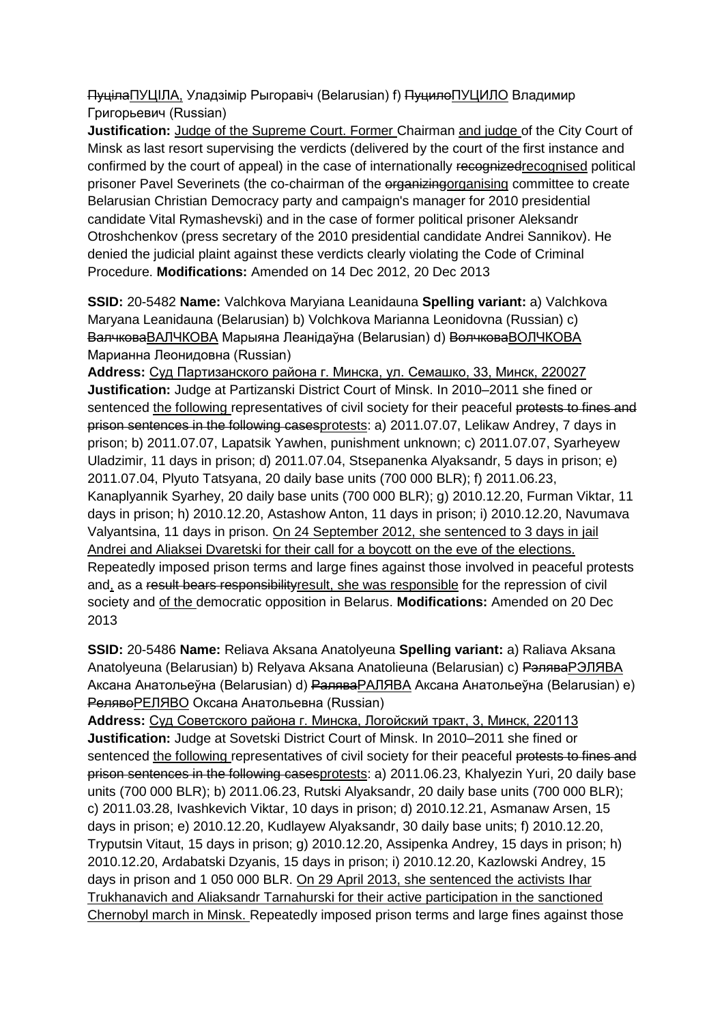ПуцілаПУЦІЛА, Уладзімір Рыгоравіч (Belarusian) f) ПуцилоПУЦИЛО Владимир Григорьевич (Russian)

**Justification:** Judge of the Supreme Court. Former Chairman and judge of the City Court of Minsk as last resort supervising the verdicts (delivered by the court of the first instance and confirmed by the court of appeal) in the case of internationally recognized recognised political prisoner Pavel Severinets (the co-chairman of the organizingorganising committee to create Belarusian Christian Democracy party and campaign's manager for 2010 presidential candidate Vital Rymashevski) and in the case of former political prisoner Aleksandr Otroshchenkov (press secretary of the 2010 presidential candidate Andrei Sannikov). He denied the judicial plaint against these verdicts clearly violating the Code of Criminal Procedure. **Modifications:** Amended on 14 Dec 2012, 20 Dec 2013

**SSID:** 20-5482 **Name:** Valchkova Maryiana Leanidauna **Spelling variant:** a) Valchkova Maryana Leanidauna (Belarusian) b) Volchkova Marianna Leonidovna (Russian) c) ВалчковаВАЛЧКОВА Марыяна Леанідаўна (Belarusian) d) ВолчковаВОЛЧКОВА Марианна Леонидовна (Russian)

**Address:** Суд Партизанского района г. Минска, ул. Семашко, 33, Минск, 220027 **Justification:** Judge at Partizanski District Court of Minsk. In 2010–2011 she fined or sentenced the following representatives of civil society for their peaceful protests to fines and prison sentences in the following casesprotests: a) 2011.07.07, Lelikaw Andrey, 7 days in prison; b) 2011.07.07, Lapatsik Yawhen, punishment unknown; c) 2011.07.07, Syarheyew Uladzimir, 11 days in prison; d) 2011.07.04, Stsepanenka Alyaksandr, 5 days in prison; e) 2011.07.04, Plyuto Tatsyana, 20 daily base units (700 000 BLR); f) 2011.06.23, Kanaplyannik Syarhey, 20 daily base units (700 000 BLR); g) 2010.12.20, Furman Viktar, 11 days in prison; h) 2010.12.20, Astashow Anton, 11 days in prison; i) 2010.12.20, Navumava Valyantsina, 11 days in prison. On 24 September 2012, she sentenced to 3 days in jail Andrei and Aliaksei Dvaretski for their call for a boycott on the eve of the elections. Repeatedly imposed prison terms and large fines against those involved in peaceful protests and, as a result bears responsibilityresult, she was responsible for the repression of civil society and of the democratic opposition in Belarus. **Modifications:** Amended on 20 Dec 2013

**SSID:** 20-5486 **Name:** Reliava Aksana Anatolyeuna **Spelling variant:** a) Raliava Aksana Anatolyeuna (Belarusian) b) Relyava Aksana Anatolieuna (Belarusian) c) РэляваРЭЛЯВА Аксана Анатольеўна (Belarusian) d) РаляваРAЛЯВА Аксана Анатольеўна (Belarusian) e) РелявоРЕЛЯВО Оксана Анатольевна (Russian)

**Address:** Суд Советского района г. Минска, Логойский тракт, 3, Минск, 220113 **Justification:** Judge at Sovetski District Court of Minsk. In 2010–2011 she fined or sentenced the following representatives of civil society for their peaceful protests to fines and prison sentences in the following casesprotests: a) 2011.06.23, Khalyezin Yuri, 20 daily base units (700 000 BLR); b) 2011.06.23, Rutski Alyaksandr, 20 daily base units (700 000 BLR); c) 2011.03.28, Ivashkevich Viktar, 10 days in prison; d) 2010.12.21, Asmanaw Arsen, 15 days in prison; e) 2010.12.20, Kudlayew Alyaksandr, 30 daily base units; f) 2010.12.20, Tryputsin Vitaut, 15 days in prison; g) 2010.12.20, Assipenka Andrey, 15 days in prison; h) 2010.12.20, Ardabatski Dzyanis, 15 days in prison; i) 2010.12.20, Kazlowski Andrey, 15 days in prison and 1 050 000 BLR. On 29 April 2013, she sentenced the activists Ihar Trukhanavich and Aliaksandr Tarnahurski for their active participation in the sanctioned Chernobyl march in Minsk. Repeatedly imposed prison terms and large fines against those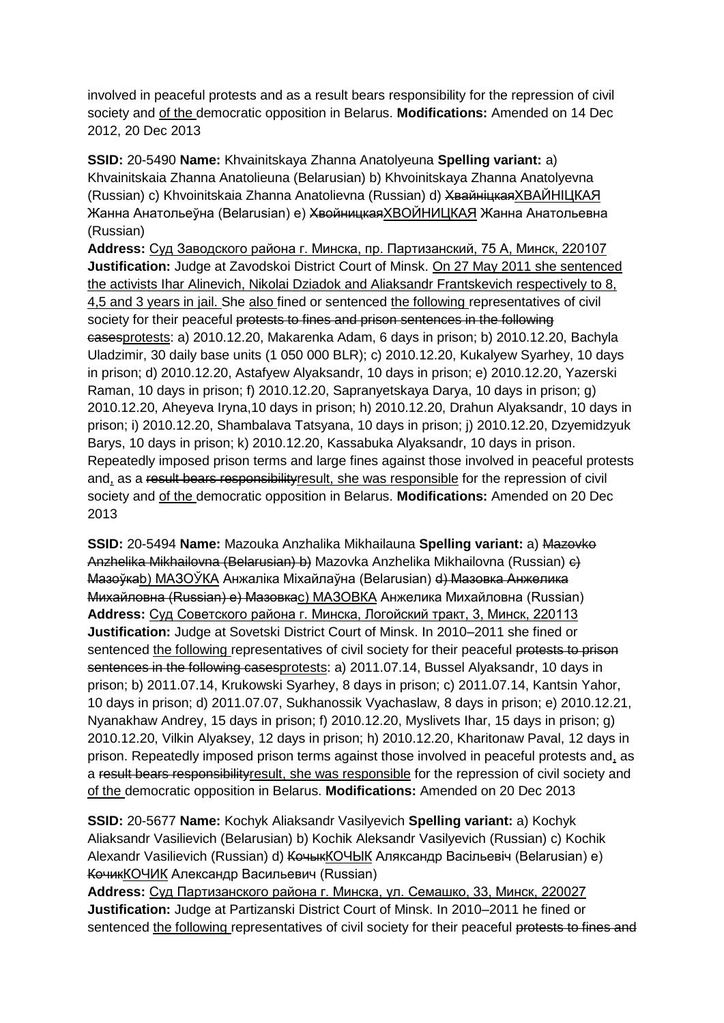involved in peaceful protests and as a result bears responsibility for the repression of civil society and of the democratic opposition in Belarus. **Modifications:** Amended on 14 Dec 2012, 20 Dec 2013

**SSID:** 20-5490 **Name:** Khvainitskaya Zhanna Anatolyeuna **Spelling variant:** a) Khvainitskaia Zhanna Anatolieuna (Belarusian) b) Khvoinitskaya Zhanna Anatolyevna (Russian) c) Khvoinitskaia Zhanna Anatolievna (Russian) d) ХвайніцкаяХВАЙНIЦКАЯ Жанна Анатольеўна (Belarusian) e) <del>Хвойницкая</del>ХВОЙНИЦКАЯ Жанна Анатольевна (Russian)

**Address:** Суд Заводского района г. Минска, пр. Партизанский, 75 А, Минск, 220107 **Justification:** Judge at Zavodskoi District Court of Minsk. On 27 May 2011 she sentenced the activists Ihar Alinevich, Nikolai Dziadok and Aliaksandr Frantskevich respectively to 8, 4,5 and 3 years in jail. She also fined or sentenced the following representatives of civil society for their peaceful protests to fines and prison sentences in the following casesprotests: a) 2010.12.20, Makarenka Adam, 6 days in prison; b) 2010.12.20, Bachyla Uladzimir, 30 daily base units (1 050 000 BLR); c) 2010.12.20, Kukalyew Syarhey, 10 days in prison; d) 2010.12.20, Astafyew Alyaksandr, 10 days in prison; e) 2010.12.20, Yazerski Raman, 10 days in prison; f) 2010.12.20, Sapranyetskaya Darya, 10 days in prison; g) 2010.12.20, Aheyeva Iryna,10 days in prison; h) 2010.12.20, Drahun Alyaksandr, 10 days in prison; i) 2010.12.20, Shambalava Tatsyana, 10 days in prison; j) 2010.12.20, Dzyemidzyuk Barys, 10 days in prison; k) 2010.12.20, Kassabuka Alyaksandr, 10 days in prison. Repeatedly imposed prison terms and large fines against those involved in peaceful protests and, as a result bears responsibilityresult, she was responsible for the repression of civil society and of the democratic opposition in Belarus. **Modifications:** Amended on 20 Dec 2013

**SSID:** 20-5494 **Name:** Mazouka Anzhalika Mikhailauna **Spelling variant:** a) Mazovko Anzhelika Mikhailovna (Belarusian) b) Mazovka Anzhelika Mikhailovna (Russian) e) Мазоўкаb) МАЗОЎКА Анжаліка Міхайлаўна (Belarusian) <del>d) Мазовка Анжелика</del> Михайловна (Russian) e) Мазовкаc) МАЗОВКA Анжелика Михайловна (Russian) **Address:** Суд Советского района г. Минска, Логойский тракт, 3, Минск, 220113 **Justification:** Judge at Sovetski District Court of Minsk. In 2010–2011 she fined or sentenced the following representatives of civil society for their peaceful protests to prison sentences in the following casesprotests: a) 2011.07.14, Bussel Alyaksandr, 10 days in prison; b) 2011.07.14, Krukowski Syarhey, 8 days in prison; c) 2011.07.14, Kantsin Yahor, 10 days in prison; d) 2011.07.07, Sukhanossik Vyachaslaw, 8 days in prison; e) 2010.12.21, Nyanakhaw Andrey, 15 days in prison; f) 2010.12.20, Myslivets Ihar, 15 days in prison; g) 2010.12.20, Vilkin Alyaksey, 12 days in prison; h) 2010.12.20, Kharitonaw Paval, 12 days in prison. Repeatedly imposed prison terms against those involved in peaceful protests and, as a result bears responsibilityresult, she was responsible for the repression of civil society and of the democratic opposition in Belarus. **Modifications:** Amended on 20 Dec 2013

**SSID:** 20-5677 **Name:** Kochyk Aliaksandr Vasilyevich **Spelling variant:** a) Kochyk Aliaksandr Vasilievich (Belarusian) b) Kochik Aleksandr Vasilyevich (Russian) c) Kochik Alexandr Vasilievich (Russian) d) <del>Кочык</del>КОЧЫК Аляксандр Васільевіч (Belarusian) e) КочикКОЧИК Александр Васильевич (Russian)

**Address:** Суд Партизанского района г. Минска, ул. Семашко, 33, Минск, 220027 **Justification:** Judge at Partizanski District Court of Minsk. In 2010–2011 he fined or sentenced the following representatives of civil society for their peaceful protests to fines and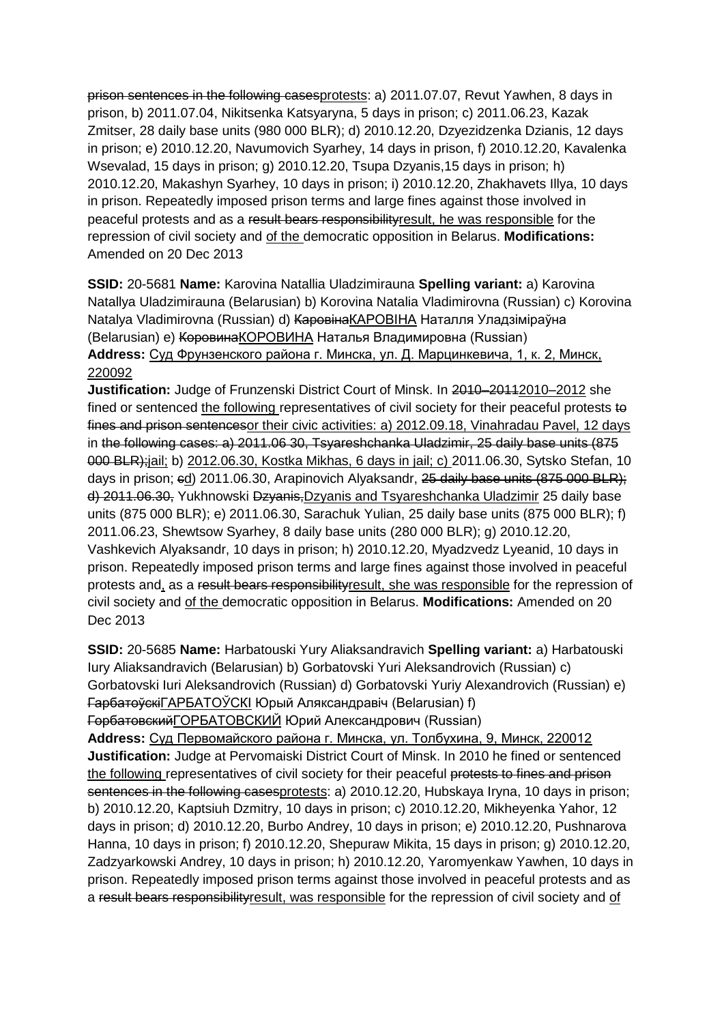prison sentences in the following casesprotests: a) 2011.07.07, Revut Yawhen, 8 days in prison, b) 2011.07.04, Nikitsenka Katsyaryna, 5 days in prison; c) 2011.06.23, Kazak Zmitser, 28 daily base units (980 000 BLR); d) 2010.12.20, Dzyezidzenka Dzianis, 12 days in prison; e) 2010.12.20, Navumovich Syarhey, 14 days in prison, f) 2010.12.20, Kavalenka Wsevalad, 15 days in prison; g) 2010.12.20, Tsupa Dzyanis,15 days in prison; h) 2010.12.20, Makashyn Syarhey, 10 days in prison; i) 2010.12.20, Zhakhavets Illya, 10 days in prison. Repeatedly imposed prison terms and large fines against those involved in peaceful protests and as a result bears responsibilityresult, he was responsible for the repression of civil society and of the democratic opposition in Belarus. **Modifications:**  Amended on 20 Dec 2013

**SSID:** 20-5681 **Name:** Karovina Natallia Uladzimirauna **Spelling variant:** a) Karovina Natallya Uladzimirauna (Belarusian) b) Korovina Natalia Vladimirovna (Russian) c) Korovina Natalya Vladimirovna (Russian) d) <del>Каровіна</del>КАРОВІНА Наталля Уладзіміраўна (Belarusian) e) КоровинаКОРОВИНА Наталья Владимировна (Russian) **Address:** Суд Фрунзенского района г. Минска, ул. Д. Марцинкевича, 1, к. 2, Минск, 220092

**Justification:** Judge of Frunzenski District Court of Minsk. In 2010–20110–2012 she fined or sentenced the following representatives of civil society for their peaceful protests to fines and prison sentencesor their civic activities: a) 2012.09.18, Vinahradau Pavel, 12 days in the following cases: a) 2011.06 30, Tsyareshchanka Uladzimir, 25 daily base units (875 000 BLR);jail; b) 2012.06.30, Kostka Mikhas, 6 days in jail; c) 2011.06.30, Sytsko Stefan, 10 days in prison; ed) 2011.06.30, Arapinovich Alyaksandr, 25 daily base units (875 000 BLR); d) 2011.06.30, Yukhnowski Dzyanis, Dzyanis and Tsyareshchanka Uladzimir 25 daily base units (875 000 BLR); e) 2011.06.30, Sarachuk Yulian, 25 daily base units (875 000 BLR); f) 2011.06.23, Shewtsow Syarhey, 8 daily base units (280 000 BLR); g) 2010.12.20, Vashkevich Alyaksandr, 10 days in prison; h) 2010.12.20, Myadzvedz Lyeanid, 10 days in prison. Repeatedly imposed prison terms and large fines against those involved in peaceful protests and, as a result bears responsibilityresult, she was responsible for the repression of civil society and of the democratic opposition in Belarus. **Modifications:** Amended on 20 Dec 2013

**SSID:** 20-5685 **Name:** Harbatouski Yury Aliaksandravich **Spelling variant:** a) Harbatouski Iury Aliaksandravich (Belarusian) b) Gorbatovski Yuri Aleksandrovich (Russian) c) Gorbatovski Iuri Aleksandrovich (Russian) d) Gorbatovski Yuriy Alexandrovich (Russian) e) ГарбатоўскіГАРБАТОЎСКI Юрый Аляксандравіч (Belarusian) f) ГорбатовскийГОРБАТОВСКИЙ Юрий Александрович (Russian)

**Address:** Суд Первомайского района г. Минска, ул. Толбухина, 9, Минск, 220012 **Justification:** Judge at Pervomaiski District Court of Minsk. In 2010 he fined or sentenced the following representatives of civil society for their peaceful protests to fines and prison sentences in the following casesprotests: a) 2010.12.20, Hubskava Irvna, 10 davs in prison: b) 2010.12.20, Kaptsiuh Dzmitry, 10 days in prison; c) 2010.12.20, Mikheyenka Yahor, 12 days in prison; d) 2010.12.20, Burbo Andrey, 10 days in prison; e) 2010.12.20, Pushnarova Hanna, 10 days in prison; f) 2010.12.20, Shepuraw Mikita, 15 days in prison; g) 2010.12.20, Zadzyarkowski Andrey, 10 days in prison; h) 2010.12.20, Yaromyenkaw Yawhen, 10 days in prison. Repeatedly imposed prison terms against those involved in peaceful protests and as a result bears responsibilityresult, was responsible for the repression of civil society and of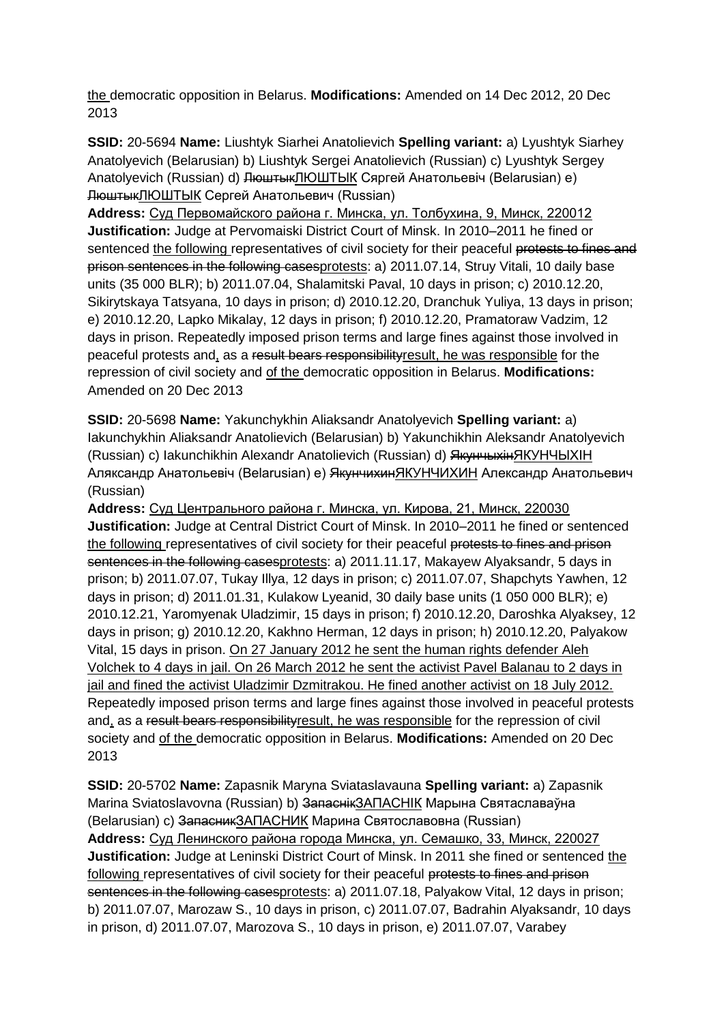the democratic opposition in Belarus. **Modifications:** Amended on 14 Dec 2012, 20 Dec 2013

**SSID:** 20-5694 **Name:** Liushtyk Siarhei Anatolievich **Spelling variant:** a) Lyushtyk Siarhey Anatolyevich (Belarusian) b) Liushtyk Sergei Anatolievich (Russian) c) Lyushtyk Sergey Anatolyevich (Russian) d) ЛюштыкЛЮШТЫК Сяргей Анатольевіч (Belarusian) e) ЛюштыкЛЮШТЫК Сергей Анатольевич (Russian)

**Address:** Суд Первомайского района г. Минска, ул. Толбухина, 9, Минск, 220012 **Justification:** Judge at Pervomaiski District Court of Minsk. In 2010–2011 he fined or sentenced the following representatives of civil society for their peaceful protests to fines and prison sentences in the following casesprotests: a) 2011.07.14, Struy Vitali, 10 daily base units (35 000 BLR); b) 2011.07.04, Shalamitski Paval, 10 days in prison; c) 2010.12.20, Sikirytskaya Tatsyana, 10 days in prison; d) 2010.12.20, Dranchuk Yuliya, 13 days in prison; e) 2010.12.20, Lapko Mikalay, 12 days in prison; f) 2010.12.20, Pramatoraw Vadzim, 12 days in prison. Repeatedly imposed prison terms and large fines against those involved in peaceful protests and, as a result bears responsibilityresult, he was responsible for the repression of civil society and of the democratic opposition in Belarus. **Modifications:**  Amended on 20 Dec 2013

**SSID:** 20-5698 **Name:** Yakunchykhin Aliaksandr Anatolyevich **Spelling variant:** a) Iakunchykhin Aliaksandr Anatolievich (Belarusian) b) Yakunchikhin Aleksandr Anatolyevich (Russian) c) Iakunchikhin Alexandr Anatolievich (Russian) d) ЯкунчыхінЯКУНЧЫХIН Аляксандр Анатольевіч (Belarusian) e) ЯкунчихинЯКУНЧИХИН Александр Анатольевич (Russian)

**Address:** Суд Центрального района г. Минска, ул. Кирова, 21, Минск, 220030 **Justification:** Judge at Central District Court of Minsk. In 2010–2011 he fined or sentenced the following representatives of civil society for their peaceful protests to fines and prison sentences in the following casesprotests: a) 2011.11.17, Makayew Alyaksandr, 5 days in prison; b) 2011.07.07, Tukay Illya, 12 days in prison; c) 2011.07.07, Shapchyts Yawhen, 12 days in prison; d) 2011.01.31, Kulakow Lyeanid, 30 daily base units (1 050 000 BLR); e) 2010.12.21, Yaromyenak Uladzimir, 15 days in prison; f) 2010.12.20, Daroshka Alyaksey, 12 days in prison; g) 2010.12.20, Kakhno Herman, 12 days in prison; h) 2010.12.20, Palyakow Vital, 15 days in prison. On 27 January 2012 he sent the human rights defender Aleh Volchek to 4 days in jail. On 26 March 2012 he sent the activist Pavel Balanau to 2 days in jail and fined the activist Uladzimir Dzmitrakou. He fined another activist on 18 July 2012. Repeatedly imposed prison terms and large fines against those involved in peaceful protests and, as a result bears responsibilityresult, he was responsible for the repression of civil society and of the democratic opposition in Belarus. **Modifications:** Amended on 20 Dec 2013

**SSID:** 20-5702 **Name:** Zapasnik Maryna Sviataslavauna **Spelling variant:** a) Zapasnik Marina Sviatoslavovna (Russian) b) ЗапаснікЗАПАСНІК Марына Святаславаўна (Belarusian) c) ЗапасникЗАПАСНИК Марина Святославовна (Russian) **Address:** Суд Ленинского района города Минска, ул. Семашко, 33, Минск, 220027 **Justification:** Judge at Leninski District Court of Minsk. In 2011 she fined or sentenced the following representatives of civil society for their peaceful protests to fines and prison sentences in the following casesprotests: a) 2011.07.18, Palyakow Vital, 12 days in prison; b) 2011.07.07, Marozaw S., 10 days in prison, c) 2011.07.07, Badrahin Alyaksandr, 10 days in prison, d) 2011.07.07, Marozova S., 10 days in prison, e) 2011.07.07, Varabey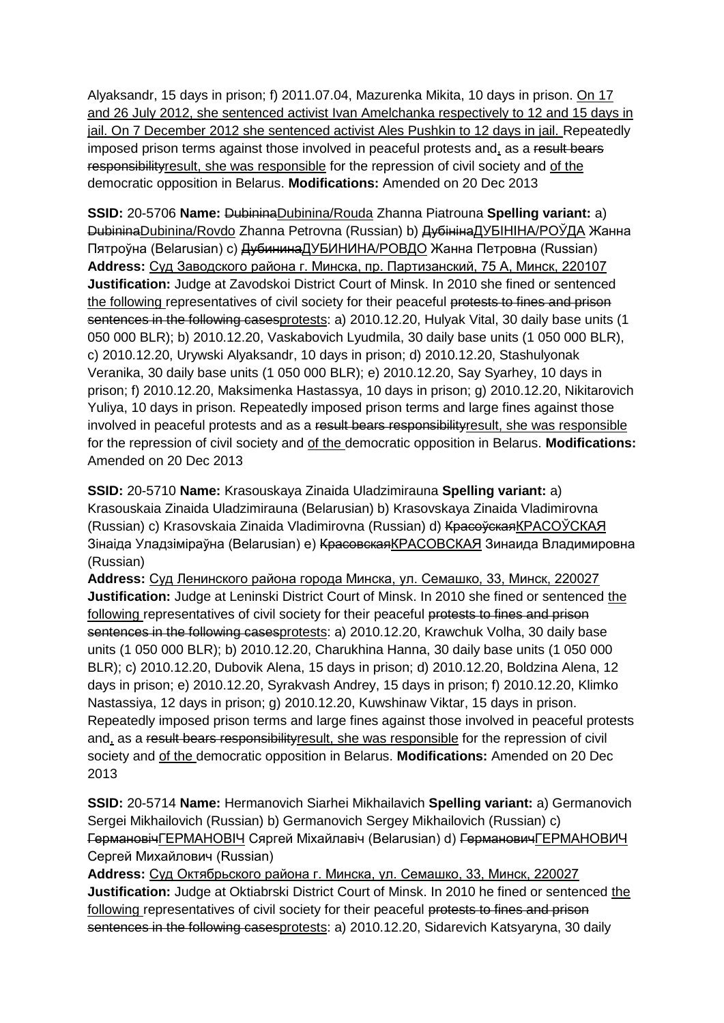Alyaksandr, 15 days in prison; f) 2011.07.04, Mazurenka Mikita, 10 days in prison. On 17 and 26 July 2012, she sentenced activist Ivan Amelchanka respectively to 12 and 15 days in jail. On 7 December 2012 she sentenced activist Ales Pushkin to 12 days in jail. Repeatedly imposed prison terms against those involved in peaceful protests and, as a result bears responsibilityresult, she was responsible for the repression of civil society and of the democratic opposition in Belarus. **Modifications:** Amended on 20 Dec 2013

**SSID:** 20-5706 **Name:** DubininaDubinina/Rouda Zhanna Piatrouna **Spelling variant:** a) DubininaDubinina/Rovdo Zhanna Petrovna (Russian) b) ДубінінаДУБІНІНА/РОЎДА Жанна Пятроўна (Belarusian) c) ДубининаДУБИНИНА/РОВДО Жанна Петровна (Russian) **Address:** Суд Заводского района г. Минска, пр. Партизанский, 75 А, Минск, 220107 **Justification:** Judge at Zavodskoi District Court of Minsk. In 2010 she fined or sentenced the following representatives of civil society for their peaceful protests to fines and prison sentences in the following casesprotests: a) 2010.12.20, Hulyak Vital, 30 daily base units (1 050 000 BLR); b) 2010.12.20, Vaskabovich Lyudmila, 30 daily base units (1 050 000 BLR), c) 2010.12.20, Urywski Alyaksandr, 10 days in prison; d) 2010.12.20, Stashulyonak Veranika, 30 daily base units (1 050 000 BLR); e) 2010.12.20, Say Syarhey, 10 days in prison; f) 2010.12.20, Maksimenka Hastassya, 10 days in prison; g) 2010.12.20, Nikitarovich Yuliya, 10 days in prison. Repeatedly imposed prison terms and large fines against those involved in peaceful protests and as a result bears responsibilityresult, she was responsible for the repression of civil society and of the democratic opposition in Belarus. **Modifications:**  Amended on 20 Dec 2013

**SSID:** 20-5710 **Name:** Krasouskaya Zinaida Uladzimirauna **Spelling variant:** a) Krasouskaia Zinaida Uladzimirauna (Belarusian) b) Krasovskaya Zinaida Vladimirovna (Russian) c) Krasovskaia Zinaida Vladimirovna (Russian) d) КрасоўскаяКРАСОЎСКАЯ Зінаіда Уладзіміраўна (Belarusian) e) КрасовскаяКРАСОВСКАЯ Зинаида Владимировна (Russian)

**Address:** Суд Ленинского района города Минска, ул. Семашко, 33, Минск, 220027 **Justification:** Judge at Leninski District Court of Minsk. In 2010 she fined or sentenced the following representatives of civil society for their peaceful protests to fines and prison sentences in the following casesprotests: a) 2010.12.20, Krawchuk Volha, 30 daily base units (1 050 000 BLR); b) 2010.12.20, Charukhina Hanna, 30 daily base units (1 050 000 BLR); c) 2010.12.20, Dubovik Alena, 15 days in prison; d) 2010.12.20, Boldzina Alena, 12 days in prison; e) 2010.12.20, Syrakvash Andrey, 15 days in prison; f) 2010.12.20, Klimko Nastassiya, 12 days in prison; g) 2010.12.20, Kuwshinaw Viktar, 15 days in prison. Repeatedly imposed prison terms and large fines against those involved in peaceful protests and, as a result bears responsibility result, she was responsible for the repression of civil society and of the democratic opposition in Belarus. **Modifications:** Amended on 20 Dec 2013

**SSID:** 20-5714 **Name:** Hermanovich Siarhei Mikhailavich **Spelling variant:** a) Germanovich Sergei Mikhailovich (Russian) b) Germanovich Sergey Mikhailovich (Russian) c) ГермановічГЕРМАНОВIЧ Сяргей Міхайлавіч (Belarusian) d) ГермановичГЕРМАНОВИЧ Сергей Михайлович (Russian)

**Address:** Суд Октябрьского района г. Минска, ул. Семашко, 33, Минск, 220027 **Justification:** Judge at Oktiabrski District Court of Minsk. In 2010 he fined or sentenced the following representatives of civil society for their peaceful protests to fines and prison sentences in the following casesprotests: a) 2010.12.20, Sidarevich Katsyaryna, 30 daily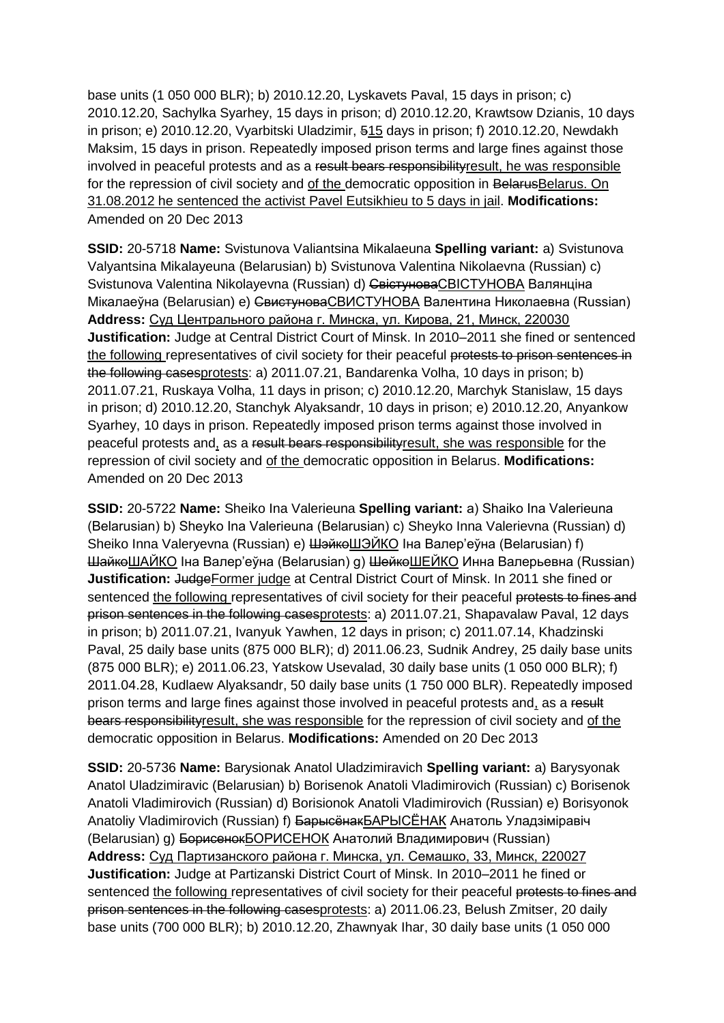base units (1 050 000 BLR); b) 2010.12.20, Lyskavets Paval, 15 days in prison; c) 2010.12.20, Sachylka Syarhey, 15 days in prison; d) 2010.12.20, Krawtsow Dzianis, 10 days in prison; e) 2010.12.20, Vyarbitski Uladzimir, 515 days in prison; f) 2010.12.20, Newdakh Maksim, 15 days in prison. Repeatedly imposed prison terms and large fines against those involved in peaceful protests and as a result bears responsibilityresult, he was responsible for the repression of civil society and of the democratic opposition in BelarusBelarus. On 31.08.2012 he sentenced the activist Pavel Eutsikhieu to 5 days in jail. **Modifications:**  Amended on 20 Dec 2013

**SSID:** 20-5718 **Name:** Svistunova Valiantsina Mikalaeuna **Spelling variant:** a) Svistunova Valyantsina Mikalayeuna (Belarusian) b) Svistunova Valentina Nikolaevna (Russian) c) Svistunova Valentina Nikolayevna (Russian) d) СвістуноваСВІСТУНОВА Валянціна Мікалаеўна (Belarusian) e) СвистуноваСВИСТУНОВА Валентина Николаевна (Russian) **Address:** Суд Центрального района г. Минска, ул. Кирова, 21, Минск, 220030 **Justification:** Judge at Central District Court of Minsk. In 2010–2011 she fined or sentenced the following representatives of civil society for their peaceful protests to prison sentences in the following casesprotests: a) 2011.07.21, Bandarenka Volha, 10 days in prison; b) 2011.07.21, Ruskaya Volha, 11 days in prison; c) 2010.12.20, Marchyk Stanislaw, 15 days in prison; d) 2010.12.20, Stanchyk Alyaksandr, 10 days in prison; e) 2010.12.20, Anyankow Syarhey, 10 days in prison. Repeatedly imposed prison terms against those involved in peaceful protests and, as a result bears responsibilityresult, she was responsible for the repression of civil society and of the democratic opposition in Belarus. **Modifications:**  Amended on 20 Dec 2013

**SSID:** 20-5722 **Name:** Sheiko Ina Valerieuna **Spelling variant:** a) Shaiko Іna Valerieuna (Belarusian) b) Sheyko Іna Valerieuna (Belarusian) c) Sheyko Inna Valerievna (Russian) d) Sheiko Inna Valeryevna (Russian) e) ШэйкөШЭЙКО Іна Валер'еўна (Belarusian) f) ШайкоШAЙКО Iна Валер'еўна (Belarusian) g) ШейкоШЕЙКО Инна Валерьевна (Russian) **Justification:** JudgeFormer judge at Central District Court of Minsk. In 2011 she fined or sentenced the following representatives of civil society for their peaceful protests to fines and prison sentences in the following casesprotests: a) 2011.07.21, Shapavalaw Paval, 12 days in prison; b) 2011.07.21, Ivanyuk Yawhen, 12 days in prison; c) 2011.07.14, Khadzinski Paval, 25 daily base units (875 000 BLR); d) 2011.06.23, Sudnik Andrey, 25 daily base units (875 000 BLR); e) 2011.06.23, Yatskow Usevalad, 30 daily base units (1 050 000 BLR); f) 2011.04.28, Kudlaew Alyaksandr, 50 daily base units (1 750 000 BLR). Repeatedly imposed prison terms and large fines against those involved in peaceful protests and, as a result bears responsibilityresult, she was responsible for the repression of civil society and of the democratic opposition in Belarus. **Modifications:** Amended on 20 Dec 2013

**SSID:** 20-5736 **Name:** Barysionak Anatol Uladzimiravich **Spelling variant:** a) Barysyonak Anatol Uladzimiravic (Belarusian) b) Borisenok Anatoli Vladimirovich (Russian) c) Borisenok Anatoli Vladimirovich (Russian) d) Borisionok Anatoli Vladimirovich (Russian) e) Borisyonok Anatoliy Vladimirovich (Russian) f) БарысёнакБАРЫСЁНАК Анатоль Уладзіміравіч (Belarusian) g) БорисенокБОРИСЕНОК Анатолий Владимирович (Russian) **Address:** Суд Партизанского района г. Минска, ул. Семашко, 33, Минск, 220027 **Justification:** Judge at Partizanski District Court of Minsk. In 2010–2011 he fined or sentenced the following representatives of civil society for their peaceful protests to fines and prison sentences in the following casesprotests: a) 2011.06.23, Belush Zmitser, 20 daily base units (700 000 BLR); b) 2010.12.20, Zhawnyak Ihar, 30 daily base units (1 050 000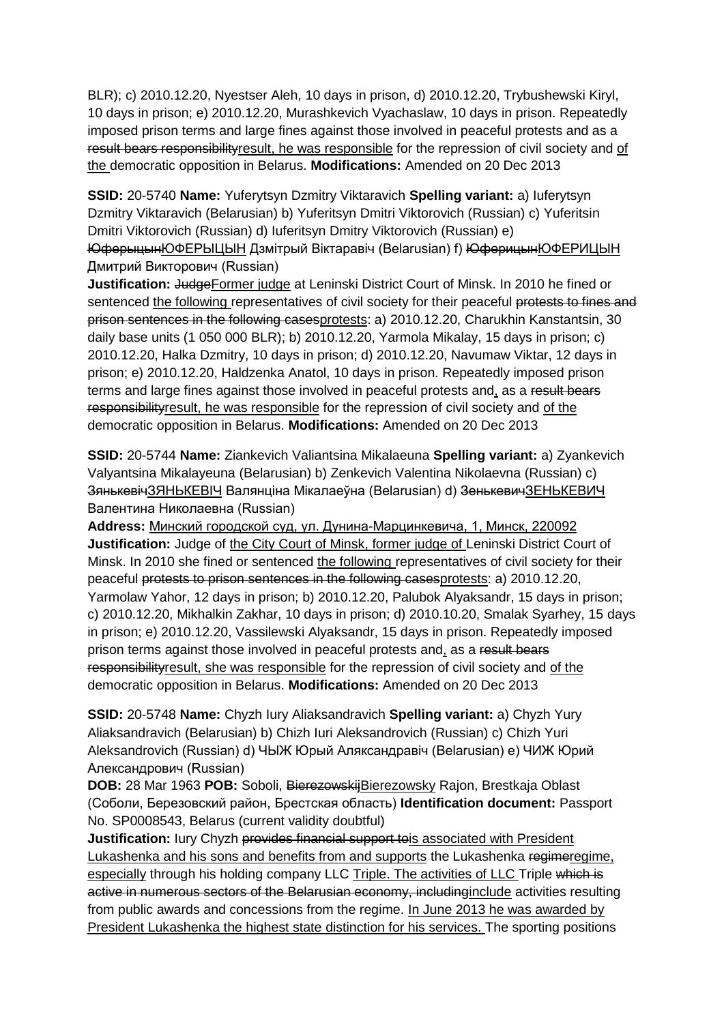BLR); c) 2010.12.20, Nyestser Aleh, 10 days in prison, d) 2010.12.20, Trybushewski Kiryl, 10 days in prison; e) 2010.12.20, Murashkevich Vyachaslaw, 10 days in prison. Repeatedly imposed prison terms and large fines against those involved in peaceful protests and as a result bears responsibilityresult, he was responsible for the repression of civil society and of the democratic opposition in Belarus. **Modifications:** Amended on 20 Dec 2013

**SSID:** 20-5740 **Name:** Yuferytsyn Dzmitry Viktaravich **Spelling variant:** a) Iuferytsyn Dzmitry Viktaravich (Belarusian) b) Yuferitsyn Dmitri Viktorovich (Russian) c) Yuferitsin Dmitri Viktorovich (Russian) d) Iuferitsyn Dmitry Viktorovich (Russian) e) ЮферыцынЮФЕРЫЦЫН Дзмітрый Віктаравіч (Belarusian) f) ЮферицынЮФЕРИЦЫН Дмитрий Викторович (Russian)

**Justification: JudgeFormer judge at Leninski District Court of Minsk. In 2010 he fined or** sentenced the following representatives of civil society for their peaceful protests to fines and prison sentences in the following casesprotests: a) 2010.12.20, Charukhin Kanstantsin, 30 daily base units (1 050 000 BLR); b) 2010.12.20, Yarmola Mikalay, 15 days in prison; c) 2010.12.20, Halka Dzmitry, 10 days in prison; d) 2010.12.20, Navumaw Viktar, 12 days in prison; e) 2010.12.20, Haldzenka Anatol, 10 days in prison. Repeatedly imposed prison terms and large fines against those involved in peaceful protests and, as a result bears responsibilityresult, he was responsible for the repression of civil society and of the democratic opposition in Belarus. **Modifications:** Amended on 20 Dec 2013

**SSID:** 20-5744 **Name:** Ziankevich Valiantsina Mikalaeuna **Spelling variant:** a) Zyankevich Valyantsina Mikalayeuna (Belarusian) b) Zenkevich Valentina Nikolaevna (Russian) c) ЗянькевічЗЯНЬКЕВІЧ Валянціна Мікалаеўна (Belarusian) d) ЗенькевичЗЕНЬКЕВИЧ Валентина Николаевна (Russian)

**Address:** Минский городской суд, ул. Дунина-Марцинкевича, 1, Минск, 220092 **Justification:** Judge of the City Court of Minsk, former judge of Leninski District Court of Minsk. In 2010 she fined or sentenced the following representatives of civil society for their peaceful protests to prison sentences in the following casesprotests: a) 2010.12.20, Yarmolaw Yahor, 12 days in prison; b) 2010.12.20, Palubok Alyaksandr, 15 days in prison; c) 2010.12.20, Mikhalkin Zakhar, 10 days in prison; d) 2010.10.20, Smalak Syarhey, 15 days in prison; e) 2010.12.20, Vassilewski Alyaksandr, 15 days in prison. Repeatedly imposed prison terms against those involved in peaceful protests and, as a result bears responsibilityresult, she was responsible for the repression of civil society and of the democratic opposition in Belarus. **Modifications:** Amended on 20 Dec 2013

**SSID:** 20-5748 **Name:** Chyzh Iury Aliaksandravich **Spelling variant:** a) Chyzh Yury Aliaksandravich (Belarusian) b) Chizh Iuri Aleksandrovich (Russian) c) Chizh Yuri Aleksandrovich (Russian) d) ЧЫЖ Юрый Аляксандравіч (Belarusian) e) ЧИЖ Юрий Александрович (Russian)

**DOB:** 28 Mar 1963 **POB:** Soboli, BierezowskijBierezowsky Rajon, Brestkaja Oblast (Соболи, Березовский район, Брестская область) **Identification document:** Passport No. SP0008543, Belarus (current validity doubtful)

**Justification:** Iury Chyzh provides financial support tois associated with President Lukashenka and his sons and benefits from and supports the Lukashenka regimeregime, especially through his holding company LLC Triple. The activities of LLC Triple which is active in numerous sectors of the Belarusian economy, includinginclude activities resulting from public awards and concessions from the regime. In June 2013 he was awarded by President Lukashenka the highest state distinction for his services. The sporting positions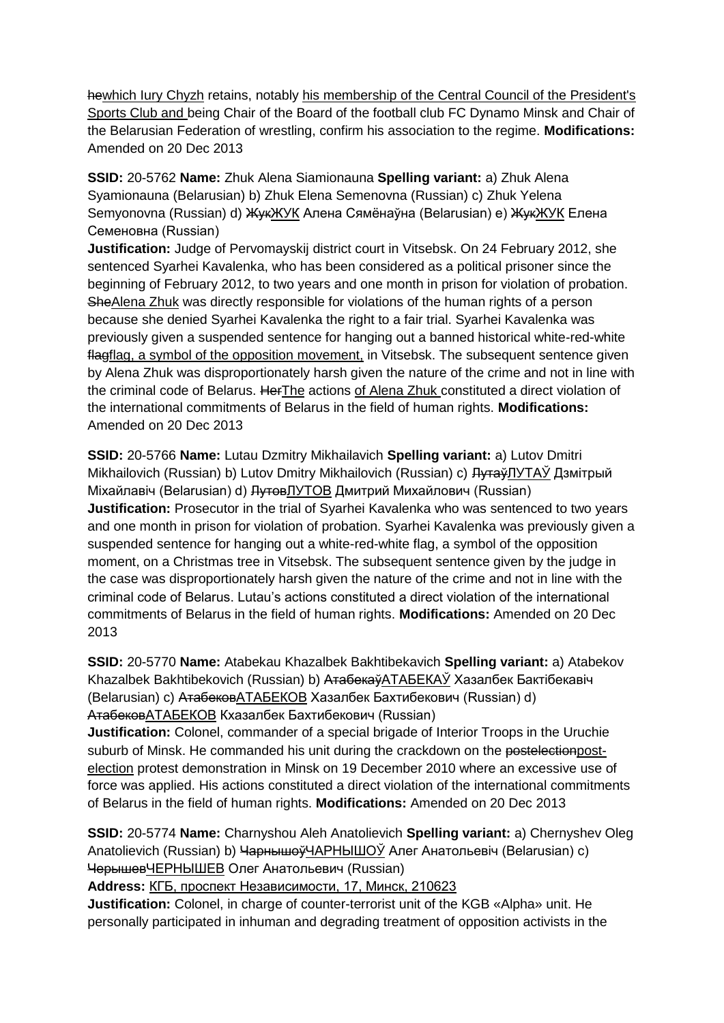hewhich Iury Chyzh retains, notably his membership of the Central Council of the President's Sports Club and being Chair of the Board of the football club FC Dynamo Minsk and Chair of the Belarusian Federation of wrestling, confirm his association to the regime. **Modifications:**  Amended on 20 Dec 2013

**SSID:** 20-5762 **Name:** Zhuk Alena Siamionauna **Spelling variant:** a) Zhuk Alena Syamionauna (Belarusian) b) Zhuk Elena Semenovna (Russian) c) Zhuk Yelena Semyonovna (Russian) d) ЖукЖУК Алена Сямёнаўна (Belarusian) e) ЖукЖУК Елена Семеновна (Russian)

**Justification:** Judge of Pervomayskij district court in Vitsebsk. On 24 February 2012, she sentenced Syarhei Kavalenka, who has been considered as a political prisoner since the beginning of February 2012, to two years and one month in prison for violation of probation. SheAlena Zhuk was directly responsible for violations of the human rights of a person because she denied Syarhei Kavalenka the right to a fair trial. Syarhei Kavalenka was previously given a suspended sentence for hanging out a banned historical white-red-white flagflag, a symbol of the opposition movement, in Vitsebsk. The subsequent sentence given by Alena Zhuk was disproportionately harsh given the nature of the crime and not in line with the criminal code of Belarus. HerThe actions of Alena Zhuk constituted a direct violation of the international commitments of Belarus in the field of human rights. **Modifications:**  Amended on 20 Dec 2013

**SSID:** 20-5766 **Name:** Lutau Dzmitry Mikhailavich **Spelling variant:** a) Lutov Dmitri Mikhailovich (Russian) b) Lutov Dmitry Mikhailovich (Russian) c) <del>Лутаў</del>ЛУТАЎ Дзмітрый Міхайлавіч (Belarusian) d) ЛутовЛУТОВ Дмитрий Михайлович (Russian) **Justification:** Prosecutor in the trial of Syarhei Kavalenka who was sentenced to two years and one month in prison for violation of probation. Syarhei Kavalenka was previously given a suspended sentence for hanging out a white-red-white flag, a symbol of the opposition moment, on a Christmas tree in Vitsebsk. The subsequent sentence given by the judge in the case was disproportionately harsh given the nature of the crime and not in line with the criminal code of Belarus. Lutau's actions constituted a direct violation of the international commitments of Belarus in the field of human rights. **Modifications:** Amended on 20 Dec 2013

**SSID:** 20-5770 **Name:** Atabekau Khazalbek Bakhtibekavich **Spelling variant:** a) Atabekov Khazalbek Bakhtibekovich (Russian) b) АтабекаўАТАБЕКАЎ Хазалбек Бактібекавіч (Belarusian) c) АтабековАТАБЕКОВ Хазалбек Бахтибекович (Russian) d) АтабековАТАБЕКОВ Кхазалбек Бахтибекович (Russian)

**Justification:** Colonel, commander of a special brigade of Interior Troops in the Uruchie suburb of Minsk. He commanded his unit during the crackdown on the postelectionpostelection protest demonstration in Minsk on 19 December 2010 where an excessive use of force was applied. His actions constituted a direct violation of the international commitments of Belarus in the field of human rights. **Modifications:** Amended on 20 Dec 2013

**SSID:** 20-5774 **Name:** Charnyshou Aleh Anatolievich **Spelling variant:** a) Chernyshev Oleg Anatolievich (Russian) b) ЧарнышоўЧАРНЫШОЎ Алег Анатольевіч (Belarusian) c) ЧерышевЧЕРНЫШЕВ Олег Анатольевич (Russian)

**Address:** КГБ, проспект Независимости, 17, Минск, 210623

**Justification:** Colonel, in charge of counter-terrorist unit of the KGB «Alpha» unit. He personally participated in inhuman and degrading treatment of opposition activists in the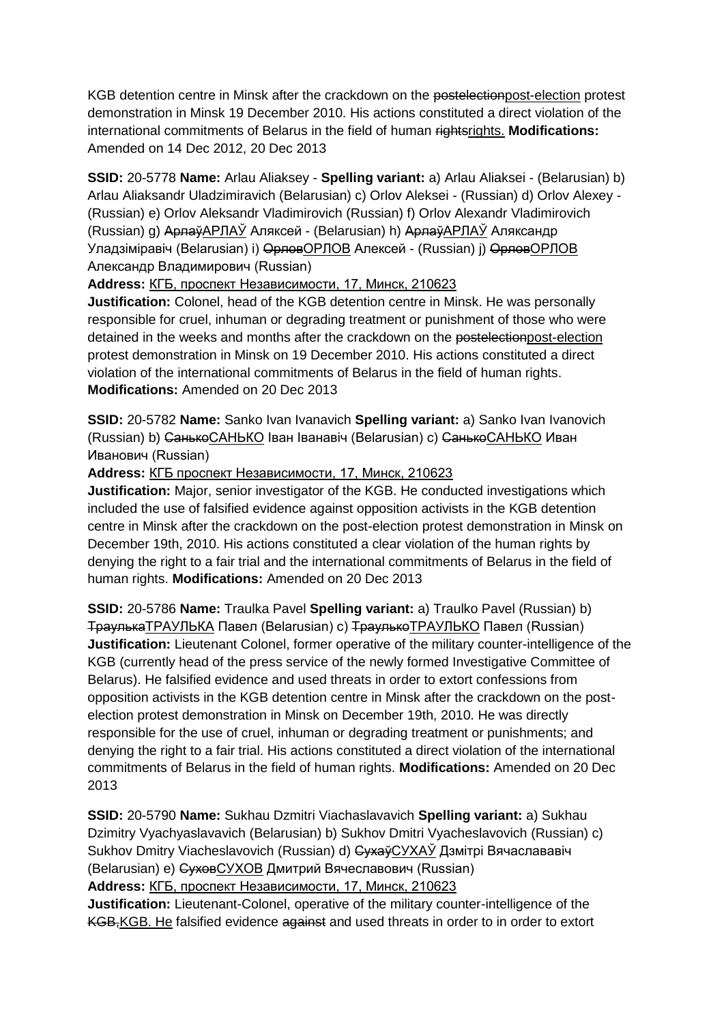KGB detention centre in Minsk after the crackdown on the postelectionpost-election protest demonstration in Minsk 19 December 2010. His actions constituted a direct violation of the international commitments of Belarus in the field of human rightsrights. **Modifications:**  Amended on 14 Dec 2012, 20 Dec 2013

**SSID:** 20-5778 **Name:** Arlau Aliaksey - **Spelling variant:** a) Arlau Aliaksei - (Belarusian) b) Arlau Aliaksandr Uladzimiravich (Belarusian) c) Orlov Aleksei - (Russian) d) Orlov Alexey - (Russian) e) Orlov Aleksandr Vladimirovich (Russian) f) Orlov Alexandr Vladimirovich (Russian) g) АрлаўAPЛAЎ Аляксей - (Belarusian) h) АрлаўAPЛAЎ Аляксандр Уладзіміравіч (Belarusian) i) ОрловOPЛОВ Алексей - (Russian) j) ОрловOPЛОВ Александр Владимирович (Russian)

**Address:** КГБ, проспект Независимости, 17, Минск, 210623

**Justification:** Colonel, head of the KGB detention centre in Minsk. He was personally responsible for cruel, inhuman or degrading treatment or punishment of those who were detained in the weeks and months after the crackdown on the postelectionpost-election protest demonstration in Minsk on 19 December 2010. His actions constituted a direct violation of the international commitments of Belarus in the field of human rights. **Modifications:** Amended on 20 Dec 2013

**SSID:** 20-5782 **Name:** Sanko Ivan Ivanavich **Spelling variant:** a) Sanko Ivan Ivanovich (Russian) b) СанькоСАНЬКО Іван Іванавіч (Belarusian) c) СанькоСАНЬКО Иван Иванович (Russian)

**Address:** КГБ проспект Независимости, 17, Минск, 210623

**Justification:** Major, senior investigator of the KGB. He conducted investigations which included the use of falsified evidence against opposition activists in the KGB detention centre in Minsk after the crackdown on the post-election protest demonstration in Minsk on December 19th, 2010. His actions constituted a clear violation of the human rights by denying the right to a fair trial and the international commitments of Belarus in the field of human rights. **Modifications:** Amended on 20 Dec 2013

**SSID:** 20-5786 **Name:** Traulka Pavel **Spelling variant:** a) Traulko Pavel (Russian) b) ТраулькаТРАУЛЬКА Павел (Belarusian) c) ТраулькоТРАУЛЬКО Павел (Russian) **Justification:** Lieutenant Colonel, former operative of the military counter-intelligence of the KGB (currently head of the press service of the newly formed Investigative Committee of Belarus). He falsified evidence and used threats in order to extort confessions from opposition activists in the KGB detention centre in Minsk after the crackdown on the postelection protest demonstration in Minsk on December 19th, 2010. He was directly responsible for the use of cruel, inhuman or degrading treatment or punishments; and denying the right to a fair trial. His actions constituted a direct violation of the international commitments of Belarus in the field of human rights. **Modifications:** Amended on 20 Dec 2013

**SSID:** 20-5790 **Name:** Sukhau Dzmitri Viachaslavavich **Spelling variant:** a) Sukhau Dzimitry Vyachyaslavavich (Belarusian) b) Sukhov Dmitri Vyacheslavovich (Russian) c) Sukhov Dmitry Viacheslavovich (Russian) d) СухаўСУХАЎ Дзмітрі Вячаслававіч (Belarusian) e) СуховСУХОВ Дмитрий Вячеславович (Russian) **Address:** КГБ, проспект Независимости, 17, Минск, 210623 **Justification:** Lieutenant-Colonel, operative of the military counter-intelligence of the

KGB, KGB. He falsified evidence against and used threats in order to in order to extort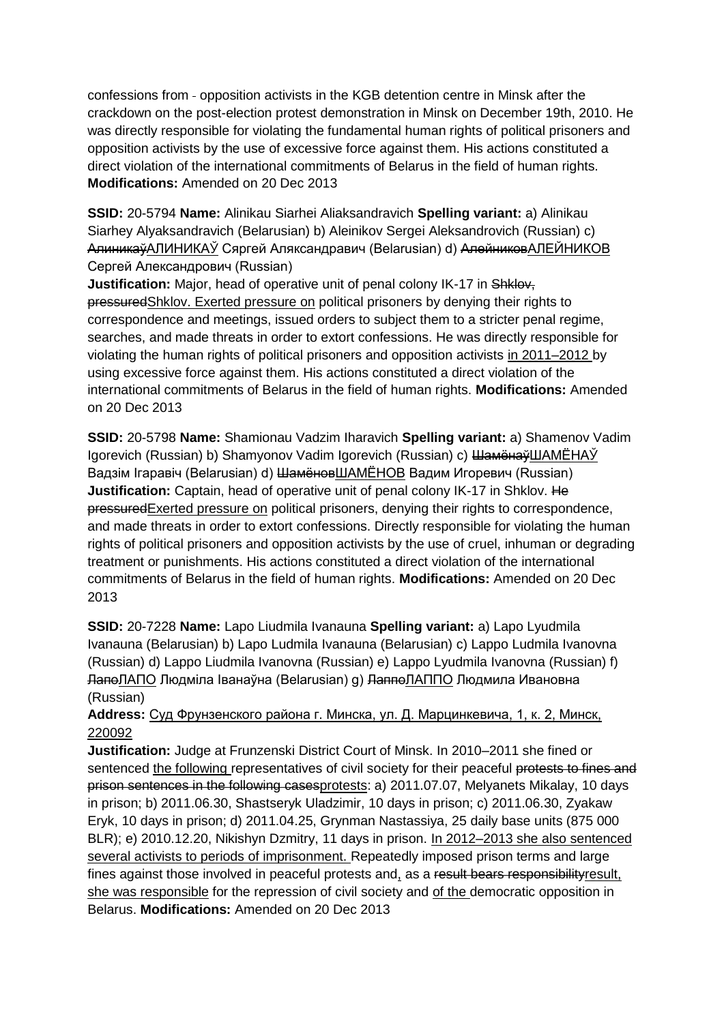confessions from - opposition activists in the KGB detention centre in Minsk after the crackdown on the post-election protest demonstration in Minsk on December 19th, 2010. He was directly responsible for violating the fundamental human rights of political prisoners and opposition activists by the use of excessive force against them. His actions constituted a direct violation of the international commitments of Belarus in the field of human rights. **Modifications:** Amended on 20 Dec 2013

**SSID:** 20-5794 **Name:** Alinikau Siarhei Aliaksandravich **Spelling variant:** a) Alinikau Siarhey Alyaksandravich (Belarusian) b) Aleinikov Sergei Aleksandrovich (Russian) c) АлиникаўАЛИНИКАЎ Сяргей Аляксандравич (Belarusian) d) АлейниковАЛEЙНИКOВ Сергей Александрович (Russian)

**Justification:** Major, head of operative unit of penal colony IK-17 in Shklov, pressuredShklov. Exerted pressure on political prisoners by denying their rights to correspondence and meetings, issued orders to subject them to a stricter penal regime, searches, and made threats in order to extort confessions. He was directly responsible for violating the human rights of political prisoners and opposition activists in 2011–2012 by using excessive force against them. His actions constituted a direct violation of the international commitments of Belarus in the field of human rights. **Modifications:** Amended on 20 Dec 2013

**SSID:** 20-5798 **Name:** Shamionau Vadzim Iharavich **Spelling variant:** a) Shamenov Vadim Igorevich (Russian) b) Shamyonov Vadim Igorevich (Russian) c) ШамёнаўШАМЁНАЎ Вадзiм Ігаравіч (Belarusian) d) ШамёновШАМЁНОВ Вадим Игоревич (Russian) **Justification:** Captain, head of operative unit of penal colony IK-17 in Shklov. He pressuredExerted pressure on political prisoners, denying their rights to correspondence, and made threats in order to extort confessions. Directly responsible for violating the human rights of political prisoners and opposition activists by the use of cruel, inhuman or degrading treatment or punishments. His actions constituted a direct violation of the international commitments of Belarus in the field of human rights. **Modifications:** Amended on 20 Dec 2013

**SSID:** 20-7228 **Name:** Lapo Liudmila Ivanauna **Spelling variant:** a) Lapo Lyudmila Ivanauna (Belarusian) b) Lapo Ludmila Ivanauna (Belarusian) c) Lappo Ludmila Ivanovna (Russian) d) Lappo Liudmila Ivanovna (Russian) e) Lappo Lyudmila Ivanovna (Russian) f) ЛапоЛАПО Людміла Іванаўна (Belarusian) g) ЛаппоЛАППО Людмила Ивановна (Russian)

**Address:** Суд Фрунзенского района г. Минска, ул. Д. Марцинкевича, 1, к. 2, Минск, 220092

**Justification:** Judge at Frunzenski District Court of Minsk. In 2010–2011 she fined or sentenced the following representatives of civil society for their peaceful protests to fines and prison sentences in the following casesprotests: a) 2011.07.07, Melyanets Mikalay, 10 days in prison; b) 2011.06.30, Shastseryk Uladzimir, 10 days in prison; c) 2011.06.30, Zyakaw Eryk, 10 days in prison; d) 2011.04.25, Grynman Nastassiya, 25 daily base units (875 000 BLR); e) 2010.12.20, Nikishyn Dzmitry, 11 days in prison. In 2012–2013 she also sentenced several activists to periods of imprisonment. Repeatedly imposed prison terms and large fines against those involved in peaceful protests and, as a result bears responsibilityresult, she was responsible for the repression of civil society and of the democratic opposition in Belarus. **Modifications:** Amended on 20 Dec 2013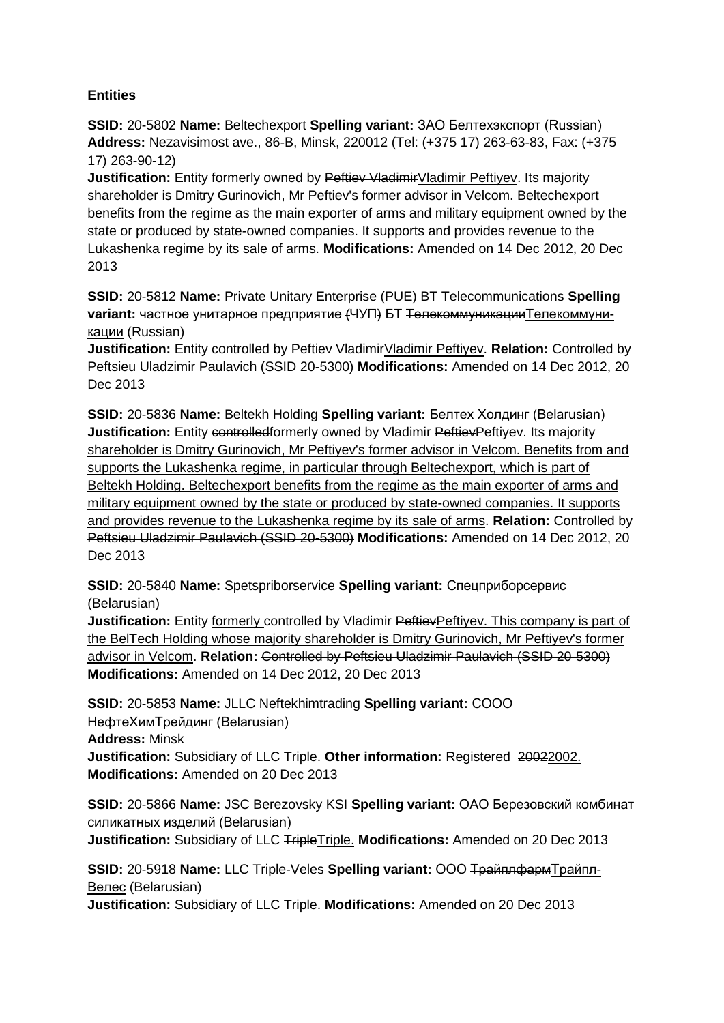# **Entities**

**SSID:** 20-5802 **Name:** Beltechexport **Spelling variant:** ЗАО Белтехэкспорт (Russian) **Address:** Nezavisimost ave., 86-B, Minsk, 220012 (Tel: (+375 17) 263-63-83, Fax: (+375 17) 263-90-12)

**Justification:** Entity formerly owned by Pettiev VladimirVladimir Peftiyev. Its majority shareholder is Dmitry Gurinovich, Mr Peftiev's former advisor in Velcom. Beltechexport benefits from the regime as the main exporter of arms and military equipment owned by the state or produced by state-owned companies. It supports and provides revenue to the Lukashenka regime by its sale of arms. **Modifications:** Amended on 14 Dec 2012, 20 Dec 2013

**SSID:** 20-5812 **Name:** Private Unitary Enterprise (PUE) BT Telecommunications **Spelling variant:** частное унитарное предприятие (ЧУП) БТ ТелекоммуникацииТелекоммуникации (Russian)

**Justification:** Entity controlled by Peftiev VladimirVladimir Peftiyev. Relation: Controlled by Peftsieu Uladzimir Paulavich (SSID 20-5300) **Modifications:** Amended on 14 Dec 2012, 20 Dec 2013

**SSID:** 20-5836 **Name:** Beltekh Holding **Spelling variant:** Белтех Холдинг (Belarusian) **Justification:** Entity controlledformerly owned by Vladimir PettievPeftiyev. Its majority shareholder is Dmitry Gurinovich, Mr Peftiyev's former advisor in Velcom. Benefits from and supports the Lukashenka regime, in particular through Beltechexport, which is part of Beltekh Holding. Beltechexport benefits from the regime as the main exporter of arms and military equipment owned by the state or produced by state-owned companies. It supports and provides revenue to the Lukashenka regime by its sale of arms. **Relation:** Controlled by Peftsieu Uladzimir Paulavich (SSID 20-5300) **Modifications:** Amended on 14 Dec 2012, 20 Dec 2013

**SSID:** 20-5840 **Name:** Spetspriborservice **Spelling variant:** Спецприборсервис (Belarusian)

**Justification:** Entity formerly controlled by Vladimir PettievPeftiyev. This company is part of the BelTech Holding whose majority shareholder is Dmitry Gurinovich, Mr Peftiyev's former advisor in Velcom. **Relation:** Controlled by Peftsieu Uladzimir Paulavich (SSID 20-5300) **Modifications:** Amended on 14 Dec 2012, 20 Dec 2013

**SSID:** 20-5853 **Name:** JLLC Neftekhimtrading **Spelling variant:** СООО НефтеХимТрейдинг (Belarusian) **Address:** Minsk **Justification:** Subsidiary of LLC Triple. Other information: Registered 20022002. **Modifications:** Amended on 20 Dec 2013

**SSID:** 20-5866 **Name:** JSC Berezovsky KSI **Spelling variant:** ОАО Березовский комбинат силикатных изделий (Belarusian) **Justification:** Subsidiary of LLC TripleTriple. **Modifications:** Amended on 20 Dec 2013

**SSID:** 20-5918 **Name:** LLC Triple-Veles **Spelling variant:** ООО ТрайплфармТрайпл-Велес (Belarusian)

**Justification:** Subsidiary of LLC Triple. **Modifications:** Amended on 20 Dec 2013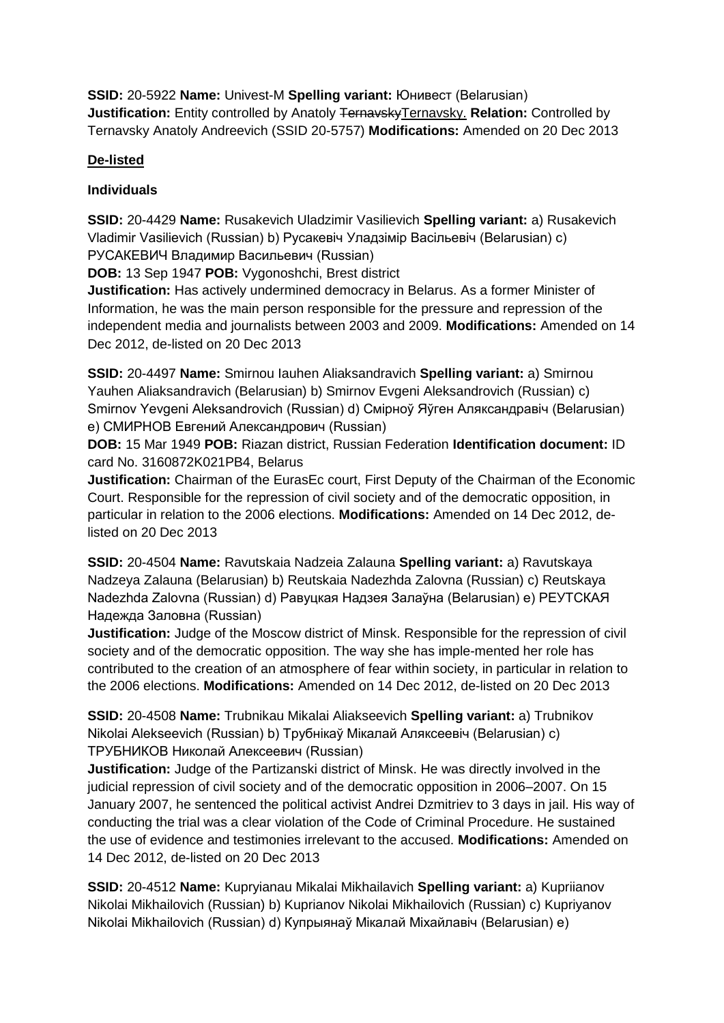**SSID:** 20-5922 **Name:** Univest-M **Spelling variant:** Юнивест (Belarusian) **Justification:** Entity controlled by Anatoly TernavskyTernavsky. Relation: Controlled by Ternavsky Anatoly Andreevich (SSID 20-5757) **Modifications:** Amended on 20 Dec 2013

# **De-listed**

## **Individuals**

**SSID:** 20-4429 **Name:** Rusakevich Uladzimir Vasilievich **Spelling variant:** a) Rusakevich Vladimir Vasilievich (Russian) b) Русакевіч Уладзімір Васільевіч (Belarusian) c) РУСАКЕВИЧ Владимир Васильевич (Russian)

**DOB:** 13 Sep 1947 **POB:** Vygonoshchi, Brest district

**Justification:** Has actively undermined democracy in Belarus. As a former Minister of Information, he was the main person responsible for the pressure and repression of the independent media and journalists between 2003 and 2009. **Modifications:** Amended on 14 Dec 2012, de-listed on 20 Dec 2013

**SSID:** 20-4497 **Name:** Smirnou Iauhen Aliaksandravich **Spelling variant:** a) Smirnou Yauhen Aliaksandravich (Belarusian) b) Smirnov Evgeni Aleksandrovich (Russian) c) Smirnov Yevgeni Aleksandrovich (Russian) d) Смірноў Яўген Аляксандравіч (Belarusian) e) СМИРНОВ Евгений Александрович (Russian)

**DOB:** 15 Mar 1949 **POB:** Riazan district, Russian Federation **Identification document:** ID card No. 3160872K021PB4, Belarus

**Justification:** Chairman of the EurasEc court, First Deputy of the Chairman of the Economic Court. Responsible for the repression of civil society and of the democratic opposition, in particular in relation to the 2006 elections. **Modifications:** Amended on 14 Dec 2012, delisted on 20 Dec 2013

**SSID:** 20-4504 **Name:** Ravutskaia Nadzeia Zalauna **Spelling variant:** a) Ravutskaya Nadzeya Zalauna (Belarusian) b) Reutskaia Nadezhda Zalovna (Russian) c) Reutskaya Nadezhda Zalovna (Russian) d) Равуцкая Надзея Залаўна (Belarusian) e) РЕУТСКАЯ Надежда Заловна (Russian)

**Justification:** Judge of the Moscow district of Minsk. Responsible for the repression of civil society and of the democratic opposition. The way she has imple-mented her role has contributed to the creation of an atmosphere of fear within society, in particular in relation to the 2006 elections. **Modifications:** Amended on 14 Dec 2012, de-listed on 20 Dec 2013

**SSID:** 20-4508 **Name:** Trubnikau Mikalai Aliakseevich **Spelling variant:** a) Trubnikov Nikolai Alekseevich (Russian) b) Трубнікаў Мікалай Аляксеевіч (Belarusian) c) ТРУБНИКОВ Николай Алексеевич (Russian)

**Justification:** Judge of the Partizanski district of Minsk. He was directly involved in the judicial repression of civil society and of the democratic opposition in 2006–2007. On 15 January 2007, he sentenced the political activist Andrei Dzmitriev to 3 days in jail. His way of conducting the trial was a clear violation of the Code of Criminal Procedure. He sustained the use of evidence and testimonies irrelevant to the accused. **Modifications:** Amended on 14 Dec 2012, de-listed on 20 Dec 2013

**SSID:** 20-4512 **Name:** Kupryianau Mikalai Mikhailavich **Spelling variant:** a) Kupriianov Nikolai Mikhailovich (Russian) b) Kuprianov Nikolai Mikhailovich (Russian) c) Kupriyanov Nikolai Mikhailovich (Russian) d) Купрыянаў Мікалай Міхайлавіч (Belarusian) e)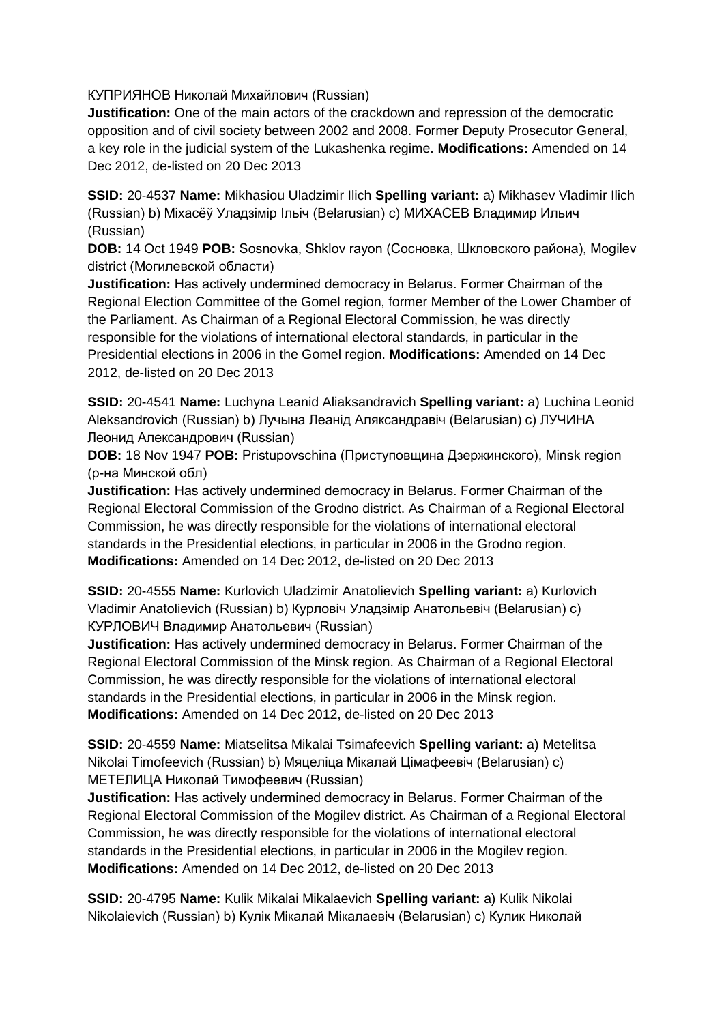КУПРИЯНОВ Николай Михайлович (Russian)

**Justification:** One of the main actors of the crackdown and repression of the democratic opposition and of civil society between 2002 and 2008. Former Deputy Prosecutor General, a key role in the judicial system of the Lukashenka regime. **Modifications:** Amended on 14 Dec 2012, de-listed on 20 Dec 2013

**SSID:** 20-4537 **Name:** Mikhasiou Uladzimir Ilich **Spelling variant:** a) Mikhasev Vladimir Ilich (Russian) b) Міхасёў Уладзімір Ільіч (Belarusian) c) МИХАСЕВ Владимир Ильич (Russian)

**DOB:** 14 Oct 1949 **POB:** Sosnovka, Shklov rayon (Сосновка, Шкловского района), Mogilev district (Могилевской области)

**Justification:** Has actively undermined democracy in Belarus. Former Сhairman of the Regional Election Committee of the Gomel region, former Member of the Lower Chamber of the Parliament. As Chairman of a Regional Electoral Commission, he was directly responsible for the violations of international electoral standards, in particular in the Presidential elections in 2006 in the Gomel region. **Modifications:** Amended on 14 Dec 2012, de-listed on 20 Dec 2013

**SSID:** 20-4541 **Name:** Luchyna Leanid Aliaksandravich **Spelling variant:** a) Luchina Leonid Aleksandrovich (Russian) b) Лучына Леанід Аляксандравіч (Belarusian) c) ЛУЧИНА Леонид Александрович (Russian)

**DOB:** 18 Nov 1947 **POB:** Pristupovschina (Приступовщина Дзержинского), Minsk region (р-на Минской обл)

**Justification:** Has actively undermined democracy in Belarus. Former Сhairman of the Regional Electoral Commission of the Grodno district. As Chairman of a Regional Electoral Commission, he was directly responsible for the violations of international electoral standards in the Presidential elections, in particular in 2006 in the Grodno region. **Modifications:** Amended on 14 Dec 2012, de-listed on 20 Dec 2013

**SSID:** 20-4555 **Name:** Kurlovich Uladzimir Anatolievich **Spelling variant:** a) Kurlovich Vladimir Anatolievich (Russian) b) Курловіч Уладзімір Анатольевіч (Belarusian) c) КУРЛОВИЧ Владимир Анатольевич (Russian)

**Justification:** Has actively undermined democracy in Belarus. Former Сhairman of the Regional Electoral Commission of the Minsk region. As Chairman of a Regional Electoral Commission, he was directly responsible for the violations of international electoral standards in the Presidential elections, in particular in 2006 in the Minsk region. **Modifications:** Amended on 14 Dec 2012, de-listed on 20 Dec 2013

**SSID:** 20-4559 **Name:** Miatselitsa Mikalai Tsimafeevich **Spelling variant:** a) Metelitsa Nikolai Timofeevich (Russian) b) Мяцеліца Мікалай Цімафеевіч (Belarusian) c) МЕТЕЛИЦА Николай Тимофеевич (Russian)

**Justification:** Has actively undermined democracy in Belarus. Former Сhairman of the Regional Electoral Commission of the Mogilev district. As Chairman of a Regional Electoral Commission, he was directly responsible for the violations of international electoral standards in the Presidential elections, in particular in 2006 in the Mogilev region. **Modifications:** Amended on 14 Dec 2012, de-listed on 20 Dec 2013

**SSID:** 20-4795 **Name:** Kulik Mikalai Mikalaevich **Spelling variant:** a) Kulik Nikolai Nikolaievich (Russian) b) Кулік Мікалай Мікалаевіч (Belarusian) c) Кулик Николай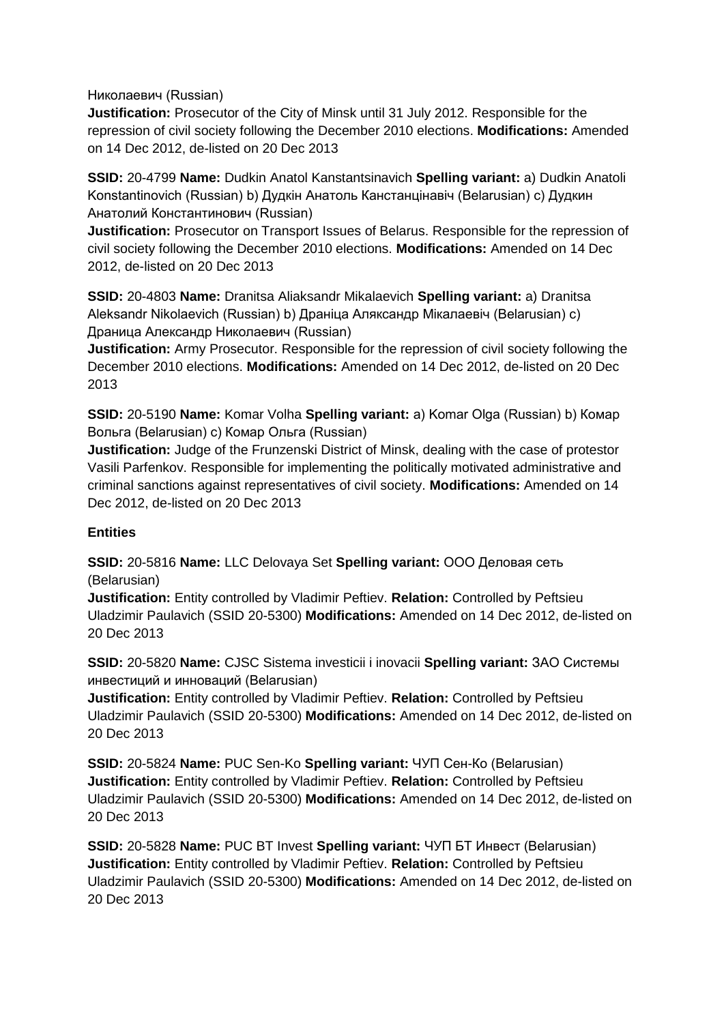Николаевич (Russian)

**Justification:** Prosecutor of the City of Minsk until 31 July 2012. Responsible for the repression of civil society following the December 2010 elections. **Modifications:** Amended on 14 Dec 2012, de-listed on 20 Dec 2013

**SSID:** 20-4799 **Name:** Dudkin Anatol Kanstantsinavich **Spelling variant:** a) Dudkin Anatoli Konstantinovich (Russian) b) Дудкін Анатоль Канстанцінавіч (Belarusian) c) Дудкин Анатолий Константинович (Russian)

**Justification:** Prosecutor on Transport Issues of Belarus. Responsible for the repression of civil society following the December 2010 elections. **Modifications:** Amended on 14 Dec 2012, de-listed on 20 Dec 2013

**SSID:** 20-4803 **Name:** Dranitsa Aliaksandr Mikalaevich **Spelling variant:** a) Dranitsa Aleksandr Nikolaevich (Russian) b) Драніца Аляксандр Мікалаевіч (Belarusian) c) Драница Александр Николаевич (Russian)

**Justification:** Army Prosecutor. Responsible for the repression of civil society following the December 2010 elections. **Modifications:** Amended on 14 Dec 2012, de-listed on 20 Dec 2013

**SSID:** 20-5190 **Name:** Komar Volha **Spelling variant:** a) Komar Olga (Russian) b) Комар Вольга (Belarusian) c) Комар Ольга (Russian)

**Justification:** Judge of the Frunzenski District of Minsk, dealing with the case of protestor Vasili Parfenkov. Responsible for implementing the politically motivated administrative and criminal sanctions against representatives of civil society. **Modifications:** Amended on 14 Dec 2012, de-listed on 20 Dec 2013

## **Entities**

**SSID:** 20-5816 **Name:** LLC Delovaya Set **Spelling variant:** ООО Деловая сеть (Belarusian)

**Justification:** Entity controlled by Vladimir Peftiev. **Relation:** Controlled by Peftsieu Uladzimir Paulavich (SSID 20-5300) **Modifications:** Amended on 14 Dec 2012, de-listed on 20 Dec 2013

**SSID:** 20-5820 **Name:** CJSC Sistema investicii i inovacii **Spelling variant:** ЗАО Системы инвестиций и инноваций (Belarusian)

**Justification:** Entity controlled by Vladimir Peftiev. **Relation:** Controlled by Peftsieu Uladzimir Paulavich (SSID 20-5300) **Modifications:** Amended on 14 Dec 2012, de-listed on 20 Dec 2013

**SSID:** 20-5824 **Name:** PUC Sen-Ko **Spelling variant:** ЧУП Сен-Ко (Belarusian) **Justification:** Entity controlled by Vladimir Peftiev. **Relation:** Controlled by Peftsieu Uladzimir Paulavich (SSID 20-5300) **Modifications:** Amended on 14 Dec 2012, de-listed on 20 Dec 2013

**SSID:** 20-5828 **Name:** PUC BT Invest **Spelling variant:** ЧУП БТ Инвест (Belarusian) **Justification:** Entity controlled by Vladimir Peftiev. **Relation:** Controlled by Peftsieu Uladzimir Paulavich (SSID 20-5300) **Modifications:** Amended on 14 Dec 2012, de-listed on 20 Dec 2013